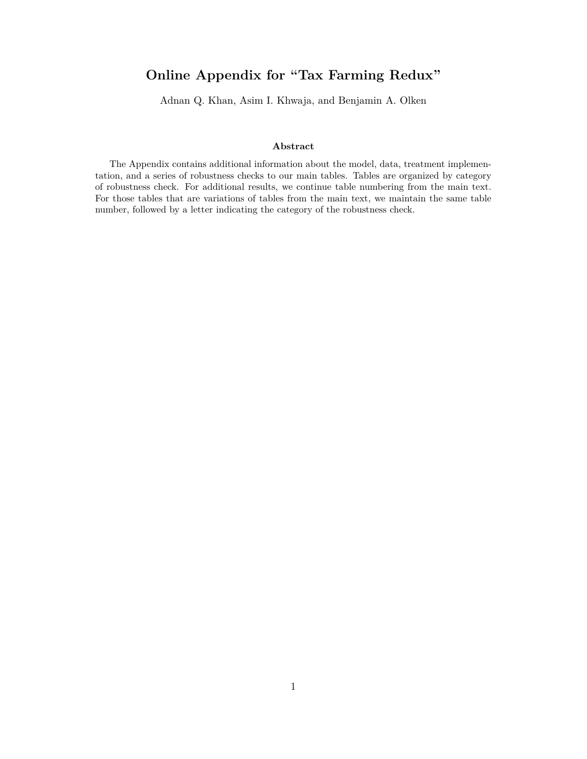# **Online Appendix for "Tax Farming Redux"**

Adnan Q. Khan, Asim I. Khwaja, and Benjamin A. Olken

### **Abstract**

The Appendix contains additional information about the model, data, treatment implementation, and a series of robustness checks to our main tables. Tables are organized by category of robustness check. For additional results, we continue table numbering from the main text. For those tables that are variations of tables from the main text, we maintain the same table number, followed by a letter indicating the category of the robustness check.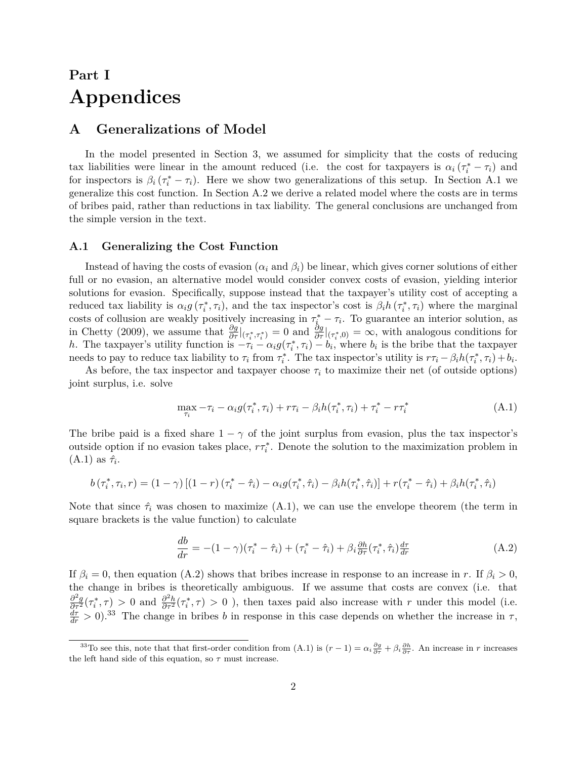# **Part I Appendices**

## **A Generalizations of Model**

In the model presented in Section 3, we assumed for simplicity that the costs of reducing tax liabilities were linear in the amount reduced (i.e. the cost for taxpayers is  $\alpha_i(\tau_i^* - \tau_i)$ ) and for inspectors is  $\beta_i$  ( $\tau_i^* - \tau_i$ ). Here we show two generalizations of this setup. In Section A.1 we generalize this cost function. In Section A.2 we derive a related model where the costs are in terms of bribes paid, rather than reductions in tax liability. The general conclusions are unchanged from the simple version in the text.

## **A.1 Generalizing the Cost Function**

Instead of having the costs of evasion  $(\alpha_i \text{ and } \beta_i)$  be linear, which gives corner solutions of either full or no evasion, an alternative model would consider convex costs of evasion, yielding interior solutions for evasion. Specifically, suppose instead that the taxpayer's utility cost of accepting a reduced tax liability is  $\alpha_i g(\tau_i^*, \tau_i)$ , and the tax inspector's cost is  $\beta_i h(\tau_i^*, \tau_i)$  where the marginal costs of collusion are weakly positively increasing in  $\tau_i^* - \tau_i$ . To guarantee an interior solution, as in Chetty (2009), we assume that  $\frac{\partial g}{\partial \tau}|_{(\tau_i^*,\tau_i^*)} = 0$  and  $\frac{\partial g}{\partial \tau}|_{(\tau_i^*,0)} = \infty$ , with analogous conditions for *h*. The taxpayer's utility function is  $-\tau_i - \alpha_i g(\tau_i^*, \tau_i) - b_i$ , where  $b_i$  is the bribe that the taxpayer needs to pay to reduce tax liability to  $\tau_i$  from  $\tau_i^*$ . The tax inspector's utility is  $r\tau_i - \beta_i h(\tau_i^*, \tau_i) + b_i$ .

As before, the tax inspector and taxpayer choose  $\tau_i$  to maximize their net (of outside options) joint surplus, i.e. solve

$$
\max_{\tau_i} -\tau_i - \alpha_i g(\tau_i^*, \tau_i) + r\tau_i - \beta_i h(\tau_i^*, \tau_i) + \tau_i^* - r\tau_i^* \tag{A.1}
$$

The bribe paid is a fixed share  $1 - \gamma$  of the joint surplus from evasion, plus the tax inspector's outside option if no evasion takes place,  $r\tau_i^*$ . Denote the solution to the maximization problem in  $(A.1)$  as  $\hat{\tau}_i$ .

$$
b(\tau_i^*, \tau_i, r) = (1 - \gamma) \left[ (1 - r) (\tau_i^* - \hat{\tau}_i) - \alpha_i g(\tau_i^*, \hat{\tau}_i) - \beta_i h(\tau_i^*, \hat{\tau}_i) \right] + r(\tau_i^* - \hat{\tau}_i) + \beta_i h(\tau_i^*, \hat{\tau}_i)
$$

Note that since  $\hat{\tau}_i$  was chosen to maximize (A.1), we can use the envelope theorem (the term in square brackets is the value function) to calculate

$$
\frac{db}{dr} = -(1 - \gamma)(\tau_i^* - \hat{\tau}_i) + (\tau_i^* - \hat{\tau}_i) + \beta_i \frac{\partial h}{\partial \tau}(\tau_i^*, \hat{\tau}_i) \frac{d\tau}{dr}
$$
(A.2)

If  $\beta_i = 0$ , then equation (A.2) shows that bribes increase in response to an increase in *r*. If  $\beta_i > 0$ , the change in bribes is theoretically ambiguous. If we assume that costs are convex (i.e. that  $\frac{\partial^2 g}{\partial \tau^2}(\tau_i^*, \tau) > 0$  and  $\frac{\partial^2 h}{\partial \tau^2}(\tau_i^*, \tau) > 0$ , then taxes paid also increase with r under this model (i.e.  $\frac{d\tau}{dr} > 0$ .<sup>33</sup> The change in bribes *b* in response in this case depends on whether the increase in  $\tau$ ,

<sup>&</sup>lt;sup>33</sup>To see this, note that that first-order condition from  $(A.1)$  is  $(r-1) = \alpha_i \frac{\partial g}{\partial \tau} + \beta_i \frac{\partial h}{\partial \tau}$ . An increase in *r* increases the left hand side of this equation, so  $\tau$  must increase.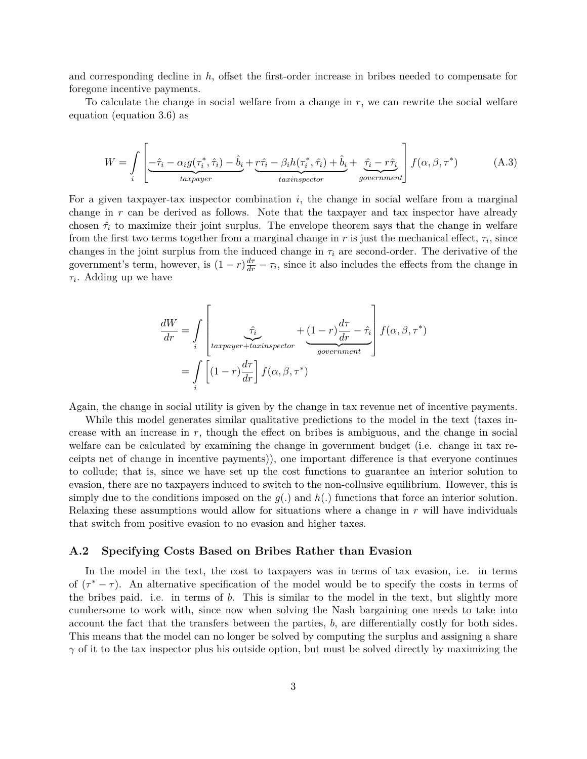and corresponding decline in *h*, offset the first-order increase in bribes needed to compensate for foregone incentive payments.

To calculate the change in social welfare from a change in *r*, we can rewrite the social welfare equation (equation 3.6) as

$$
W = \int_{i} \left[ \underbrace{-\hat{\tau}_{i} - \alpha_{i} g(\tau_{i}^{*}, \hat{\tau}_{i}) - \hat{b}_{i}}_{\text{targager}} + \underbrace{r\hat{\tau}_{i} - \beta_{i} h(\tau_{i}^{*}, \hat{\tau}_{i}) + \hat{b}_{i}}_{\text{tairin spectro}} + \underbrace{\hat{\tau}_{i} - r\hat{\tau}_{i}}_{\text{goverment}} \right] f(\alpha, \beta, \tau^{*}) \tag{A.3}
$$

For a given taxpayer-tax inspector combination *i*, the change in social welfare from a marginal change in *r* can be derived as follows. Note that the taxpayer and tax inspector have already chosen  $\hat{\tau}_i$  to maximize their joint surplus. The envelope theorem says that the change in welfare from the first two terms together from a marginal change in  $r$  is just the mechanical effect,  $\tau_i$ , since changes in the joint surplus from the induced change in  $\tau_i$  are second-order. The derivative of the government's term, however, is  $(1 - r)\frac{d\tau}{dr} - \tau_i$ , since it also includes the effects from the change in *τi* . Adding up we have

$$
\frac{dW}{dr} = \int_{i} \left[ \underbrace{\hat{\tau}_{i}}_{\text{targayer} + \text{taryesector}} + (1 - r) \frac{d\tau}{dr} - \hat{\tau}_{i} \right] f(\alpha, \beta, \tau^{*})
$$
\n
$$
= \int_{i} \left[ (1 - r) \frac{d\tau}{dr} \right] f(\alpha, \beta, \tau^{*})
$$

Again, the change in social utility is given by the change in tax revenue net of incentive payments.

While this model generates similar qualitative predictions to the model in the text (taxes increase with an increase in *r*, though the effect on bribes is ambiguous, and the change in social welfare can be calculated by examining the change in government budget (i.e. change in tax receipts net of change in incentive payments)), one important difference is that everyone continues to collude; that is, since we have set up the cost functions to guarantee an interior solution to evasion, there are no taxpayers induced to switch to the non-collusive equilibrium. However, this is simply due to the conditions imposed on the  $q(.)$  and  $h(.)$  functions that force an interior solution. Relaxing these assumptions would allow for situations where a change in *r* will have individuals that switch from positive evasion to no evasion and higher taxes.

### **A.2 Specifying Costs Based on Bribes Rather than Evasion**

In the model in the text, the cost to taxpayers was in terms of tax evasion, i.e. in terms of  $(\tau^* - \tau)$ . An alternative specification of the model would be to specify the costs in terms of the bribes paid. i.e. in terms of *b*. This is similar to the model in the text, but slightly more cumbersome to work with, since now when solving the Nash bargaining one needs to take into account the fact that the transfers between the parties, *b*, are differentially costly for both sides. This means that the model can no longer be solved by computing the surplus and assigning a share *γ* of it to the tax inspector plus his outside option, but must be solved directly by maximizing the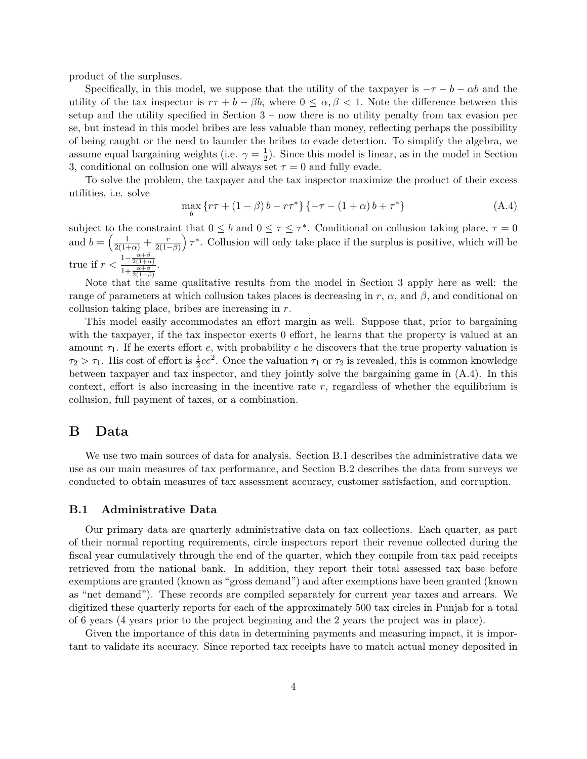product of the surpluses.

Specifically, in this model, we suppose that the utility of the taxpayer is  $-\tau - b - \alpha b$  and the utility of the tax inspector is  $r\tau + b - \beta b$ , where  $0 \leq \alpha, \beta < 1$ . Note the difference between this setup and the utility specified in Section  $3$  – now there is no utility penalty from tax evasion per se, but instead in this model bribes are less valuable than money, reflecting perhaps the possibility of being caught or the need to launder the bribes to evade detection. To simplify the algebra, we assume equal bargaining weights (i.e.  $\gamma = \frac{1}{2}$  $\frac{1}{2}$ ). Since this model is linear, as in the model in Section 3, conditional on collusion one will always set  $\tau = 0$  and fully evade.

To solve the problem, the taxpayer and the tax inspector maximize the product of their excess utilities, i.e. solve

$$
\max_{b} \{ r\tau + (1 - \beta) b - r\tau^* \} \{ -\tau - (1 + \alpha) b + \tau^* \}
$$
 (A.4)

subject to the constraint that  $0 \leq b$  and  $0 \leq \tau \leq \tau^*$ . Conditional on collusion taking place,  $\tau = 0$ and  $b = \left(\frac{1}{2(1+\alpha)} + \frac{r}{2(1-\alpha)}\right)$  $\frac{r}{2(1-\beta)}$   $\tau^*$ . Collusion will only take place if the surplus is positive, which will be true if  $r < \frac{1 - \frac{\alpha + \beta}{2(1 + \alpha)}}{1 + \frac{\alpha + \beta}{2(1 - \beta)}}$ .

Note that the same qualitative results from the model in Section 3 apply here as well: the range of parameters at which collusion takes places is decreasing in  $r$ ,  $\alpha$ , and  $\beta$ , and conditional on collusion taking place, bribes are increasing in *r*.

This model easily accommodates an effort margin as well. Suppose that, prior to bargaining with the taxpayer, if the tax inspector exerts 0 effort, he learns that the property is valued at an amount  $\tau_1$ . If he exerts effort *e*, with probability *e* he discovers that the true property valuation is  $\tau_2 > \tau_1$ . His cost of effort is  $\frac{1}{2}ce^2$ . Once the valuation  $\tau_1$  or  $\tau_2$  is revealed, this is common knowledge between taxpayer and tax inspector, and they jointly solve the bargaining game in (A.4). In this context, effort is also increasing in the incentive rate *r*, regardless of whether the equilibrium is collusion, full payment of taxes, or a combination.

## **B Data**

We use two main sources of data for analysis. Section B.1 describes the administrative data we use as our main measures of tax performance, and Section B.2 describes the data from surveys we conducted to obtain measures of tax assessment accuracy, customer satisfaction, and corruption.

### **B.1 Administrative Data**

Our primary data are quarterly administrative data on tax collections. Each quarter, as part of their normal reporting requirements, circle inspectors report their revenue collected during the fiscal year cumulatively through the end of the quarter, which they compile from tax paid receipts retrieved from the national bank. In addition, they report their total assessed tax base before exemptions are granted (known as "gross demand") and after exemptions have been granted (known as "net demand"). These records are compiled separately for current year taxes and arrears. We digitized these quarterly reports for each of the approximately 500 tax circles in Punjab for a total of 6 years (4 years prior to the project beginning and the 2 years the project was in place).

Given the importance of this data in determining payments and measuring impact, it is important to validate its accuracy. Since reported tax receipts have to match actual money deposited in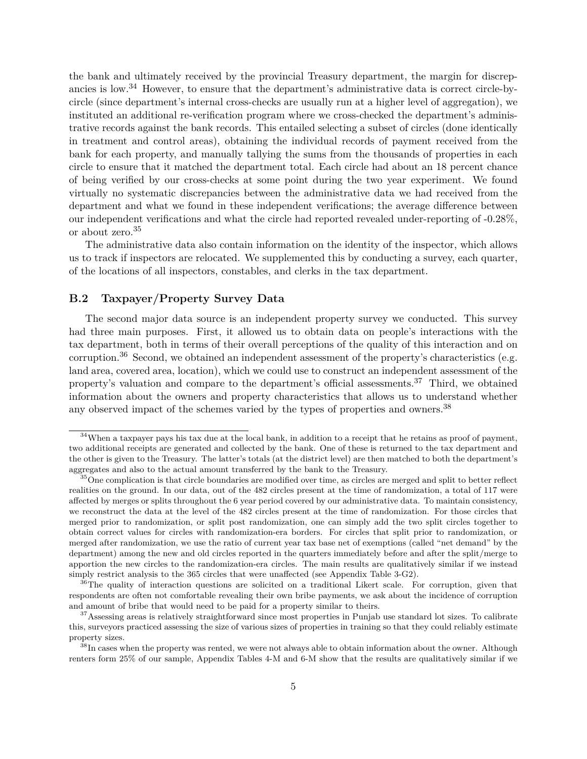the bank and ultimately received by the provincial Treasury department, the margin for discrepancies is low.<sup>34</sup> However, to ensure that the department's administrative data is correct circle-bycircle (since department's internal cross-checks are usually run at a higher level of aggregation), we instituted an additional re-verification program where we cross-checked the department's administrative records against the bank records. This entailed selecting a subset of circles (done identically in treatment and control areas), obtaining the individual records of payment received from the bank for each property, and manually tallying the sums from the thousands of properties in each circle to ensure that it matched the department total. Each circle had about an 18 percent chance of being verified by our cross-checks at some point during the two year experiment. We found virtually no systematic discrepancies between the administrative data we had received from the department and what we found in these independent verifications; the average difference between our independent verifications and what the circle had reported revealed under-reporting of -0.28%, or about zero.<sup>35</sup>

The administrative data also contain information on the identity of the inspector, which allows us to track if inspectors are relocated. We supplemented this by conducting a survey, each quarter, of the locations of all inspectors, constables, and clerks in the tax department.

## **B.2 Taxpayer/Property Survey Data**

The second major data source is an independent property survey we conducted. This survey had three main purposes. First, it allowed us to obtain data on people's interactions with the tax department, both in terms of their overall perceptions of the quality of this interaction and on corruption.<sup>36</sup> Second, we obtained an independent assessment of the property's characteristics (e.g. land area, covered area, location), which we could use to construct an independent assessment of the property's valuation and compare to the department's official assessments.<sup>37</sup> Third, we obtained information about the owners and property characteristics that allows us to understand whether any observed impact of the schemes varied by the types of properties and owners.<sup>38</sup>

 $34$ When a taxpayer pays his tax due at the local bank, in addition to a receipt that he retains as proof of payment, two additional receipts are generated and collected by the bank. One of these is returned to the tax department and the other is given to the Treasury. The latter's totals (at the district level) are then matched to both the department's aggregates and also to the actual amount transferred by the bank to the Treasury.

<sup>&</sup>lt;sup>35</sup>One complication is that circle boundaries are modified over time, as circles are merged and split to better reflect realities on the ground. In our data, out of the 482 circles present at the time of randomization, a total of 117 were affected by merges or splits throughout the 6 year period covered by our administrative data. To maintain consistency, we reconstruct the data at the level of the 482 circles present at the time of randomization. For those circles that merged prior to randomization, or split post randomization, one can simply add the two split circles together to obtain correct values for circles with randomization-era borders. For circles that split prior to randomization, or merged after randomization, we use the ratio of current year tax base net of exemptions (called "net demand" by the department) among the new and old circles reported in the quarters immediately before and after the split/merge to apportion the new circles to the randomization-era circles. The main results are qualitatively similar if we instead simply restrict analysis to the 365 circles that were unaffected (see Appendix Table 3-G2).

<sup>&</sup>lt;sup>36</sup>The quality of interaction questions are solicited on a traditional Likert scale. For corruption, given that respondents are often not comfortable revealing their own bribe payments, we ask about the incidence of corruption and amount of bribe that would need to be paid for a property similar to theirs.

<sup>&</sup>lt;sup>37</sup>Assessing areas is relatively straightforward since most properties in Punjab use standard lot sizes. To calibrate this, surveyors practiced assessing the size of various sizes of properties in training so that they could reliably estimate property sizes.

<sup>&</sup>lt;sup>38</sup>In cases when the property was rented, we were not always able to obtain information about the owner. Although renters form 25% of our sample, Appendix Tables 4-M and 6-M show that the results are qualitatively similar if we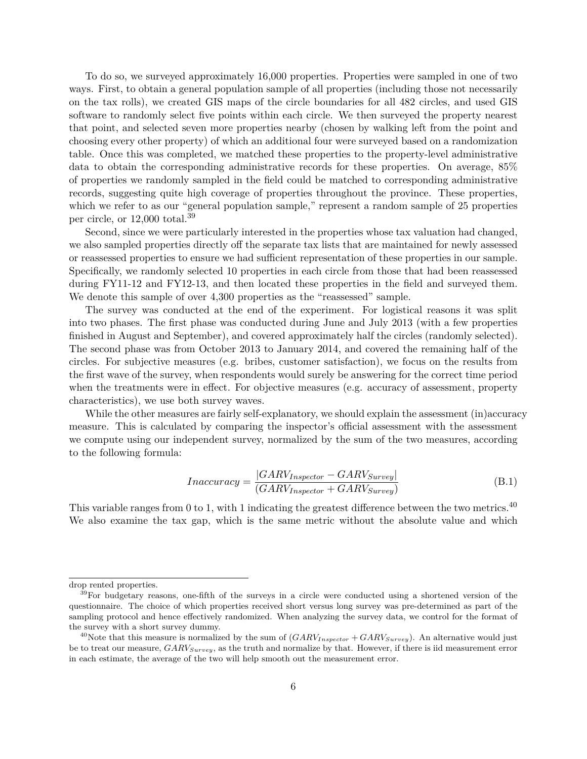To do so, we surveyed approximately 16,000 properties. Properties were sampled in one of two ways. First, to obtain a general population sample of all properties (including those not necessarily on the tax rolls), we created GIS maps of the circle boundaries for all 482 circles, and used GIS software to randomly select five points within each circle. We then surveyed the property nearest that point, and selected seven more properties nearby (chosen by walking left from the point and choosing every other property) of which an additional four were surveyed based on a randomization table. Once this was completed, we matched these properties to the property-level administrative data to obtain the corresponding administrative records for these properties. On average, 85% of properties we randomly sampled in the field could be matched to corresponding administrative records, suggesting quite high coverage of properties throughout the province. These properties, which we refer to as our "general population sample," represent a random sample of 25 properties per circle, or 12,000 total.<sup>39</sup>

Second, since we were particularly interested in the properties whose tax valuation had changed, we also sampled properties directly off the separate tax lists that are maintained for newly assessed or reassessed properties to ensure we had sufficient representation of these properties in our sample. Specifically, we randomly selected 10 properties in each circle from those that had been reassessed during FY11-12 and FY12-13, and then located these properties in the field and surveyed them. We denote this sample of over 4,300 properties as the "reassessed" sample.

The survey was conducted at the end of the experiment. For logistical reasons it was split into two phases. The first phase was conducted during June and July 2013 (with a few properties finished in August and September), and covered approximately half the circles (randomly selected). The second phase was from October 2013 to January 2014, and covered the remaining half of the circles. For subjective measures (e.g. bribes, customer satisfaction), we focus on the results from the first wave of the survey, when respondents would surely be answering for the correct time period when the treatments were in effect. For objective measures (e.g. accuracy of assessment, property characteristics), we use both survey waves.

While the other measures are fairly self-explanatory, we should explain the assessment (in)accuracy measure. This is calculated by comparing the inspector's official assessment with the assessment we compute using our independent survey, normalized by the sum of the two measures, according to the following formula:

$$
Inaccuracy = \frac{|GARV_{Inspector} - GARV_{Survey}|}{(GARV_{Inspector} + GARV_{Survey})}
$$
\n(B.1)

This variable ranges from 0 to 1, with 1 indicating the greatest difference between the two metrics.<sup>40</sup> We also examine the tax gap, which is the same metric without the absolute value and which

drop rented properties.

 $39$ For budgetary reasons, one-fifth of the surveys in a circle were conducted using a shortened version of the questionnaire. The choice of which properties received short versus long survey was pre-determined as part of the sampling protocol and hence effectively randomized. When analyzing the survey data, we control for the format of the survey with a short survey dummy.

<sup>&</sup>lt;sup>40</sup>Note that this measure is normalized by the sum of  $(GARV_{Inspector} + GARV_{Survey})$ . An alternative would just be to treat our measure, *GARVSurvey*, as the truth and normalize by that. However, if there is iid measurement error in each estimate, the average of the two will help smooth out the measurement error.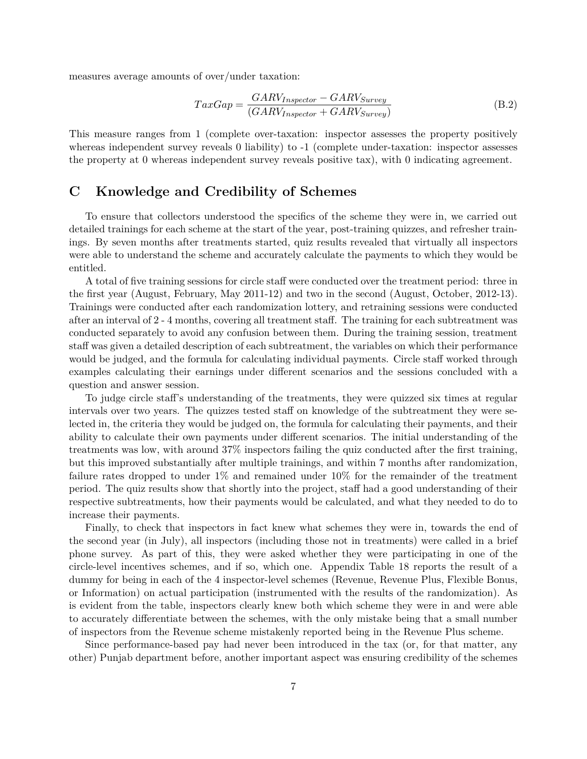measures average amounts of over/under taxation:

$$
TaxGap = \frac{GARV_{Inspector} - GARV_{Survey}}{(GARV_{Inspector} + GARV_{Survey})}
$$
\n(B.2)

This measure ranges from 1 (complete over-taxation: inspector assesses the property positively whereas independent survey reveals 0 liability) to  $-1$  (complete under-taxation: inspector assesses the property at 0 whereas independent survey reveals positive tax), with 0 indicating agreement.

## **C Knowledge and Credibility of Schemes**

To ensure that collectors understood the specifics of the scheme they were in, we carried out detailed trainings for each scheme at the start of the year, post-training quizzes, and refresher trainings. By seven months after treatments started, quiz results revealed that virtually all inspectors were able to understand the scheme and accurately calculate the payments to which they would be entitled.

A total of five training sessions for circle staff were conducted over the treatment period: three in the first year (August, February, May 2011-12) and two in the second (August, October, 2012-13). Trainings were conducted after each randomization lottery, and retraining sessions were conducted after an interval of 2 - 4 months, covering all treatment staff. The training for each subtreatment was conducted separately to avoid any confusion between them. During the training session, treatment staff was given a detailed description of each subtreatment, the variables on which their performance would be judged, and the formula for calculating individual payments. Circle staff worked through examples calculating their earnings under different scenarios and the sessions concluded with a question and answer session.

To judge circle staff's understanding of the treatments, they were quizzed six times at regular intervals over two years. The quizzes tested staff on knowledge of the subtreatment they were selected in, the criteria they would be judged on, the formula for calculating their payments, and their ability to calculate their own payments under different scenarios. The initial understanding of the treatments was low, with around 37% inspectors failing the quiz conducted after the first training, but this improved substantially after multiple trainings, and within 7 months after randomization, failure rates dropped to under 1% and remained under 10% for the remainder of the treatment period. The quiz results show that shortly into the project, staff had a good understanding of their respective subtreatments, how their payments would be calculated, and what they needed to do to increase their payments.

Finally, to check that inspectors in fact knew what schemes they were in, towards the end of the second year (in July), all inspectors (including those not in treatments) were called in a brief phone survey. As part of this, they were asked whether they were participating in one of the circle-level incentives schemes, and if so, which one. Appendix Table 18 reports the result of a dummy for being in each of the 4 inspector-level schemes (Revenue, Revenue Plus, Flexible Bonus, or Information) on actual participation (instrumented with the results of the randomization). As is evident from the table, inspectors clearly knew both which scheme they were in and were able to accurately differentiate between the schemes, with the only mistake being that a small number of inspectors from the Revenue scheme mistakenly reported being in the Revenue Plus scheme.

Since performance-based pay had never been introduced in the tax (or, for that matter, any other) Punjab department before, another important aspect was ensuring credibility of the schemes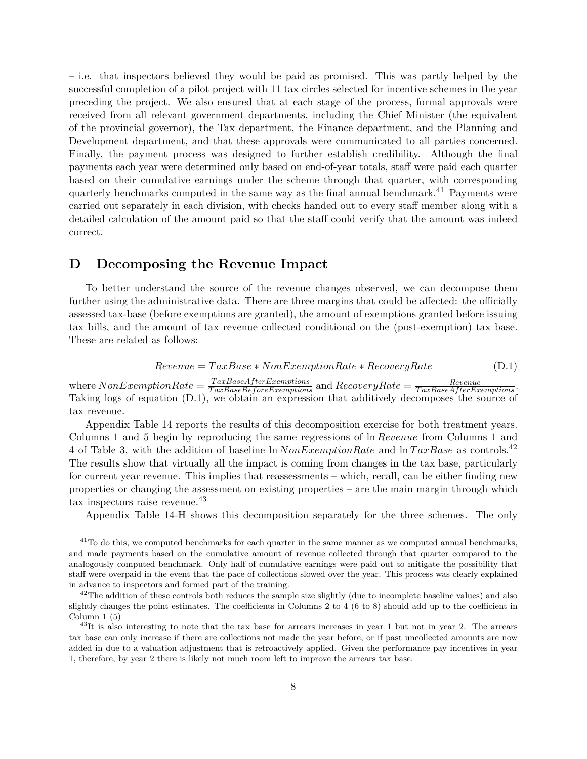– i.e. that inspectors believed they would be paid as promised. This was partly helped by the successful completion of a pilot project with 11 tax circles selected for incentive schemes in the year preceding the project. We also ensured that at each stage of the process, formal approvals were received from all relevant government departments, including the Chief Minister (the equivalent of the provincial governor), the Tax department, the Finance department, and the Planning and Development department, and that these approvals were communicated to all parties concerned. Finally, the payment process was designed to further establish credibility. Although the final payments each year were determined only based on end-of-year totals, staff were paid each quarter based on their cumulative earnings under the scheme through that quarter, with corresponding quarterly benchmarks computed in the same way as the final annual benchmark.<sup>41</sup> Payments were carried out separately in each division, with checks handed out to every staff member along with a detailed calculation of the amount paid so that the staff could verify that the amount was indeed correct.

## **D Decomposing the Revenue Impact**

To better understand the source of the revenue changes observed, we can decompose them further using the administrative data. There are three margins that could be affected: the officially assessed tax-base (before exemptions are granted), the amount of exemptions granted before issuing tax bills, and the amount of tax revenue collected conditional on the (post-exemption) tax base. These are related as follows:

$$
Revenue = TaxBase * NonExemption Rate * Recovery Rate
$$
 (D.1)

where  $NonExemption Rate = \frac{TaxBaseAfter Exemptions}{TaxBaseBeforeExemptions}$  and  $RecoveryRate = \frac{Revenue}{TaxBaseAfterExemptions}$ . Taking logs of equation (D.1), we obtain an expression that additively decomposes the source of tax revenue.

Appendix Table 14 reports the results of this decomposition exercise for both treatment years. Columns 1 and 5 begin by reproducing the same regressions of ln *Revenue* from Columns 1 and 4 of Table 3, with the addition of baseline ln *NonExemptionRate* and ln *T axBase* as controls.<sup>42</sup> The results show that virtually all the impact is coming from changes in the tax base, particularly for current year revenue. This implies that reassessments – which, recall, can be either finding new properties or changing the assessment on existing properties – are the main margin through which tax inspectors raise revenue.<sup>43</sup>

Appendix Table 14-H shows this decomposition separately for the three schemes. The only

 $41$ To do this, we computed benchmarks for each quarter in the same manner as we computed annual benchmarks, and made payments based on the cumulative amount of revenue collected through that quarter compared to the analogously computed benchmark. Only half of cumulative earnings were paid out to mitigate the possibility that staff were overpaid in the event that the pace of collections slowed over the year. This process was clearly explained in advance to inspectors and formed part of the training.

 $42$ The addition of these controls both reduces the sample size slightly (due to incomplete baseline values) and also slightly changes the point estimates. The coefficients in Columns 2 to 4 (6 to 8) should add up to the coefficient in Column 1 (5)

 $^{43}$ It is also interesting to note that the tax base for arrears increases in year 1 but not in year 2. The arrears tax base can only increase if there are collections not made the year before, or if past uncollected amounts are now added in due to a valuation adjustment that is retroactively applied. Given the performance pay incentives in year 1, therefore, by year 2 there is likely not much room left to improve the arrears tax base.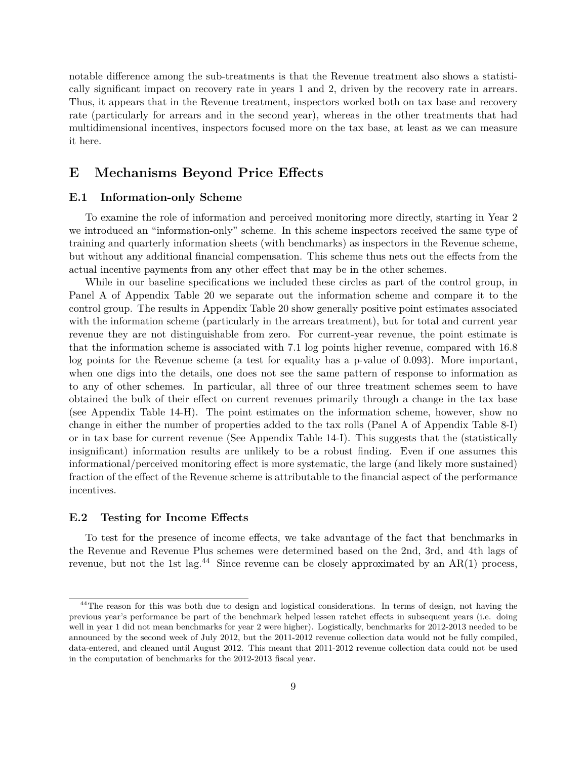notable difference among the sub-treatments is that the Revenue treatment also shows a statistically significant impact on recovery rate in years 1 and 2, driven by the recovery rate in arrears. Thus, it appears that in the Revenue treatment, inspectors worked both on tax base and recovery rate (particularly for arrears and in the second year), whereas in the other treatments that had multidimensional incentives, inspectors focused more on the tax base, at least as we can measure it here.

## **E Mechanisms Beyond Price Effects**

## **E.1 Information-only Scheme**

To examine the role of information and perceived monitoring more directly, starting in Year 2 we introduced an "information-only" scheme. In this scheme inspectors received the same type of training and quarterly information sheets (with benchmarks) as inspectors in the Revenue scheme, but without any additional financial compensation. This scheme thus nets out the effects from the actual incentive payments from any other effect that may be in the other schemes.

While in our baseline specifications we included these circles as part of the control group, in Panel A of Appendix Table 20 we separate out the information scheme and compare it to the control group. The results in Appendix Table 20 show generally positive point estimates associated with the information scheme (particularly in the arrears treatment), but for total and current year revenue they are not distinguishable from zero. For current-year revenue, the point estimate is that the information scheme is associated with 7.1 log points higher revenue, compared with 16.8 log points for the Revenue scheme (a test for equality has a p-value of 0.093). More important, when one digs into the details, one does not see the same pattern of response to information as to any of other schemes. In particular, all three of our three treatment schemes seem to have obtained the bulk of their effect on current revenues primarily through a change in the tax base (see Appendix Table 14-H). The point estimates on the information scheme, however, show no change in either the number of properties added to the tax rolls (Panel A of Appendix Table 8-I) or in tax base for current revenue (See Appendix Table 14-I). This suggests that the (statistically insignificant) information results are unlikely to be a robust finding. Even if one assumes this informational/perceived monitoring effect is more systematic, the large (and likely more sustained) fraction of the effect of the Revenue scheme is attributable to the financial aspect of the performance incentives.

### **E.2 Testing for Income Effects**

To test for the presence of income effects, we take advantage of the fact that benchmarks in the Revenue and Revenue Plus schemes were determined based on the 2nd, 3rd, and 4th lags of revenue, but not the 1st lag.<sup>44</sup> Since revenue can be closely approximated by an AR(1) process,

<sup>&</sup>lt;sup>44</sup>The reason for this was both due to design and logistical considerations. In terms of design, not having the previous year's performance be part of the benchmark helped lessen ratchet effects in subsequent years (i.e. doing well in year 1 did not mean benchmarks for year 2 were higher). Logistically, benchmarks for 2012-2013 needed to be announced by the second week of July 2012, but the 2011-2012 revenue collection data would not be fully compiled, data-entered, and cleaned until August 2012. This meant that 2011-2012 revenue collection data could not be used in the computation of benchmarks for the 2012-2013 fiscal year.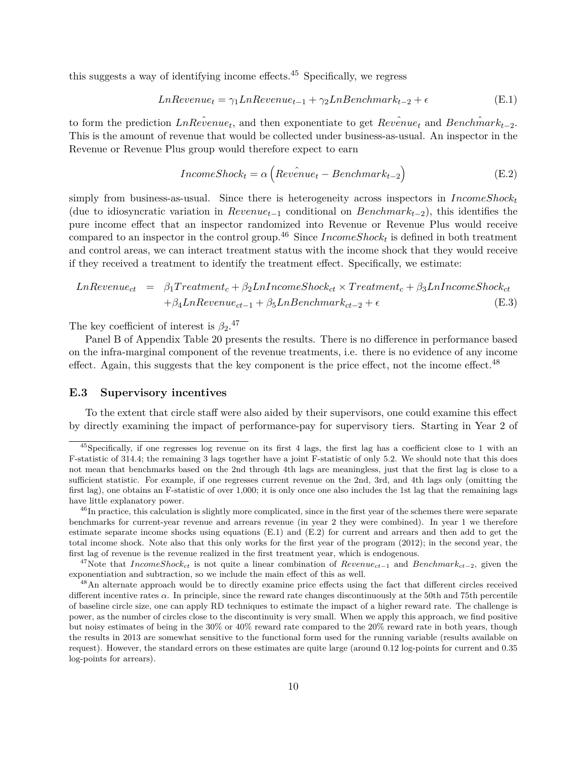this suggests a way of identifying income effects.  $45$  Specifically, we regress

$$
Ln Revenue_t = \gamma_1 Ln Revenue_{t-1} + \gamma_2 LnBenchmark_{t-2} + \epsilon
$$
 (E.1)

to form the prediction  $LnRe\hat{v}enue_t$ , and then exponentiate to get  $Re\hat{v}enue_t$  and  $Bench\hat{m}ark_{t-2}$ . This is the amount of revenue that would be collected under business-as-usual. An inspector in the Revenue or Revenue Plus group would therefore expect to earn

$$
Income Shock_t = \alpha \left( Review_t - Benchmark_{t-2} \right) \tag{E.2}
$$

simply from business-as-usual. Since there is heterogeneity across inspectors in *IncomeShock<sup>t</sup>* (due to idiosyncratic variation in *Revenuet*−<sup>1</sup> conditional on *Benchmarkt*−2), this identifies the pure income effect that an inspector randomized into Revenue or Revenue Plus would receive compared to an inspector in the control group.<sup>46</sup> Since  $IncomeShock_t$  is defined in both treatment and control areas, we can interact treatment status with the income shock that they would receive if they received a treatment to identify the treatment effect. Specifically, we estimate:

$$
Ln Revenue_{ct} = \beta_1 Treatment_c + \beta_2Ln IncomeShock_{ct} \times Treatment_c + \beta_3Ln IncomeShock_{ct} + \beta_4Ln Revenue_{ct-1} + \beta_5LnBernmark_{ct-2} + \epsilon
$$
(E.3)

The key coefficient of interest is  $\beta_2$ <sup>47</sup>

Panel B of Appendix Table 20 presents the results. There is no difference in performance based on the infra-marginal component of the revenue treatments, i.e. there is no evidence of any income effect. Again, this suggests that the key component is the price effect, not the income effect.<sup>48</sup>

### **E.3 Supervisory incentives**

To the extent that circle staff were also aided by their supervisors, one could examine this effect by directly examining the impact of performance-pay for supervisory tiers. Starting in Year 2 of

 $^{45}$ Specifically, if one regresses log revenue on its first 4 lags, the first lag has a coefficient close to 1 with an F-statistic of 314.4; the remaining 3 lags together have a joint F-statistic of only 5.2. We should note that this does not mean that benchmarks based on the 2nd through 4th lags are meaningless, just that the first lag is close to a sufficient statistic. For example, if one regresses current revenue on the 2nd, 3rd, and 4th lags only (omitting the first lag), one obtains an F-statistic of over 1,000; it is only once one also includes the 1st lag that the remaining lags have little explanatory power.

<sup>&</sup>lt;sup>46</sup>In practice, this calculation is slightly more complicated, since in the first year of the schemes there were separate benchmarks for current-year revenue and arrears revenue (in year 2 they were combined). In year 1 we therefore estimate separate income shocks using equations (E.1) and (E.2) for current and arrears and then add to get the total income shock. Note also that this only works for the first year of the program (2012); in the second year, the first lag of revenue is the revenue realized in the first treatment year, which is endogenous.

<sup>47</sup>Note that *IncomeShockct* is not quite a linear combination of *Revenuect*−<sup>1</sup> and *Benchmarkct*−2, given the exponentiation and subtraction, so we include the main effect of this as well.

<sup>&</sup>lt;sup>48</sup>An alternate approach would be to directly examine price effects using the fact that different circles received different incentive rates  $\alpha$ . In principle, since the reward rate changes discontinuously at the 50th and 75th percentile of baseline circle size, one can apply RD techniques to estimate the impact of a higher reward rate. The challenge is power, as the number of circles close to the discontinuity is very small. When we apply this approach, we find positive but noisy estimates of being in the 30% or 40% reward rate compared to the 20% reward rate in both years, though the results in 2013 are somewhat sensitive to the functional form used for the running variable (results available on request). However, the standard errors on these estimates are quite large (around 0.12 log-points for current and 0.35 log-points for arrears).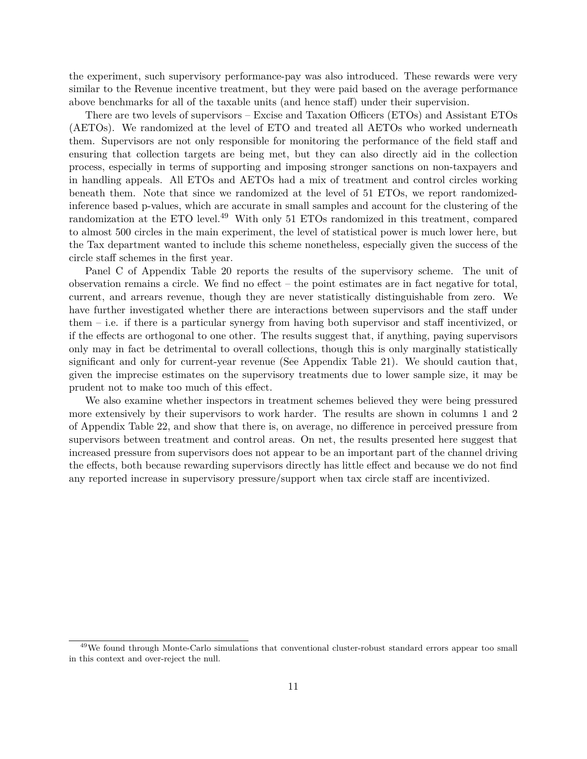the experiment, such supervisory performance-pay was also introduced. These rewards were very similar to the Revenue incentive treatment, but they were paid based on the average performance above benchmarks for all of the taxable units (and hence staff) under their supervision.

There are two levels of supervisors – Excise and Taxation Officers (ETOs) and Assistant ETOs (AETOs). We randomized at the level of ETO and treated all AETOs who worked underneath them. Supervisors are not only responsible for monitoring the performance of the field staff and ensuring that collection targets are being met, but they can also directly aid in the collection process, especially in terms of supporting and imposing stronger sanctions on non-taxpayers and in handling appeals. All ETOs and AETOs had a mix of treatment and control circles working beneath them. Note that since we randomized at the level of 51 ETOs, we report randomizedinference based p-values, which are accurate in small samples and account for the clustering of the randomization at the ETO level.<sup>49</sup> With only 51 ETOs randomized in this treatment, compared to almost 500 circles in the main experiment, the level of statistical power is much lower here, but the Tax department wanted to include this scheme nonetheless, especially given the success of the circle staff schemes in the first year.

Panel C of Appendix Table 20 reports the results of the supervisory scheme. The unit of observation remains a circle. We find no effect – the point estimates are in fact negative for total, current, and arrears revenue, though they are never statistically distinguishable from zero. We have further investigated whether there are interactions between supervisors and the staff under them – i.e. if there is a particular synergy from having both supervisor and staff incentivized, or if the effects are orthogonal to one other. The results suggest that, if anything, paying supervisors only may in fact be detrimental to overall collections, though this is only marginally statistically significant and only for current-year revenue (See Appendix Table 21). We should caution that, given the imprecise estimates on the supervisory treatments due to lower sample size, it may be prudent not to make too much of this effect.

We also examine whether inspectors in treatment schemes believed they were being pressured more extensively by their supervisors to work harder. The results are shown in columns 1 and 2 of Appendix Table 22, and show that there is, on average, no difference in perceived pressure from supervisors between treatment and control areas. On net, the results presented here suggest that increased pressure from supervisors does not appear to be an important part of the channel driving the effects, both because rewarding supervisors directly has little effect and because we do not find any reported increase in supervisory pressure/support when tax circle staff are incentivized.

<sup>&</sup>lt;sup>49</sup>We found through Monte-Carlo simulations that conventional cluster-robust standard errors appear too small in this context and over-reject the null.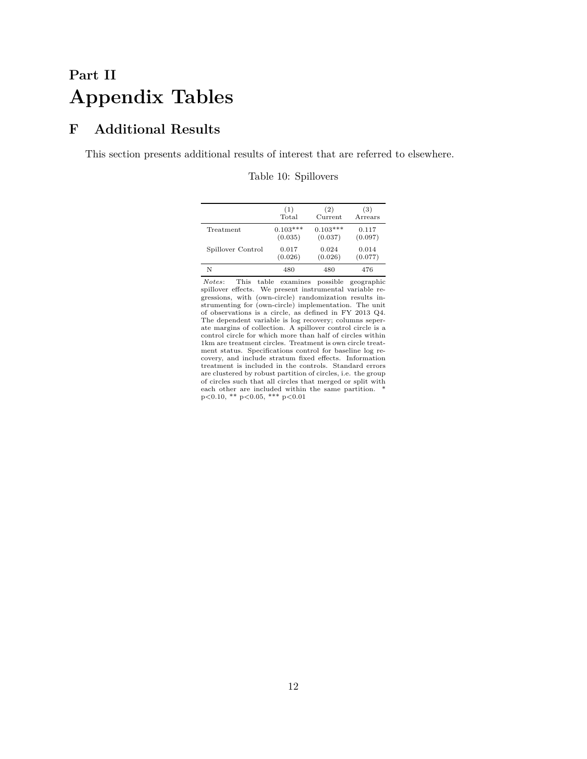# **Part II Appendix Tables**

# **F Additional Results**

This section presents additional results of interest that are referred to elsewhere.

|                   | (1)        | (2)        | (3)     |
|-------------------|------------|------------|---------|
|                   | Total      | Current    | Arrears |
| Treatment         | $0.103***$ | $0.103***$ | 0.117   |
|                   | (0.035)    | (0.037)    | (0.097) |
| Spillover Control | 0.017      | 0.024      | 0.014   |
|                   | (0.026)    | (0.026)    | (0.077) |
| N                 | 480        | 480        | 476     |
|                   |            |            |         |

Notes: This table examines possible geographic spillover effects. We present instrumental variable re-gressions, with (own-circle) randomization results instrumenting for (own-circle) implementation. The unit of observations is a circle, as defined in FY 2013 Q4. The dependent variable is log recovery; columns seperate margins of collection. A spillover control circle is a control circle for which more than half of circles within 1km are treatment circles. Treatment is own circle treatment status. Specifications control for baseline log recovery, and include stratum fixed effects. Information treatment is included in the controls. Standard errors are clustered by robust partition of circles, i.e. the group of circles such that all circles that merged or split with each other are included within the same partition. p<0.10, \*\* p<0.05, \*\*\* p<0.01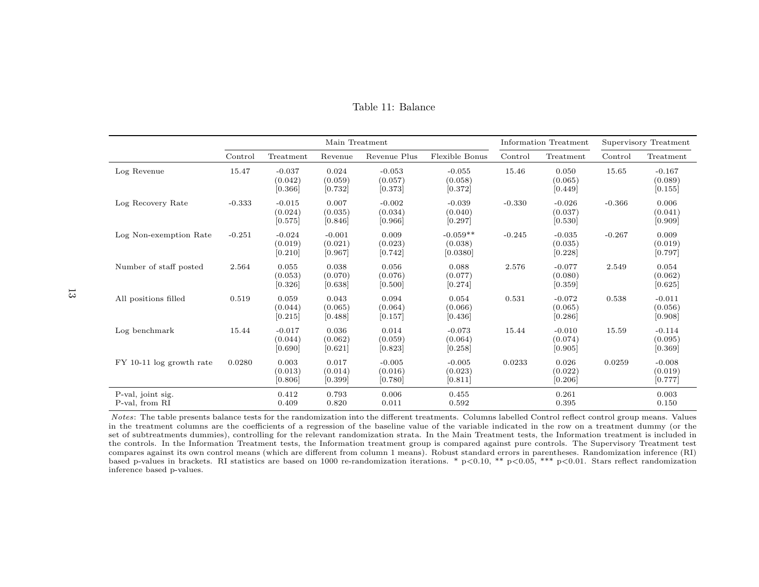|                                     |          |                                | Main Treatment                 |                                |                                   |          | Information Treatment          | Supervisory Treatment |                                |
|-------------------------------------|----------|--------------------------------|--------------------------------|--------------------------------|-----------------------------------|----------|--------------------------------|-----------------------|--------------------------------|
|                                     | Control  | Treatment                      | Revenue                        | Revenue Plus                   | Flexible Bonus                    | Control  | Treatment                      | Control               | Treatment                      |
| Log Revenue                         | 15.47    | $-0.037$<br>(0.042)<br>[0.366] | 0.024<br>(0.059)<br>[0.732]    | $-0.053$<br>(0.057)<br>[0.373] | $-0.055$<br>(0.058)<br>[0.372]    | 15.46    | 0.050<br>(0.065)<br>[0.449]    | 15.65                 | $-0.167$<br>(0.089)<br>[0.155] |
| Log Recovery Rate                   | $-0.333$ | $-0.015$<br>(0.024)<br>[0.575] | 0.007<br>(0.035)<br>[0.846]    | $-0.002$<br>(0.034)<br>[0.966] | $-0.039$<br>(0.040)<br>[0.297]    | $-0.330$ | $-0.026$<br>(0.037)<br>[0.530] | $-0.366$              | 0.006<br>(0.041)<br>[0.909]    |
| Log Non-exemption Rate              | $-0.251$ | $-0.024$<br>(0.019)<br>[0.210] | $-0.001$<br>(0.021)<br>[0.967] | 0.009<br>(0.023)<br>[0.742]    | $-0.059**$<br>(0.038)<br>[0.0380] | $-0.245$ | $-0.035$<br>(0.035)<br>[0.228] | $-0.267$              | 0.009<br>(0.019)<br>[0.797]    |
| Number of staff posted              | 2.564    | 0.055<br>(0.053)<br>[0.326]    | 0.038<br>(0.070)<br>[0.638]    | 0.056<br>(0.076)<br>[0.500]    | 0.088<br>(0.077)<br>[0.274]       | 2.576    | $-0.077$<br>(0.080)<br>[0.359] | 2.549                 | 0.054<br>(0.062)<br>[0.625]    |
| All positions filled                | 0.519    | 0.059<br>(0.044)<br>$[0.215]$  | 0.043<br>(0.065)<br>[0.488]    | 0.094<br>(0.064)<br>[0.157]    | 0.054<br>(0.066)<br>[0.436]       | 0.531    | $-0.072$<br>(0.065)<br>[0.286] | 0.538                 | $-0.011$<br>(0.056)<br>[0.908] |
| Log benchmark                       | 15.44    | $-0.017$<br>(0.044)<br>[0.690] | 0.036<br>(0.062)<br>[0.621]    | 0.014<br>(0.059)<br>[0.823]    | $-0.073$<br>(0.064)<br>[0.258]    | 15.44    | $-0.010$<br>(0.074)<br>[0.905] | 15.59                 | $-0.114$<br>(0.095)<br>[0.369] |
| FY 10-11 log growth rate            | 0.0280   | 0.003<br>(0.013)<br>[0.806]    | 0.017<br>(0.014)<br>$[0.399]$  | $-0.005$<br>(0.016)<br>[0.780] | $-0.005$<br>(0.023)<br>[0.811]    | 0.0233   | 0.026<br>(0.022)<br>[0.206]    | 0.0259                | $-0.008$<br>(0.019)<br>[0.777] |
| P-val, joint sig.<br>P-val, from RI |          | 0.412<br>0.409                 | 0.793<br>0.820                 | 0.006<br>0.011                 | 0.455<br>0.592                    |          | 0.261<br>0.395                 |                       | 0.003<br>0.150                 |

Table 11: Balance

Notes: The table presents balance tests for the randomization into the different treatments. Columns labelled Control reflect control group means. Values in the treatment columns are the coefficients of a regression of the baseline value of the variable indicated in the row on a treatment dummy (or the set of subtreatments dummies), controlling for the relevant randomization strata. In the Main Treatment tests, the Information treatment is included in the controls. In the Information Treatment tests, the Information treatment group is compared against pure controls. The Supervisory Treatment test compares against its own control means (which are different from column 1 means). Robust standard errors in parentheses. Randomization inference (RI) based p-values in brackets. RI statistics are based on 1000 re-randomization iterations. \* p<0.10, \*\* p<0.05, \*\*\* p<0.01. Stars reflect randomizationinference based p-values.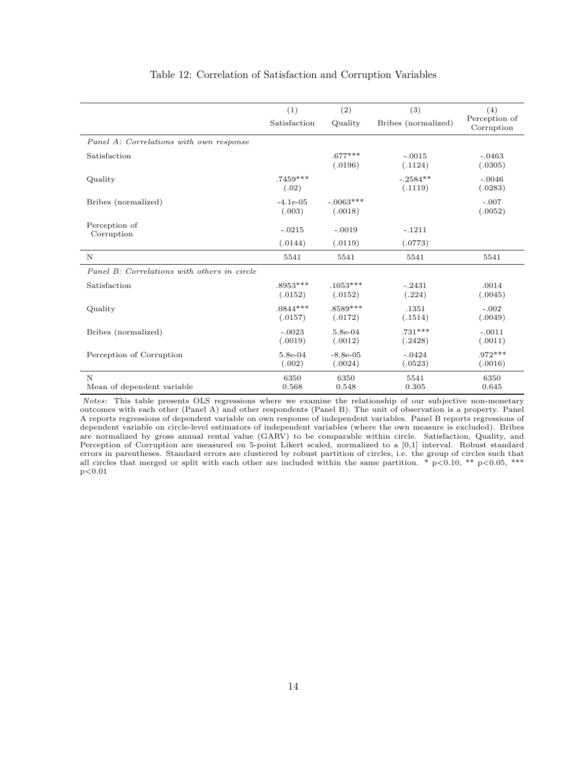|                                             | (1)                   | (2)                    | (3)                   | (4)                         |
|---------------------------------------------|-----------------------|------------------------|-----------------------|-----------------------------|
|                                             | Satisfaction          | Quality                | Bribes (normalized)   | Perception of<br>Corruption |
| Panel A: Correlations with own response     |                       |                        |                       |                             |
| Satisfaction                                |                       | $.677***$<br>(.0196)   | $-.0015$<br>(.1124)   | $-.0463$<br>(.0305)         |
| Quality                                     | $.7459***$<br>(.02)   |                        | $-.2584**$<br>(.1119) | $-.0046$<br>(.0283)         |
| Bribes (normalized)                         | $-4.1e-05$<br>(.003)  | $-.0063***$<br>(.0018) |                       | $-.007$<br>(.0052)          |
| Perception of<br>Corruption                 | $-.0215$              | $-.0019$               | $-.1211$              |                             |
|                                             | (.0144)               | (.0119)                | (.0773)               |                             |
| N                                           | 5541                  | 5541                   | 5541                  | 5541                        |
| Panel B: Correlations with others in circle |                       |                        |                       |                             |
| Satisfaction                                | $.8953***$<br>(.0152) | $.1053***$<br>(.0152)  | $-.2431$<br>(.224)    | .0014<br>(.0045)            |
| Quality                                     | $.0844***$<br>(.0157) | $.8589***$<br>(.0172)  | .1351<br>(.1514)      | $-.002$<br>(.0049)          |
| Bribes (normalized)                         | $-.0023$<br>(.0019)   | 5.8e-04<br>(.0012)     | $.731***$<br>(.2428)  | $-.0011$<br>(.0011)         |
| Perception of Corruption                    | 5.8e-04<br>(.002)     | $-8.8e-05$<br>(.0024)  | $-.0424$<br>(.0523)   | $.972***$<br>(.0016)        |
| N<br>Mean of dependent variable             | 6350<br>0.568         | 6350<br>0.548          | 5541<br>0.305         | 6350<br>0.645               |

### Table 12: Correlation of Satisfaction and Corruption Variables

Notes: This table presents OLS regressions where we examine the relationship of our subjective non-monetary outcomes with each other (Panel A) and other respondents (Panel B). The unit of observation is a property. Panel A reports regressions of dependent variable on own response of independent variables. Panel B reports regressions of dependent variable on circle-level estimators of independent variables (where the own measure is excluded). Bribes are normalized by gross annual rental value (GARV) to be comparable within circle. Satisfaction, Quality, and Perception of Corruption are measured on 5-point Likert scaled, normalized to a [0,1] interval. Robust standard errors in parentheses. Standard errors are clustered by robust partition of circles, i.e. the group of circles such that all circles that merged or split with each other are included within the same partition. \*  $p<0.10$ , \*\*  $p<0.05$ , \*\*\*  $p < 0.01$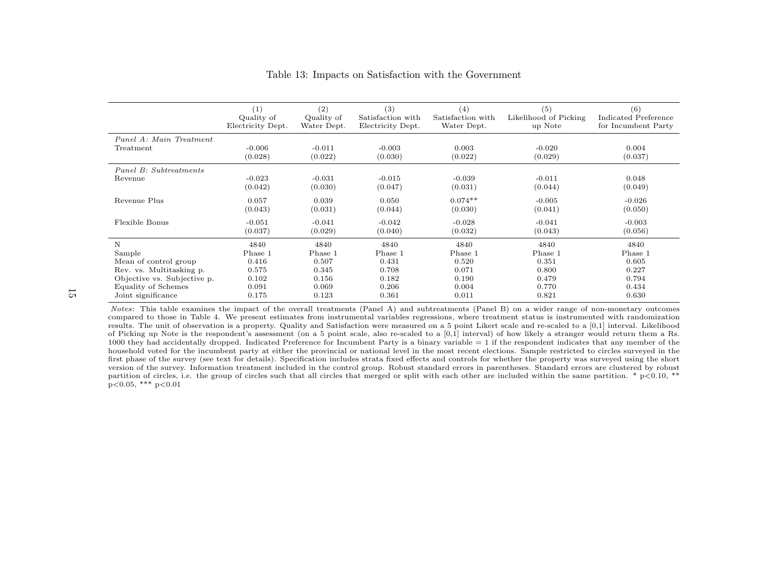|                             | (1)               | $\left( 2\right)$ | (3)               | (4)               | (5)                   | (6)                  |
|-----------------------------|-------------------|-------------------|-------------------|-------------------|-----------------------|----------------------|
|                             | Quality of        | Quality of        | Satisfaction with | Satisfaction with | Likelihood of Picking | Indicated Preference |
|                             | Electricity Dept. | Water Dept.       | Electricity Dept. | Water Dept.       | up Note               | for Incumbent Party  |
| Panel A: Main Treatment     | $-0.006$          | $-0.011$          | $-0.003$          | 0.003             | $-0.020$              | 0.004                |
| Treatment                   | (0.028)           | (0.022)           | (0.030)           | (0.022)           | (0.029)               | (0.037)              |
| Panel B: Subtreatments      | $-0.023$          | $-0.031$          | $-0.015$          | $-0.039$          | $-0.011$              | 0.048                |
| Revenue                     | (0.042)           | (0.030)           | (0.047)           | (0.031)           | (0.044)               | (0.049)              |
| Revenue Plus                | 0.057             | 0.039             | 0.050             | $0.074**$         | $-0.005$              | $-0.026$             |
|                             | (0.043)           | (0.031)           | (0.044)           | (0.030)           | (0.041)               | (0.050)              |
| Flexible Bonus              | $-0.051$          | $-0.041$          | $-0.042$          | $-0.028$          | $-0.041$              | $-0.003$             |
|                             | (0.037)           | (0.029)           | (0.040)           | (0.032)           | (0.043)               | (0.056)              |
| Ν                           | 4840              | 4840              | 4840              | 4840              | 4840                  | 4840                 |
| Sample                      | Phase 1           | Phase 1           | Phase 1           | Phase 1           | Phase 1               | Phase 1              |
| Mean of control group       | 0.416             | 0.507             | 0.431             | 0.520             | 0.351                 | 0.605                |
| Rev. vs. Multitasking p.    | 0.575             | 0.345             | 0.708             | 0.071             | 0.800                 | 0.227                |
| Objective vs. Subjective p. | 0.102             | 0.156             | 0.182             | 0.190             | 0.479                 | 0.794                |
| Equality of Schemes         | 0.091             | 0.069             | 0.206             | 0.004             | 0.770                 | 0.434                |
| Joint significance          | 0.175             | 0.123             | 0.361             | 0.011             | 0.821                 | 0.630                |

## Table 13: Impacts on Satisfaction with the Government

Notes: This table examines the impact of the overall treatments (Panel A) and subtreatments (Panel B) on a wider range of non-monetary outcomes compared to those in Table 4. We present estimates from instrumental variables regressions, where treatment status is instrumented with randomization results. The unit of observation is a property. Quality and Satisfaction were measured on a 5 point Likert scale and re-scaled to a [0,1] interval. Likelihood of Picking up Note is the respondent's assessment (on a 5 point scale, also re-scaled to a [0,1] interval) of how likely a stranger would return them a Rs. 1000 they had accidentally dropped. Indicated Preference for Incumbent Party is a binary variable = 1 if the respondent indicates that any member of the household voted for the incumbent party at either the provincial or national level in the most recent elections. Sample restricted to circles surveyed in the first phase of the survey (see text for details). Specification includes strata fixed effects and controls for whether the property was surveyed using the short version of the survey. Information treatment included in the control group. Robust standard errors in parentheses. Standard errors are clustered by robustpartition of circles, i.e. the group of circles such that all circles that merged or split with each other are included within the same partition. \* p<0.10, \*\*  $p<0.05$ , \*\*\*  $p<0.01$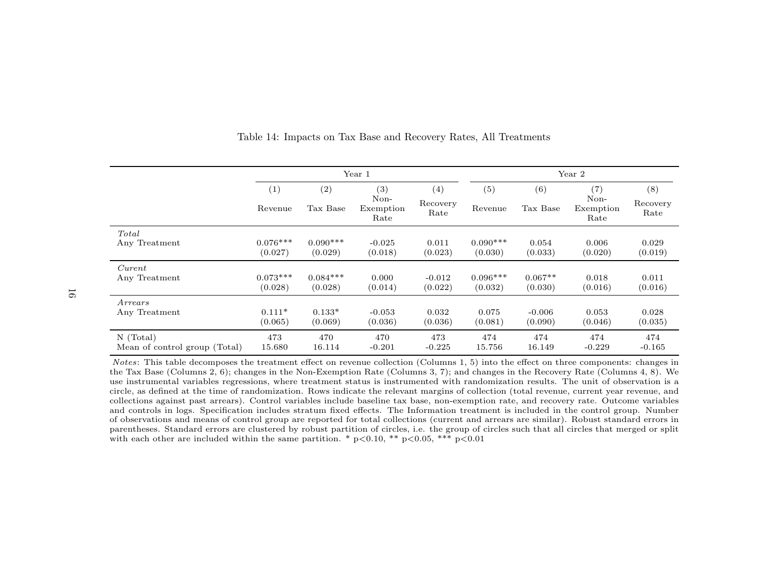|                               |                |                 | Year 1                           |                         | Year 2         |                 |                                  |                         |
|-------------------------------|----------------|-----------------|----------------------------------|-------------------------|----------------|-----------------|----------------------------------|-------------------------|
|                               | (1)<br>Revenue | (2)<br>Tax Base | (3)<br>Non-<br>Exemption<br>Rate | (4)<br>Recovery<br>Rate | (5)<br>Revenue | (6)<br>Tax Base | (7)<br>Non-<br>Exemption<br>Rate | (8)<br>Recovery<br>Rate |
| Total                         | $0.076***$     | $0.090***$      | $-0.025$                         | 0.011                   | $0.090***$     | 0.054           | 0.006                            | 0.029                   |
| Any Treatment                 | (0.027)        | (0.029)         | (0.018)                          | (0.023)                 | (0.030)        | (0.033)         | (0.020)                          | (0.019)                 |
| Current                       | $0.073***$     | $0.084***$      | 0.000                            | $-0.012$                | $0.096***$     | $0.067**$       | 0.018                            | 0.011                   |
| Any Treatment                 | (0.028)        | (0.028)         | (0.014)                          | (0.022)                 | (0.032)        | (0.030)         | (0.016)                          | (0.016)                 |
| Arrears                       | $0.111*$       | $0.133*$        | $-0.053$                         | 0.032                   | 0.075          | $-0.006$        | 0.053                            | 0.028                   |
| Any Treatment                 | (0.065)        | (0.069)         | (0.036)                          | (0.036)                 | (0.081)        | (0.090)         | (0.046)                          | (0.035)                 |
| $N$ (Total)                   | 473            | 470             | 470                              | 473                     | 474            | 474             | 474                              | 474                     |
| Mean of control group (Total) | 15.680         | 16.114          | $-0.201$                         | $-0.225$                | 15.756         | 16.149          | $-0.229$                         | $-0.165$                |

Table 14: Impacts on Tax Base and Recovery Rates, All Treatments

Notes: This table decomposes the treatment effect on revenue collection (Columns 1, 5) into the effect on three components: changes in the Tax Base (Columns 2, 6); changes in the Non-Exemption Rate (Columns 3, 7); and changes in the Recovery Rate (Columns 4, 8). We use instrumental variables regressions, where treatment status is instrumented with randomization results. The unit of observation is a circle, as defined at the time of randomization. Rows indicate the relevant margins of collection (total revenue, current year revenue, and collections against past arrears). Control variables include baseline tax base, non-exemption rate, and recovery rate. Outcome variables and controls in logs. Specification includes stratum fixed effects. The Information treatment is included in the control group. Number of observations and means of control group are reported for total collections (current and arrears are similar). Robust standard errors in parentheses. Standard errors are clustered by robust partition of circles, i.e. the group of circles such that all circles that merged or splitwith each other are included within the same partition. \*  $p<0.10$ , \*\*  $p<0.05$ , \*\*\*  $p<0.01$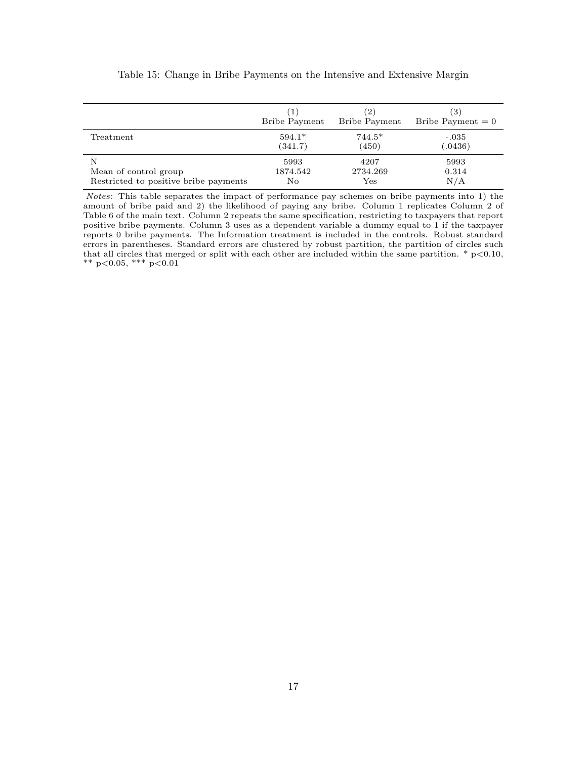|                                       | T                    | (2)                  | $\left(3\right)$    |
|---------------------------------------|----------------------|----------------------|---------------------|
|                                       | <b>Bribe Payment</b> | Bribe Payment        | Bribe Payment $= 0$ |
| Treatment                             | $594.1*$             | $744.5*$             | $-.035$             |
|                                       | (341.7)              | (450)                | (.0436)             |
| N                                     | 5993                 | 4207                 | 5993                |
| Mean of control group                 | 1874.542             | 2734.269             | 0.314               |
| Restricted to positive bribe payments | No                   | $\operatorname{Yes}$ | N/A                 |

### Table 15: Change in Bribe Payments on the Intensive and Extensive Margin

Notes: This table separates the impact of performance pay schemes on bribe payments into 1) the amount of bribe paid and 2) the likelihood of paying any bribe. Column 1 replicates Column 2 of Table 6 of the main text. Column 2 repeats the same specification, restricting to taxpayers that report positive bribe payments. Column 3 uses as a dependent variable a dummy equal to 1 if the taxpayer reports 0 bribe payments. The Information treatment is included in the controls. Robust standard errors in parentheses. Standard errors are clustered by robust partition, the partition of circles such that all circles that merged or split with each other are included within the same partition.  $*$  p $< 0.10$ , \*\* p<0.05, \*\*\* p<0.01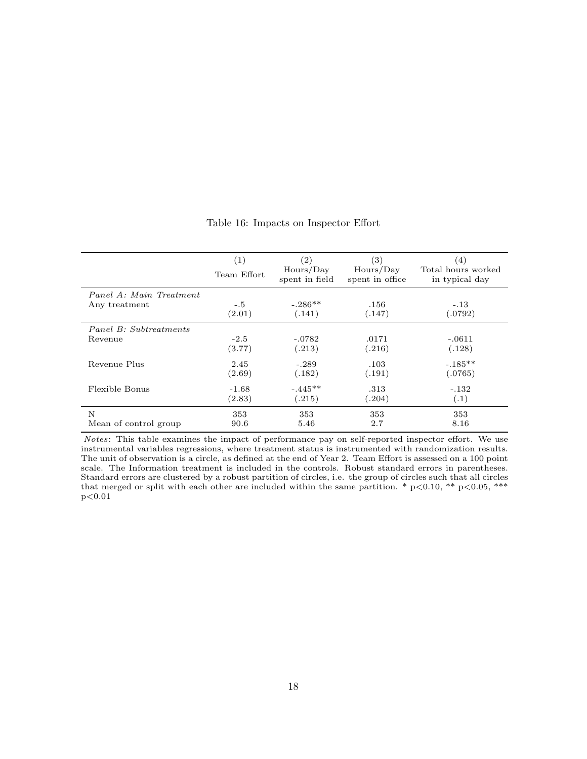|                         | (1)<br>Team Effort | $\left( 2\right)$<br>Hours/Day<br>spent in field | (3)<br>Hours/Day<br>spent in office | (4)<br>Total hours worked<br>in typical day |
|-------------------------|--------------------|--------------------------------------------------|-------------------------------------|---------------------------------------------|
| Panel A: Main Treatment | $-.5$              | $-.286**$                                        | .156                                | $-.13$                                      |
| Any treatment           | (2.01)             | (.141)                                           | (.147)                              | (.0792)                                     |
| Panel B: Subtreatments  | $-2.5$             | $-.0782$                                         | .0171                               | $-.0611$                                    |
| Revenue                 | (3.77)             | (.213)                                           | (.216)                              | (.128)                                      |
| Revenue Plus            | 2.45               | $-.289$                                          | .103                                | $-.185**$                                   |
|                         | (2.69)             | (.182)                                           | (.191)                              | (.0765)                                     |
| Flexible Bonus          | $-1.68$            | $-.445**$                                        | .313                                | $-.132$                                     |
|                         | (2.83)             | (.215)                                           | (.204)                              | (.1)                                        |
| N                       | 353                | 353                                              | 353                                 | 353                                         |
| Mean of control group   | 90.6               | 5.46                                             | 2.7                                 | 8.16                                        |

## Table 16: Impacts on Inspector Effort

Notes: This table examines the impact of performance pay on self-reported inspector effort. We use instrumental variables regressions, where treatment status is instrumented with randomization results. The unit of observation is a circle, as defined at the end of Year 2. Team Effort is assessed on a 100 point scale. The Information treatment is included in the controls. Robust standard errors in parentheses. Standard errors are clustered by a robust partition of circles, i.e. the group of circles such that all circles that merged or split with each other are included within the same partition. \*  $p<0.10$ , \*\*  $p<0.05$ , \*\*\*  $p<0.01$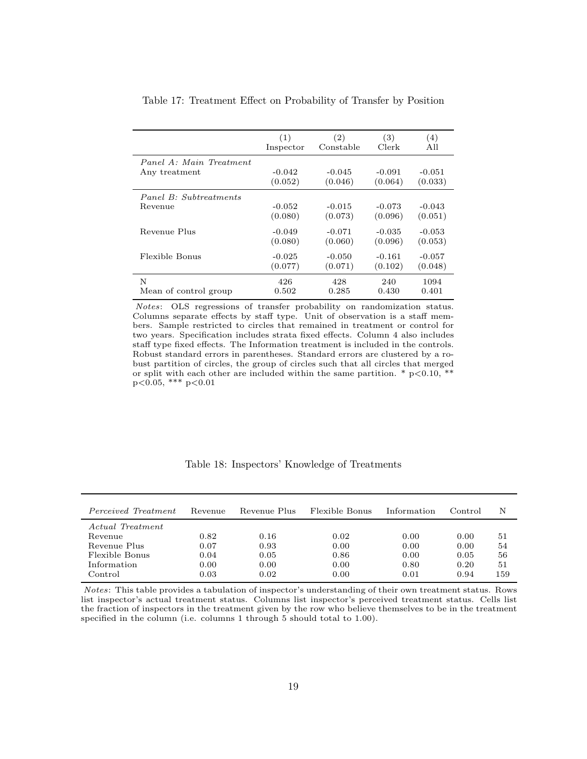|                         | (1)       | (2)       | (3)      | (4)      |
|-------------------------|-----------|-----------|----------|----------|
|                         | Inspector | Constable | Clerk    | All      |
| Panel A: Main Treatment | $-0.042$  | $-0.045$  | $-0.091$ | $-0.051$ |
| Any treatment           | (0.052)   | (0.046)   | (0.064)  | (0.033)  |
| Panel B: Subtreatments  | $-0.052$  | $-0.015$  | $-0.073$ | $-0.043$ |
| Revenue                 | (0.080)   | (0.073)   | (0.096)  | (0.051)  |
| Revenue Plus            | $-0.049$  | $-0.071$  | $-0.035$ | $-0.053$ |
|                         | (0.080)   | (0.060)   | (0.096)  | (0.053)  |
| Flexible Bonus          | $-0.025$  | $-0.050$  | $-0.161$ | $-0.057$ |
|                         | (0.077)   | (0.071)   | (0.102)  | (0.048)  |
| N                       | 426       | 428       | 240      | 1094     |
| Mean of control group   | 0.502     | 0.285     | 0.430    | 0.401    |

Table 17: Treatment Effect on Probability of Transfer by Position

Notes: OLS regressions of transfer probability on randomization status. Columns separate effects by staff type. Unit of observation is a staff members. Sample restricted to circles that remained in treatment or control for two years. Specification includes strata fixed effects. Column 4 also includes staff type fixed effects. The Information treatment is included in the controls. Robust standard errors in parentheses. Standard errors are clustered by a robust partition of circles, the group of circles such that all circles that merged or split with each other are included within the same partition. \*  $p<0.10$ , \*\*  $p<0.05$ , \*\*\*  $p<0.01$ 

| Perceived Treatment | Revenue | Revenue Plus | Flexible Bonus | Information | Control | N   |
|---------------------|---------|--------------|----------------|-------------|---------|-----|
| Actual Treatment    |         |              |                |             |         |     |
| Revenue             | 0.82    | 0.16         | 0.02           | 0.00        | 0.00    | 51  |
| Revenue Plus        | 0.07    | 0.93         | 0.00           | 0.00        | 0.00    | 54  |
| Flexible Bonus      | 0.04    | 0.05         | 0.86           | 0.00        | 0.05    | 56  |
| Information         | 0.00    | 0.00         | 0.00           | 0.80        | 0.20    | 51  |
| Control             | 0.03    | 0.02         | 0.00           | 0.01        | 0.94    | 159 |

Table 18: Inspectors' Knowledge of Treatments

Notes: This table provides a tabulation of inspector's understanding of their own treatment status. Rows list inspector's actual treatment status. Columns list inspector's perceived treatment status. Cells list the fraction of inspectors in the treatment given by the row who believe themselves to be in the treatment specified in the column (i.e. columns 1 through 5 should total to 1.00).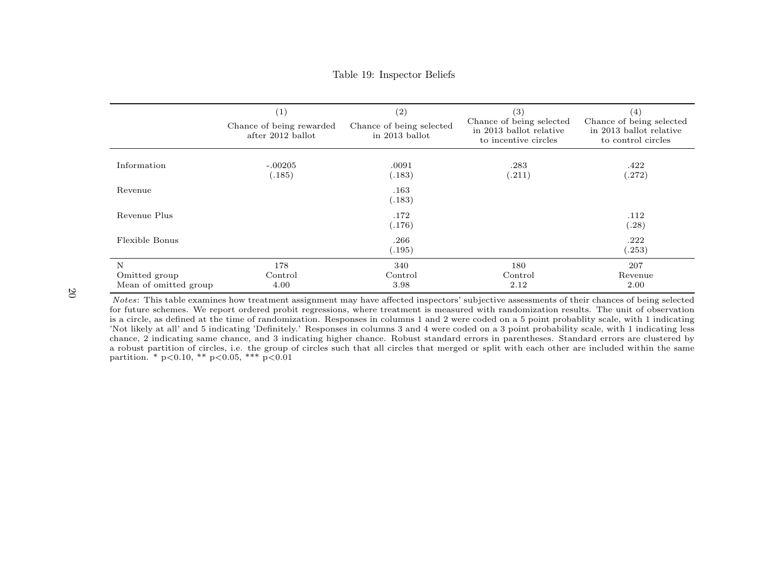### Table 19: Inspector Beliefs

|                                             | $\left( 1\right)$<br>Chance of being rewarded<br>after 2012 ballot | (2)<br>Chance of being selected<br>in 2013 ballot | $\left(3\right)$<br>Chance of being selected<br>in 2013 ballot relative<br>to incentive circles | $\left( 4\right)$<br>Chance of being selected<br>in 2013 ballot relative<br>to control circles |
|---------------------------------------------|--------------------------------------------------------------------|---------------------------------------------------|-------------------------------------------------------------------------------------------------|------------------------------------------------------------------------------------------------|
| Information                                 | $-.00205$<br>(.185)                                                | .0091<br>(.183)                                   | .283<br>(.211)                                                                                  | .422<br>(.272)                                                                                 |
| Revenue                                     |                                                                    | .163<br>(.183)                                    |                                                                                                 |                                                                                                |
| Revenue Plus                                |                                                                    | .172<br>(.176)                                    |                                                                                                 | .112<br>(.28)                                                                                  |
| Flexible Bonus                              |                                                                    | .266<br>(.195)                                    |                                                                                                 | .222<br>(.253)                                                                                 |
| N<br>Omitted group<br>Mean of omitted group | 178<br>Control<br>4.00                                             | 340<br>Control<br>3.98                            | 180<br>Control<br>2.12                                                                          | 207<br>Revenue<br>2.00                                                                         |

Notes: This table examines how treatment assignment may have affected inspectors' subjective assessments of their chances of being selected for future schemes. We report ordered probit regressions, where treatment is measured with randomization results. The unit of observation is a circle, as defined at the time of randomization. Responses in columns 1 and 2 were coded on a 5 point probablity scale, with 1 indicating 'Not likely at all' and 5 indicating 'Definitely.' Responses in columns 3 and 4 were coded on a 3 point probability scale, with 1 indicating less chance, 2 indicating same chance, and 3 indicating higher chance. Robust standard errors in parentheses. Standard errors are clustered by a robust partition of circles, i.e. the group of circles such that all circles that merged or split with each other are included within the samepartition. \* p<0.10, \*\* p<0.05, \*\*\* p<0.01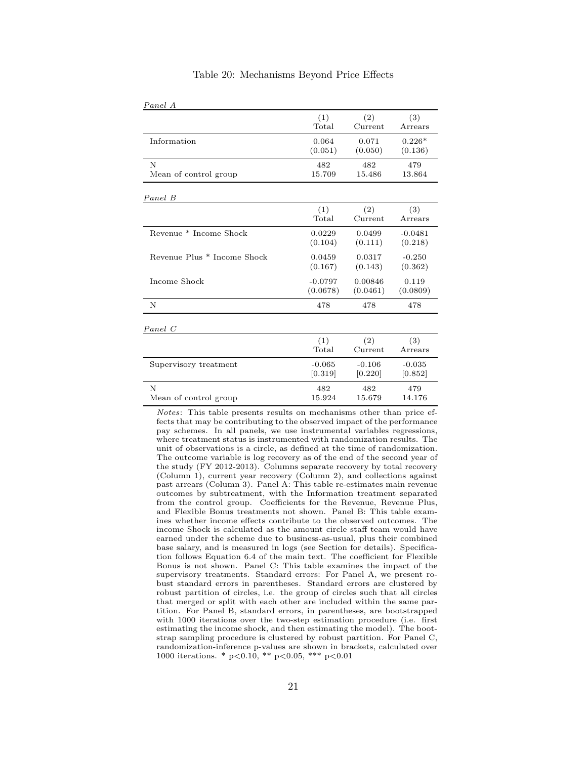| Panel A                     |                |          |           |
|-----------------------------|----------------|----------|-----------|
|                             | (1)            | (2)      | (3)       |
|                             | $_{\rm Total}$ | Current  | Arrears   |
| Information                 | 0.064          | 0.071    | $0.226*$  |
|                             | (0.051)        | (0.050)  | (0.136)   |
| N                           | 482            | 482      | 479       |
| Mean of control group       | 15.709         | 15.486   | 13.864    |
| Panel B                     |                |          |           |
|                             | (1)            | (2)      | (3)       |
|                             | $_{\rm Total}$ | Current  | Arrears   |
| Revenue * Income Shock      | 0.0229         | 0.0499   | $-0.0481$ |
|                             | (0.104)        | (0.111)  | (0.218)   |
| Revenue Plus * Income Shock | 0.0459         | 0.0317   | $-0.250$  |
|                             | (0.167)        | (0.143)  | (0.362)   |
| Income Shock                | $-0.0797$      | 0.00846  | 0.119     |
|                             | (0.0678)       | (0.0461) | (0.0809)  |
| N                           | 478            | 478      | 478       |
| Panel C                     |                |          |           |
|                             | (1)            | (2)      | (3)       |
|                             | $_{\rm Total}$ | Current  | Arrears   |
| Supervisory treatment       | $-0.065$       | $-0.106$ | $-0.035$  |
|                             | [0.319]        | [0.220]  | [0.852]   |
| N                           | 482            | 482      | 479       |
| Mean of control group       | 15.924         | 15.679   | 14.176    |

### Table 20: Mechanisms Beyond Price Effects

Notes: This table presents results on mechanisms other than price effects that may be contributing to the observed impact of the performance pay schemes. In all panels, we use instrumental variables regressions, where treatment status is instrumented with randomization results. The unit of observations is a circle, as defined at the time of randomization. The outcome variable is log recovery as of the end of the second year of the study (FY 2012-2013). Columns separate recovery by total recovery (Column 1), current year recovery (Column 2), and collections against past arrears (Column 3). Panel A: This table re-estimates main revenue outcomes by subtreatment, with the Information treatment separated from the control group. Coefficients for the Revenue, Revenue Plus, and Flexible Bonus treatments not shown. Panel B: This table examines whether income effects contribute to the observed outcomes. The income Shock is calculated as the amount circle staff team would have earned under the scheme due to business-as-usual, plus their combined base salary, and is measured in logs (see Section for details). Specification follows Equation 6.4 of the main text. The coefficient for Flexible Bonus is not shown. Panel C: This table examines the impact of the supervisory treatments. Standard errors: For Panel A, we present robust standard errors in parentheses. Standard errors are clustered by robust partition of circles, i.e. the group of circles such that all circles that merged or split with each other are included within the same partition. For Panel B, standard errors, in parentheses, are bootstrapped with 1000 iterations over the two-step estimation procedure (i.e. first estimating the income shock, and then estimating the model). The bootstrap sampling procedure is clustered by robust partition. For Panel C, randomization-inference p-values are shown in brackets, calculated over 1000 iterations. \* p<0.10, \*\* p<0.05, \*\*\* p<0.01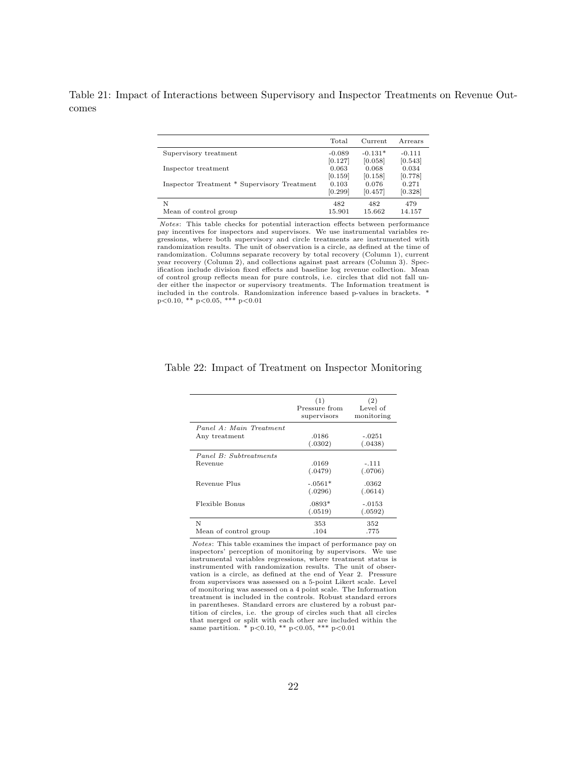Table 21: Impact of Interactions between Supervisory and Inspector Treatments on Revenue Outcomes

|                                             | Total    | Current   | Arrears  |
|---------------------------------------------|----------|-----------|----------|
| Supervisory treatment                       | $-0.089$ | $-0.131*$ | $-0.111$ |
|                                             | [0.127]  | [0.058]   | [0.543]  |
| Inspector treatment                         | 0.063    | 0.068     | 0.034    |
|                                             | [0.159]  | [0.158]   | [0.778]  |
| Inspector Treatment * Supervisory Treatment | 0.103    | 0.076     | 0.271    |
|                                             | [0.299]  | [0.457]   | [0.328]  |
| N                                           | 482      | 482       | 479      |
| Mean of control group                       | 15.901   | 15.662    | 14.157   |

Notes: This table checks for potential interaction effects between performance pay incentives for inspectors and supervisors. We use instrumental variables regressions, where both supervisory and circle treatments are instrumented with randomization results. The unit of observation is a circle, as defined at the time of randomization. Columns separate recovery by total recovery (Column 1), current year recovery (Column 2), and collections against past arrears (Column 3). Specification include division fixed effects and baseline log revenue collection. Mean of control group reflects mean for pure controls, i.e. circles that did not fall un-der either the inspector or supervisory treatments. The Information treatment is included in the controls. Randomization inference based p-values in brackets. \* p<0.10, \*\* p<0.05, \*\*\* p<0.01

|                                          | (1)<br>Pressure from<br>supervisors | (2)<br>Level of<br>monitoring |
|------------------------------------------|-------------------------------------|-------------------------------|
| Panel A: Main Treatment<br>Any treatment | .0186<br>(.0302)                    | $-.0251$<br>(.0438)           |
| Panel B: Subtreatments<br>Revenue        | .0169<br>(.0479)                    | $-.111$<br>(.0706)            |
| Revenue Plus                             | $-.0561*$<br>(.0296)                | .0362<br>(.0614)              |
| Flexible Bonus                           | $.0893*$<br>(.0519)                 | $-.0153$<br>(.0592)           |
| N<br>Mean of control group               | 353<br>.104                         | 352<br>.775                   |

### Table 22: Impact of Treatment on Inspector Monitoring

Notes: This table examines the impact of performance pay on inspectors' perception of monitoring by supervisors. We use instrumental variables regressions, where treatment status is instrumented with randomization results. The unit of observation is a circle, as defined at the end of Year 2. Pressure from supervisors was assessed on a 5-point Likert scale. Level of monitoring was assessed on a 4 point scale. The Information treatment is included in the controls. Robust standard errors in parentheses. Standard errors are clustered by a robust partition of circles, i.e. the group of circles such that all circles that merged or split with each other are included within the same partition.  $*$  p<0.10,  $*$  p<0.05,  $**$  p<0.01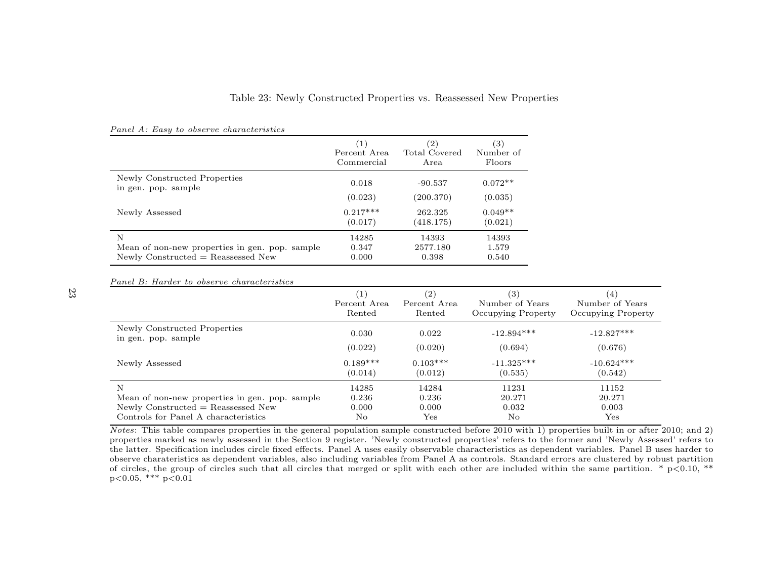## Table 23: Newly Constructed Properties vs. Reassessed New Properties

|                                                     | $\left(1\right)$<br>Percent Area<br>Commercial | (2)<br>Total Covered<br>Area | (3)<br>Number of<br>Floors |
|-----------------------------------------------------|------------------------------------------------|------------------------------|----------------------------|
| Newly Constructed Properties<br>in gen. pop. sample | 0.018                                          | $-90.537$                    | $0.072**$                  |
|                                                     | (0.023)                                        | (200.370)                    | (0.035)                    |
| Newly Assessed                                      | $0.217***$<br>(0.017)                          | 262.325<br>(418.175)         | $0.049**$<br>(0.021)       |
| N                                                   | 14285                                          | 14393                        | 14393                      |
| Mean of non-new properties in gen. pop. sample      | 0.347                                          | 2577.180                     | 1.579                      |
| $Newly Constructured = Reassessed New$              | 0.000                                          | 0.398                        | 0.540                      |

#### Panel A: Easy to observe characteristics

Panel B: Harder to observe characteristics

|                                                | $\left(1\right)$ | (2)                  | (3)                | (4)                  |
|------------------------------------------------|------------------|----------------------|--------------------|----------------------|
|                                                | Percent Area     | Percent Area         | Number of Years    | Number of Years      |
|                                                | Rented           | Rented               | Occupying Property | Occupying Property   |
| Newly Constructed Properties                   | 0.030            | 0.022                | $-12.894***$       | $-12.827***$         |
| in gen. pop. sample                            | (0.022)          | (0.020)              | (0.694)            | (0.676)              |
| Newly Assessed                                 | $0.189***$       | $0.103***$           | $-11.325***$       | $-10.624***$         |
|                                                | (0.014)          | (0.012)              | (0.535)            | (0.542)              |
| N                                              | 14285            | 14284                | 11231              | 11152                |
| Mean of non-new properties in gen. pop. sample | 0.236            | 0.236                | 20.271             | 20.271               |
| Newly Constructed $=$ Reassessed New           | 0.000            | 0.000                | 0.032              | 0.003                |
| Controls for Panel A characteristics           | No.              | $\operatorname{Yes}$ | No                 | $\operatorname{Yes}$ |

Notes: This table compares properties in the general population sample constructed before 2010 with 1) properties built in or after 2010; and 2) properties marked as newly assessed in the Section 9 register. 'Newly constructed properties' refers to the former and 'Newly Assessed' refers to the latter. Specification includes circle fixed effects. Panel A uses easily observable characteristics as dependent variables. Panel B uses harder to observe charateristics as dependent variables, also including variables from Panel A as controls. Standard errors are clustered by robust partition of circles, the group of circles such that all circles that merged or split with each other are included within the same partition. \* p<0.10, \*\* $p<0.05$ , \*\*\*  $p<0.01$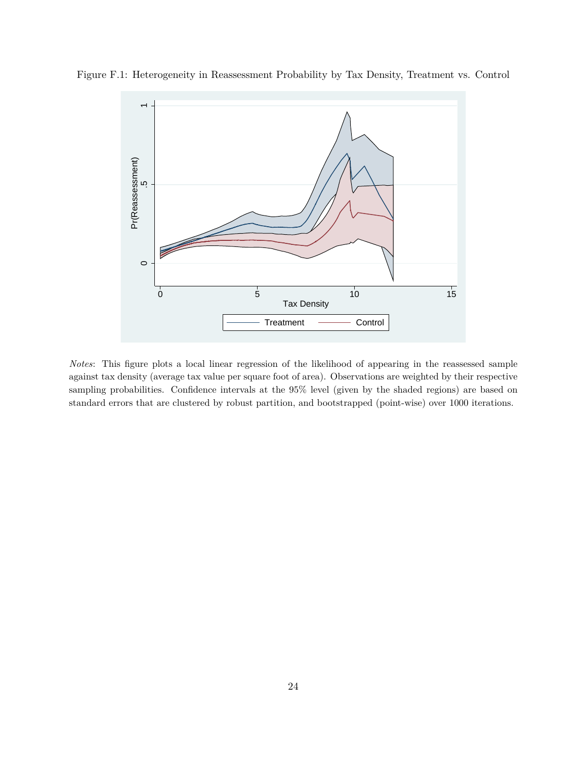

Figure F.1: Heterogeneity in Reassessment Probability by Tax Density, Treatment vs. Control

*Notes*: This figure plots a local linear regression of the likelihood of appearing in the reassessed sample against tax density (average tax value per square foot of area). Observations are weighted by their respective sampling probabilities. Confidence intervals at the 95% level (given by the shaded regions) are based on standard errors that are clustered by robust partition, and bootstrapped (point-wise) over 1000 iterations.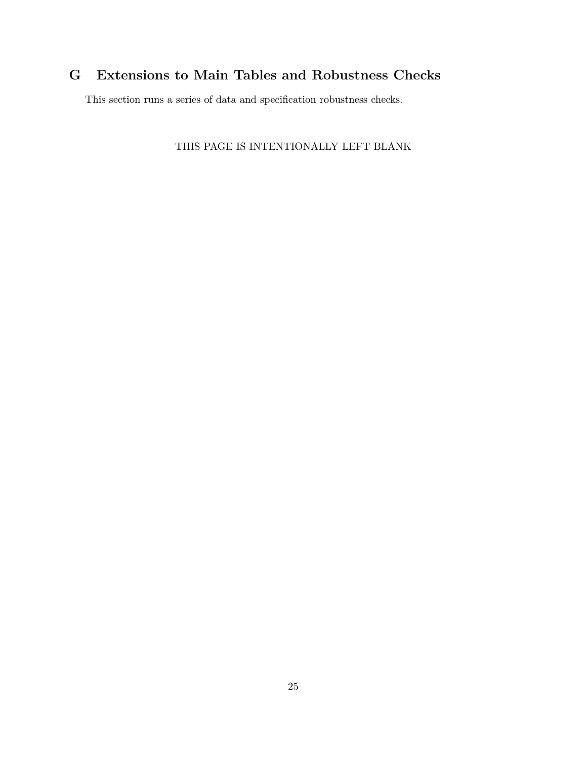# **G Extensions to Main Tables and Robustness Checks**

This section runs a series of data and specification robustness checks.

THIS PAGE IS INTENTIONALLY LEFT BLANK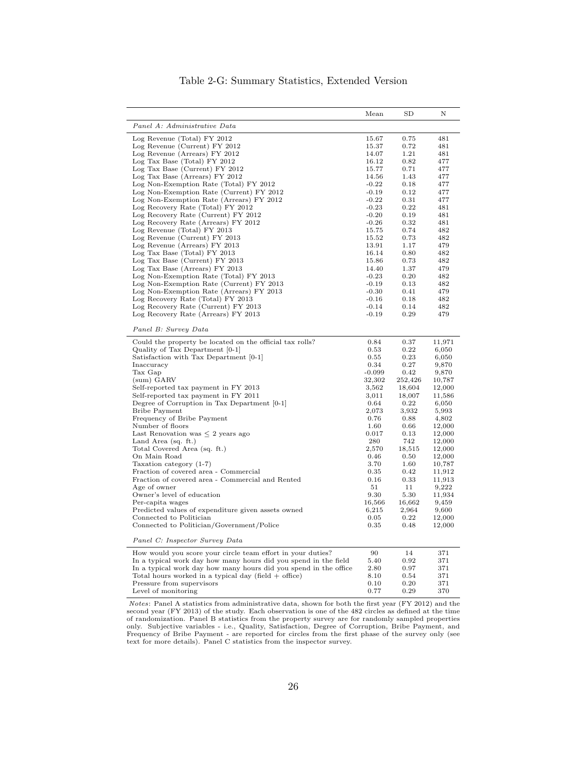|                                                                                    | Mean               | SD                | Ν                |
|------------------------------------------------------------------------------------|--------------------|-------------------|------------------|
| Panel A: Administrative Data                                                       |                    |                   |                  |
| Log Revenue (Total) FY 2012                                                        | 15.67              | 0.75              | 481              |
| Log Revenue (Current) FY 2012                                                      | 15.37              | 0.72              | 481              |
| Log Revenue (Arrears) FY 2012                                                      | 14.07              | 1.21              | 481              |
| Log Tax Base (Total) FY 2012                                                       | 16.12              | 0.82              | 477              |
| Log Tax Base (Current) FY 2012                                                     | 15.77              | 0.71              | 477              |
| Log Tax Base (Arrears) FY 2012<br>Log Non-Exemption Rate (Total) FY 2012           | 14.56<br>$-0.22$   | 1.43<br>0.18      | 477<br>477       |
| Log Non-Exemption Rate (Current) FY 2012                                           | $-0.19$            | 0.12              | 477              |
| Log Non-Exemption Rate (Arrears) FY 2012                                           | $-0.22$            | 0.31              | 477              |
| Log Recovery Rate (Total) FY 2012                                                  | $-0.23$            | 0.22              | 481              |
| Log Recovery Rate (Current) FY 2012                                                | $-0.20$            | 0.19              | 481              |
| Log Recovery Rate (Arrears) FY 2012                                                | $-0.26$            | 0.32              | 481              |
| Log Revenue (Total) FY 2013                                                        | 15.75              | 0.74              | 482              |
| Log Revenue (Current) FY 2013                                                      | 15.52              | 0.73              | 482              |
| Log Revenue (Arrears) FY 2013                                                      | 13.91              | 1.17              | 479              |
| Log Tax Base (Total) FY 2013                                                       | 16.14              | 0.80              | 482              |
| Log Tax Base (Current) FY 2013                                                     | 15.86              | 0.73              | 482              |
| Log Tax Base (Arrears) FY 2013                                                     | 14.40              | 1.37              | 479              |
| Log Non-Exemption Rate (Total) FY 2013<br>Log Non-Exemption Rate (Current) FY 2013 | $-0.23$<br>$-0.19$ | 0.20<br>0.13      | 482<br>482       |
| Log Non-Exemption Rate (Arrears) FY 2013                                           | $-0.30$            | 0.41              | 479              |
| Log Recovery Rate (Total) FY 2013                                                  | $-0.16$            | 0.18              | 482              |
| Log Recovery Rate (Current) FY 2013                                                | $-0.14$            | 0.14              | 482              |
| Log Recovery Rate (Arrears) FY 2013                                                | $-0.19$            | 0.29              | 479              |
|                                                                                    |                    |                   |                  |
| Panel B: Survey Data                                                               |                    |                   |                  |
| Could the property be located on the official tax rolls?                           | 0.84               | 0.37              | 11,971           |
| Quality of Tax Department [0-1]                                                    | 0.53               | 0.22              | 6,050            |
| Satisfaction with Tax Department [0-1]                                             | 0.55               | 0.23              | 6,050            |
| Inaccuracy                                                                         | 0.34               | 0.27              | 9,870            |
| Tax Gap                                                                            | $-0.099$           | 0.42              | 9,870            |
| (sum) GARV<br>Self-reported tax payment in FY 2013                                 | 32,302<br>3,562    | 252,426<br>18,604 | 10,787<br>12,000 |
| Self-reported tax payment in FY 2011                                               | 3,011              | 18,007            | 11,586           |
| Degree of Corruption in Tax Department [0-1]                                       | 0.64               | 0.22              | 6,050            |
| <b>Bribe Payment</b>                                                               | 2,073              | 3,932             | 5,993            |
| Frequency of Bribe Payment                                                         | 0.76               | 0.88              | 4,802            |
| Number of floors                                                                   | 1.60               | 0.66              | 12,000           |
| Last Renovation was $\leq 2$ years ago                                             | 0.017              | 0.13              | 12,000           |
| Land Area $(sq. ft.)$                                                              | 280                | 742               | 12,000           |
| Total Covered Area (sq. ft.)                                                       | 2,570              | 18,515            | 12,000           |
| On Main Road                                                                       | 0.46               | 0.50              | 12,000           |
| Taxation category (1-7)                                                            | 3.70               | 1.60              | 10,787           |
| Fraction of covered area - Commercial                                              | 0.35               | 0.42              | 11,912           |
| Fraction of covered area - Commercial and Rented                                   | 0.16               | 0.33              | 11,913           |
| Age of owner                                                                       | 51                 | 11                | 9,222            |
| Owner's level of education<br>Per-capita wages                                     | 9.30<br>16,566     | 5.30<br>16,662    | 11,934<br>9,459  |
| Predicted values of expenditure given assets owned                                 | 6,215              | 2,964             | 9,600            |
| Connected to Politician                                                            | 0.05               | 0.22              | 12,000           |
| Connected to Politician/Government/Police                                          | 0.35               | 0.48              | 12,000           |
| Panel C: Inspector Survey Data                                                     |                    |                   |                  |
| How would you score your circle team effort in your duties?                        | 90                 | 14                | 371              |
| In a typical work day how many hours did you spend in the field                    | 5.40               | 0.92              | 371              |
| In a typical work day how many hours did you spend in the office                   | 2.80               | 0.97              | 371              |
| Total hours worked in a typical day (field $+$ office)                             | 8.10               | 0.54              | 371              |
| Pressure from supervisors                                                          | 0.10               | 0.20              | 371              |
| Level of monitoring                                                                | 0.77               | 0.29              | 370              |

## Table 2-G: Summary Statistics, Extended Version

*Notes*: Panel A statistics from administrative data, shown for both the first year (FY 2012) and the second year (FY 2013) of the study. Each observation is one of the 482 circles as defined at the time of randomization.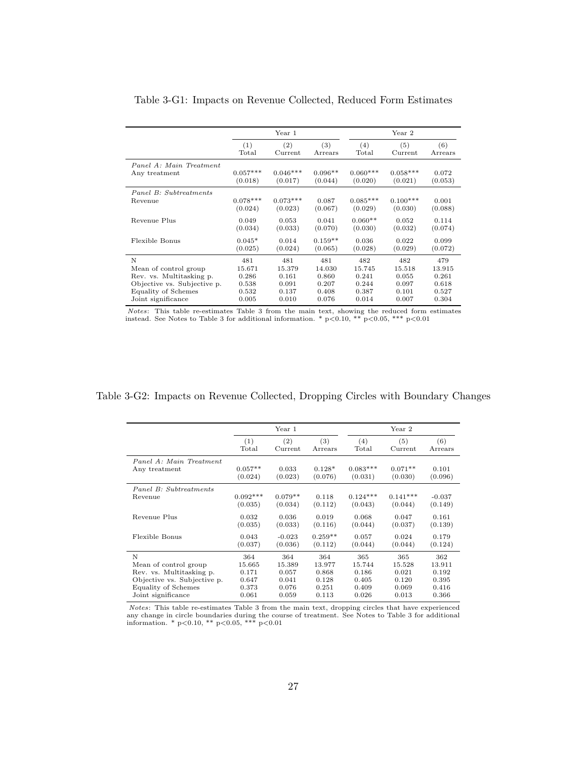|                             |            | Year 1     |           |            | Year 2     |         |
|-----------------------------|------------|------------|-----------|------------|------------|---------|
|                             | (1)        | (2)        | (3)       | (4)        | (5)        | (6)     |
|                             | Total      | Current    | Arrears   | Total      | Current    | Arrears |
| Panel A: Main Treatment     | $0.057***$ | $0.046***$ | $0.096**$ | $0.060***$ | $0.058***$ | 0.072   |
| Any treatment               | (0.018)    | (0.017)    | (0.044)   | (0.020)    | (0.021)    | (0.053) |
| Panel B: Subtreatments      | $0.078***$ | $0.073***$ | 0.087     | $0.085***$ | $0.100***$ | 0.001   |
| Revenue                     | (0.024)    | (0.023)    | (0.067)   | (0.029)    | (0.030)    | (0.088) |
| Revenue Plus                | 0.049      | 0.053      | 0.041     | $0.060**$  | 0.052      | 0.114   |
|                             | (0.034)    | (0.033)    | (0.070)   | (0.030)    | (0.032)    | (0.074) |
| Flexible Bonus              | $0.045*$   | 0.014      | $0.159**$ | 0.036      | 0.022      | 0.099   |
|                             | (0.025)    | (0.024)    | (0.065)   | (0.028)    | (0.029)    | (0.072) |
| N                           | 481        | 481        | 481       | 482        | 482        | 479     |
| Mean of control group       | 15.671     | 15.379     | 14.030    | 15.745     | 15.518     | 13.915  |
| Rev. vs. Multitasking p.    | 0.286      | 0.161      | 0.860     | 0.241      | 0.055      | 0.261   |
| Objective vs. Subjective p. | 0.538      | 0.091      | 0.207     | 0.244      | 0.097      | 0.618   |
| Equality of Schemes         | 0.532      | 0.137      | 0.408     | 0.387      | 0.101      | 0.527   |
| Joint significance          | 0.005      | 0.010      | 0.076     | 0.014      | 0.007      | 0.304   |

Table 3-G1: Impacts on Revenue Collected, Reduced Form Estimates

*Notes*: This table re-estimates Table 3 from the main text, showing the reduced form estimates instead. See Notes to Table 3 for additional information. \*  $p<0.10$ , \*\*  $p<0.05$ , \*\*\*  $p<0.01$ 

Table 3-G2: Impacts on Revenue Collected, Dropping Circles with Boundary Changes

|                                          |            | Year 1    |           |            | Year 2     |          |
|------------------------------------------|------------|-----------|-----------|------------|------------|----------|
|                                          | (1)        | (2)       | (3)       | (4)        | (5)        | (6)      |
|                                          | Total      | Current   | Arrears   | Total      | Current    | Arrears  |
| Panel A: Main Treatment<br>Any treatment | $0.057**$  | 0.033     | $0.128*$  | $0.083***$ | $0.071**$  | 0.101    |
|                                          | (0.024)    | (0.023)   | (0.076)   | (0.031)    | (0.030)    | (0.096)  |
| Panel B: Subtreatments                   | $0.092***$ | $0.079**$ | 0.118     | $0.124***$ | $0.141***$ | $-0.037$ |
| Revenue                                  | (0.035)    | (0.034)   | (0.112)   | (0.043)    | (0.044)    | (0.149)  |
| Revenue Plus                             | 0.032      | 0.036     | 0.019     | 0.068      | 0.047      | 0.161    |
|                                          | (0.035)    | (0.033)   | (0.116)   | (0.044)    | (0.037)    | (0.139)  |
| Flexible Bonus                           | 0.043      | $-0.023$  | $0.259**$ | 0.057      | 0.024      | 0.179    |
|                                          | (0.037)    | (0.036)   | (0.112)   | (0.044)    | (0.044)    | (0.124)  |
| N                                        | 364        | 364       | 364       | 365        | 365        | 362      |
| Mean of control group                    | 15.665     | 15.389    | 13.977    | 15.744     | 15.528     | 13.911   |
| Rev. vs. Multitasking p.                 | 0.171      | 0.057     | 0.868     | 0.186      | 0.021      | 0.192    |
| Objective vs. Subjective p.              | 0.647      | 0.041     | 0.128     | 0.405      | 0.120      | 0.395    |
| Equality of Schemes                      | 0.373      | 0.076     | 0.251     | 0.409      | 0.069      | 0.416    |
| Joint significance                       | 0.061      | 0.059     | 0.113     | 0.026      | 0.013      | 0.366    |

Notes: This table re-estimates Table 3 from the main text, dropping circles that have experienced any change in circle boundaries during the course of treatment. See Notes to Table 3 for additional information. \* p<0.10, \*\* p<0.05, \*\*\* p<0.01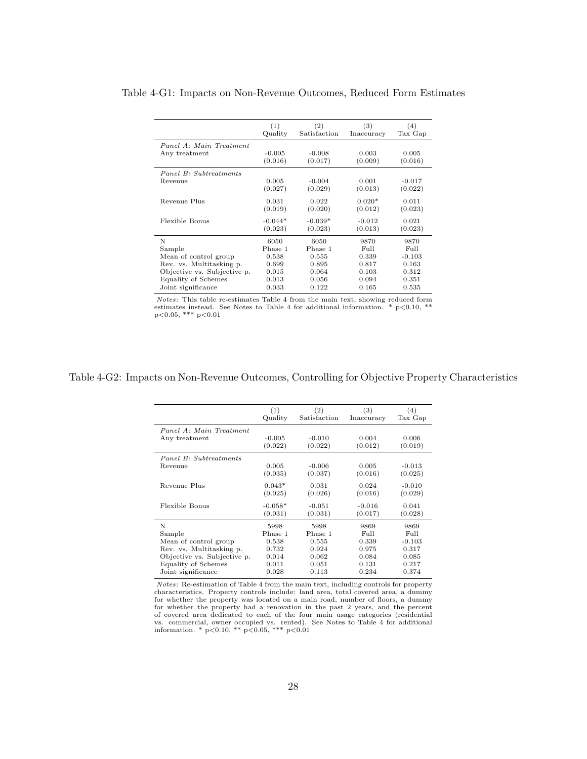|                             | (1)<br>Quality | (2)<br>Satisfaction | (3)<br>Inaccuracy | (4)<br>Tax Gap |
|-----------------------------|----------------|---------------------|-------------------|----------------|
| Panel A: Main Treatment     |                |                     |                   |                |
| Any treatment               | $-0.005$       | $-0.008$            | 0.003             | 0.005          |
|                             | (0.016)        | (0.017)             | (0.009)           | (0.016)        |
| Panel B: Subtreatments      |                |                     |                   |                |
| Revenue                     | 0.005          | $-0.004$            | 0.001             | $-0.017$       |
|                             | (0.027)        | (0.029)             | (0.013)           | (0.022)        |
| Revenue Plus                | 0.031          | 0.022               | $0.020*$          | 0.011          |
|                             | (0.019)        | (0.020)             | (0.012)           | (0.023)        |
| Flexible Bonus              | $-0.044*$      | $-0.039*$           | $-0.012$          | 0.021          |
|                             | (0.023)        | (0.023)             | (0.013)           | (0.023)        |
| N                           | 6050           | 6050                | 9870              | 9870           |
| Sample                      | Phase 1        | Phase 1             | Full              | Full           |
| Mean of control group       | 0.538          | 0.555               | 0.339             | $-0.103$       |
| Rev. vs. Multitasking p.    | 0.699          | 0.895               | 0.817             | 0.163          |
| Objective vs. Subjective p. | 0.015          | 0.064               | 0.103             | 0.312          |
| Equality of Schemes         | 0.013          | 0.056               | 0.094             | 0.351          |
| Joint significance          | 0.033          | 0.122               | 0.165             | 0.535          |

Table 4-G1: Impacts on Non-Revenue Outcomes, Reduced Form Estimates

*Notes*: This table re-estimates Table 4 from the main text, showing reduced form estimates instead. See Notes to Table 4 for additional information. \*  $p<0.10$ , \*\*  $p<0.05$ , \*\*\*  $p<0.01$ 

## Table 4-G2: Impacts on Non-Revenue Outcomes, Controlling for Objective Property Characteristics

|                             | (1)<br>Quality       | (2)<br>Satisfaction | (3)<br>Inaccuracy   | (4)<br>Tax Gap      |
|-----------------------------|----------------------|---------------------|---------------------|---------------------|
| Panel A: Main Treatment     |                      |                     |                     |                     |
| Any treatment               | $-0.005$<br>(0.022)  | $-0.010$<br>(0.022) | 0.004<br>(0.012)    | 0.006<br>(0.019)    |
| Panel B: Subtreatments      |                      |                     |                     |                     |
| Revenue                     | 0.005<br>(0.035)     | $-0.006$<br>(0.037) | 0.005<br>(0.016)    | $-0.013$<br>(0.025) |
| Revenue Plus                | $0.043*$<br>(0.025)  | 0.031<br>(0.026)    | 0.024<br>(0.016)    | $-0.010$<br>(0.029) |
| Flexible Bonus              | $-0.058*$<br>(0.031) | $-0.051$<br>(0.031) | $-0.016$<br>(0.017) | 0.041<br>(0.028)    |
| N                           | 5998                 | 5998                | 9869                | 9869                |
| Sample                      | Phase 1              | Phase 1             | Full                | Full                |
| Mean of control group       | 0.538                | 0.555               | 0.339               | $-0.103$            |
| Rev. vs. Multitasking p.    | 0.732                | 0.924               | 0.975               | 0.317               |
| Objective vs. Subjective p. | 0.014                | 0.062               | 0.084               | 0.085               |
| <b>Equality of Schemes</b>  | 0.011                | 0.051               | 0.131               | 0.217               |
| Joint significance          | 0.028                | 0.113               | 0.234               | 0.374               |

Notes: Re-estimation of Table 4 from the main text, including controls for property characteristics. Property controls include: land area, total covered area, a dummy for whether the property was located on a main road, number of floors, a dummy for whether the property had a renovation in the past 2 years, and the percent of covered area dedicated to each of the four main usage categories (residential vs. commercial, owner occupied vs. rented). See Notes to Table 4 for additional information. \*  $p<0.10$ , \*\*  $p<0.05$ , \*\*\*  $p<0.01$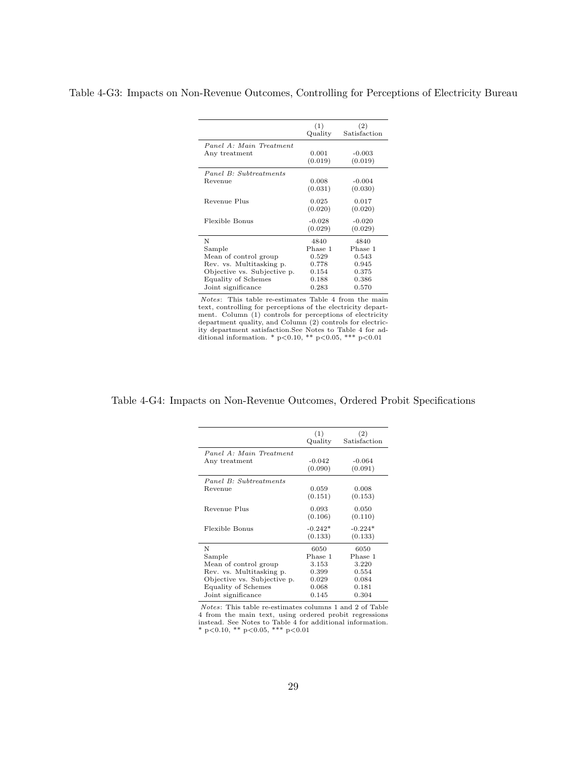|                             | (1)      | (2)          |
|-----------------------------|----------|--------------|
|                             | Quality  | Satisfaction |
| Panel A: Main Treatment     |          |              |
| Any treatment               | 0.001    | $-0.003$     |
|                             | (0.019)  | (0.019)      |
| Panel B: Subtreatments      |          |              |
| Revenue                     | 0.008    | $-0.004$     |
|                             | (0.031)  | (0.030)      |
| Revenue Plus                | 0.025    | 0.017        |
|                             | (0.020)  | (0.020)      |
| Flexible Bonus              | $-0.028$ | $-0.020$     |
|                             | (0.029)  | (0.029)      |
| N                           | 4840     | 4840         |
| Sample                      | Phase 1  | Phase 1      |
| Mean of control group       | 0.529    | 0.543        |
| Rev. vs. Multitasking p.    | 0.778    | 0.945        |
| Objective vs. Subjective p. | 0.154    | 0.375        |
| Equality of Schemes         | 0.188    | 0.386        |
| Joint significance          | 0.283    | 0.570        |

Notes: This table re-estimates Table 4 from the main text, controlling for perceptions of the electricity department. Column (1) controls for perceptions of electricity<br>department quality, and Column (2) controls for electric-<br>ity department satisfaction.See Notes to Table 4 for ad-<br>ditional information. \* p<0.10, \*\* p<0.05, \*\*\* p<

## Table 4-G4: Impacts on Non-Revenue Outcomes, Ordered Probit Specifications

| (1)       | (2)          |
|-----------|--------------|
| Quality   | Satisfaction |
|           |              |
| $-0.042$  | $-0.064$     |
| (0.090)   | (0.091)      |
|           |              |
| 0.059     | 0.008        |
| (0.151)   | (0.153)      |
| 0.093     | 0.050        |
| (0.106)   | (0.110)      |
| $-0.242*$ | $-0.224*$    |
| (0.133)   | (0.133)      |
| 6050      | 6050         |
| Phase 1   | Phase 1      |
| 3.153     | 3.220        |
| 0.399     | 0.554        |
| 0.029     | 0.084        |
| 0.068     | 0.181        |
| 0.145     | 0.304        |
|           |              |

Notes: This table re-estimates columns 1 and 2 of Table 4 from the main text, using ordered probit regressions instead. See Notes to Table 4 for additional information.<br>\* p<0.10, \*\* p<0.05, \*\*\* p<0.01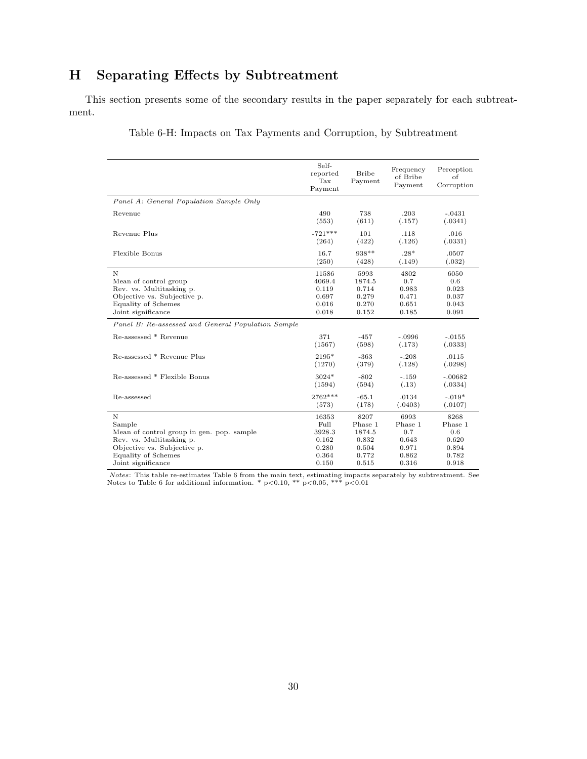# **H Separating Effects by Subtreatment**

This section presents some of the secondary results in the paper separately for each subtreatment.

Table 6-H: Impacts on Tax Payments and Corruption, by Subtreatment

|                                                    | Self-<br>reported<br>Tax<br>Payment | <b>Bribe</b><br>Payment | Frequency<br>of Bribe<br>Payment | Perception<br>of<br>Corruption |
|----------------------------------------------------|-------------------------------------|-------------------------|----------------------------------|--------------------------------|
| Panel A: General Population Sample Only            |                                     |                         |                                  |                                |
| Revenue                                            | 490                                 | 738                     | .203                             | $-.0431$                       |
|                                                    | (553)                               | (611)                   | (.157)                           | (.0341)                        |
| Revenue Plus                                       | $-721***$                           | 101                     | .118                             | .016                           |
|                                                    | (264)                               | (422)                   | (.126)                           | (.0331)                        |
| Flexible Bonus                                     | 16.7                                | 938**                   | $.28*$                           | .0507                          |
|                                                    | (250)                               | (428)                   | (.149)                           | (.032)                         |
| N                                                  | 11586                               | 5993                    | 4802                             | 6050                           |
| Mean of control group                              | 4069.4                              | 1874.5                  | 0.7                              | 0.6                            |
| Rev. vs. Multitasking p.                           | 0.119                               | 0.714                   | 0.983                            | 0.023                          |
| Objective vs. Subjective p.                        | 0.697                               | 0.279                   | 0.471                            | 0.037                          |
| <b>Equality of Schemes</b>                         | 0.016                               | 0.270                   | 0.651                            | 0.043                          |
| Joint significance                                 | 0.018                               | 0.152                   | 0.185                            | 0.091                          |
| Panel B: Re-assessed and General Population Sample |                                     |                         |                                  |                                |
| Re-assessed * Revenue                              | 371                                 | $-457$                  | $-.0996$                         | $-.0155$                       |
|                                                    | (1567)                              | (598)                   | (.173)                           | (.0333)                        |
| Re-assessed * Revenue Plus                         | 2195*                               | $-363$                  | $-.208$                          | .0115                          |
|                                                    | (1270)                              | (379)                   | (.128)                           | (.0298)                        |
| Re-assessed * Flexible Bonus                       | $3024*$                             | $-802$                  | $-.159$                          | $-.00682$                      |
|                                                    | (1594)                              | (594)                   | (.13)                            | (.0334)                        |
| Re-assessed                                        | 2762***                             | $-65.1$                 | .0134                            | $-.019*$                       |
|                                                    | (573)                               | (178)                   | (.0403)                          | (.0107)                        |
| N                                                  | 16353                               | 8207                    | 6993                             | 8268                           |
| Sample                                             | Full                                | Phase 1                 | Phase 1                          | Phase 1                        |
| Mean of control group in gen. pop. sample          | 3928.3                              | 1874.5                  | 0.7                              | 0.6                            |
| Rev. vs. Multitasking p.                           | 0.162                               | 0.832                   | 0.643                            | 0.620                          |
| Objective vs. Subjective p.                        | 0.280                               | 0.504                   | 0.971                            | 0.894                          |
| <b>Equality of Schemes</b>                         | 0.364                               | 0.772                   | 0.862                            | 0.782                          |
| Joint significance                                 | 0.150                               | 0.515                   | 0.316                            | 0.918                          |

Notes: This table re-estimates Table 6 from the main text, estimating impacts separately by subtreatment. See Notes to Table 6 for additional information. \*  $p<0.10$ , \*\*  $p<0.05$ , \*\*\*  $p<0.01$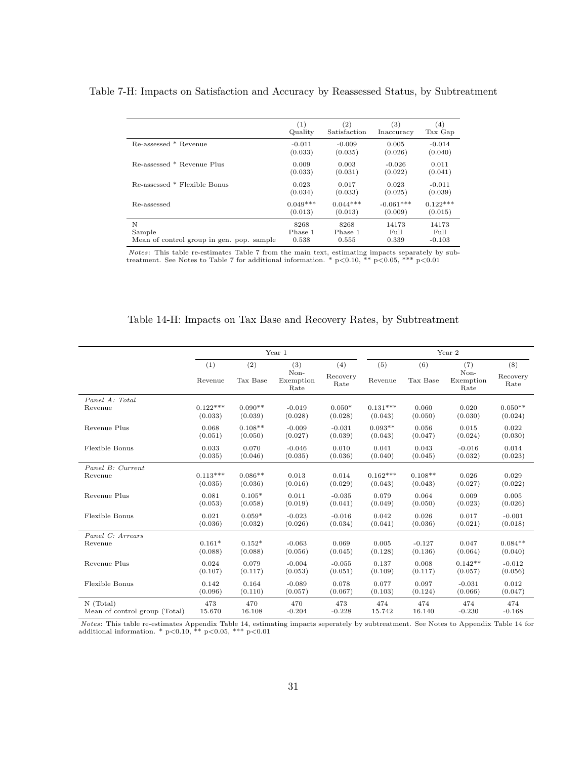Table 7-H: Impacts on Satisfaction and Accuracy by Reassessed Status, by Subtreatment

|                                           | (1)        | $\left( 2\right)$ | $\left( 3\right)$ | $\left( 4\right)$ |
|-------------------------------------------|------------|-------------------|-------------------|-------------------|
|                                           | Quality    | Satisfaction      | Inaccuracy        | Tax Gap           |
| Re-assessed * Revenue                     | $-0.011$   | $-0.009$          | 0.005             | $-0.014$          |
|                                           | (0.033)    | (0.035)           | (0.026)           | (0.040)           |
| Re-assessed * Revenue Plus                | 0.009      | 0.003             | $-0.026$          | 0.011             |
|                                           | (0.033)    | (0.031)           | (0.022)           | (0.041)           |
| Re-assessed * Flexible Bonus              | 0.023      | 0.017             | 0.023             | $-0.011$          |
|                                           | (0.034)    | (0.033)           | (0.025)           | (0.039)           |
| Re-assessed                               | $0.049***$ | $0.044***$        | $-0.061***$       | $0.122***$        |
|                                           | (0.013)    | (0.013)           | (0.009)           | (0.015)           |
| N                                         | 8268       | 8268              | 14173             | 14173             |
| Sample                                    | Phase 1    | Phase 1           | Full              | Full              |
| Mean of control group in gen. pop. sample | 0.538      | 0.555             | 0.339             | $-0.103$          |

Notes: This table re-estimates Table 7 from the main text, estimating impacts separately by subtreatment. See Notes to Table 7 for additional information. \*  $p<0.10$ , \*\*  $p<0.05$ , \*\*\*  $p<0.01$ 

|                               |                |                 | Year 1                           |                         |                |                 | Year 2                           |                         |
|-------------------------------|----------------|-----------------|----------------------------------|-------------------------|----------------|-----------------|----------------------------------|-------------------------|
|                               | (1)<br>Revenue | (2)<br>Tax Base | (3)<br>Non-<br>Exemption<br>Rate | (4)<br>Recovery<br>Rate | (5)<br>Revenue | (6)<br>Tax Base | (7)<br>Non-<br>Exemption<br>Rate | (8)<br>Recovery<br>Rate |
| Panel A: Total                | $0.122***$     | $0.090**$       | $-0.019$                         | $0.050*$                | $0.131***$     | 0.060           | 0.020                            | $0.050**$               |
| Revenue                       | (0.033)        | (0.039)         | (0.028)                          | (0.028)                 | (0.043)        | (0.050)         | (0.030)                          | (0.024)                 |
| Revenue Plus                  | 0.068          | $0.108**$       | $-0.009$                         | $-0.031$                | $0.093**$      | 0.056           | 0.015                            | 0.022                   |
|                               | (0.051)        | (0.050)         | (0.027)                          | (0.039)                 | (0.043)        | (0.047)         | (0.024)                          | (0.030)                 |
| Flexible Bonus                | 0.033          | 0.070           | $-0.046$                         | 0.010                   | 0.041          | 0.043           | $-0.016$                         | 0.014                   |
|                               | (0.035)        | (0.046)         | (0.035)                          | (0.036)                 | (0.040)        | (0.045)         | (0.032)                          | (0.023)                 |
| Panel B: Current              | $0.113***$     | $0.086**$       | 0.013                            | 0.014                   | $0.162***$     | $0.108**$       | 0.026                            | 0.029                   |
| Revenue                       | (0.035)        | (0.036)         | (0.016)                          | (0.029)                 | (0.043)        | (0.043)         | (0.027)                          | (0.022)                 |
| Revenue Plus                  | 0.081          | $0.105*$        | 0.011                            | $-0.035$                | 0.079          | 0.064           | 0.009                            | 0.005                   |
|                               | (0.053)        | (0.058)         | (0.019)                          | (0.041)                 | (0.049)        | (0.050)         | (0.023)                          | (0.026)                 |
| Flexible Bonus                | 0.021          | $0.059*$        | $-0.023$                         | $-0.016$                | 0.042          | 0.026           | 0.017                            | $-0.001$                |
|                               | (0.036)        | (0.032)         | (0.026)                          | (0.034)                 | (0.041)        | (0.036)         | (0.021)                          | (0.018)                 |
| Panel C: Arrears              | $0.161*$       | $0.152*$        | $-0.063$                         | 0.069                   | 0.005          | $-0.127$        | 0.047                            | $0.084**$               |
| Revenue                       | (0.088)        | (0.088)         | (0.056)                          | (0.045)                 | (0.128)        | (0.136)         | (0.064)                          | (0.040)                 |
| Revenue Plus                  | 0.024          | 0.079           | $-0.004$                         | $-0.055$                | 0.137          | 0.008           | $0.142**$                        | $-0.012$                |
|                               | (0.107)        | (0.117)         | (0.053)                          | (0.051)                 | (0.109)        | (0.117)         | (0.057)                          | (0.056)                 |
| Flexible Bonus                | 0.142          | 0.164           | $-0.089$                         | 0.078                   | 0.077          | 0.097           | $-0.031$                         | 0.012                   |
|                               | (0.096)        | (0.110)         | (0.057)                          | (0.067)                 | (0.103)        | (0.124)         | (0.066)                          | (0.047)                 |
| $N$ (Total)                   | 473            | 470             | 470                              | 473                     | 474            | 474             | 474                              | 474                     |
| Mean of control group (Total) | 15.670         | 16.108          | $-0.204$                         | $-0.228$                | 15.742         | 16.140          | $-0.230$                         | $-0.168$                |

|  |  |  |  | Table 14-H: Impacts on Tax Base and Recovery Rates, by Subtreatment |
|--|--|--|--|---------------------------------------------------------------------|
|  |  |  |  |                                                                     |

*Notes*: This table re-estimates Appendix Table 14, estimating impacts seperately by subtreatment. See Notes to Appendix Table 14 for additional information. \*  $p<0.10$ , \*\*  $p<0.05$ , \*\*\*  $p<0.01$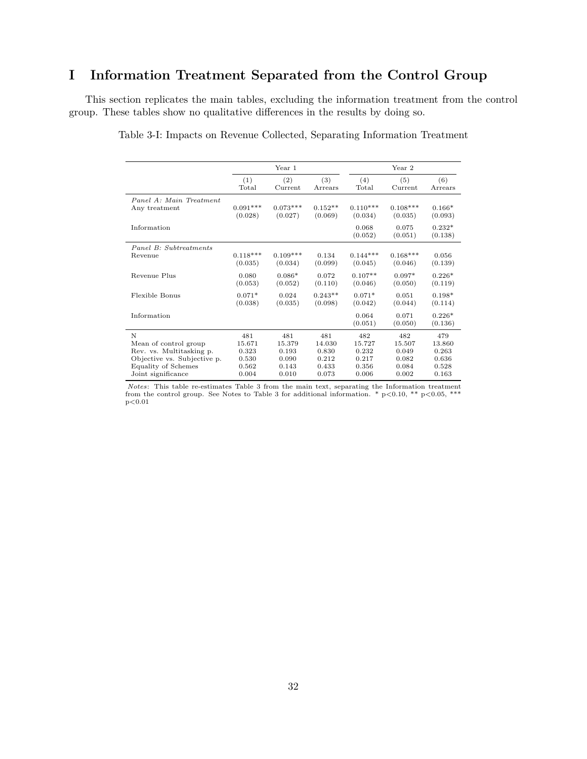# **I Information Treatment Separated from the Control Group**

This section replicates the main tables, excluding the information treatment from the control group. These tables show no qualitative differences in the results by doing so.

|                             |            | Year 1     |           |                  | Year 2           |                     |
|-----------------------------|------------|------------|-----------|------------------|------------------|---------------------|
|                             | (1)        | (2)        | (3)       | (4)              | (5)              | (6)                 |
|                             | Total      | Current    | Arrears   | Total            | Current          | Arrears             |
| Panel A: Main Treatment     | $0.091***$ | $0.073***$ | $0.152**$ | $0.110***$       | $0.108***$       | $0.166*$            |
| Any treatment               | (0.028)    | (0.027)    | (0.069)   | (0.034)          | (0.035)          | (0.093)             |
| Information                 |            |            |           | 0.068<br>(0.052) | 0.075<br>(0.051) | $0.232*$<br>(0.138) |
| Panel B: Subtreatments      | $0.118***$ | $0.109***$ | 0.134     | $0.144***$       | $0.168***$       | 0.056               |
| Revenue                     | (0.035)    | (0.034)    | (0.099)   | (0.045)          | (0.046)          | (0.139)             |
| Revenue Plus                | 0.080      | $0.086*$   | 0.072     | $0.107**$        | $0.097*$         | $0.226*$            |
|                             | (0.053)    | (0.052)    | (0.110)   | (0.046)          | (0.050)          | (0.119)             |
| Flexible Bonus              | $0.071*$   | 0.024      | $0.243**$ | $0.071*$         | 0.051            | $0.198*$            |
|                             | (0.038)    | (0.035)    | (0.098)   | (0.042)          | (0.044)          | (0.114)             |
| Information                 |            |            |           | 0.064<br>(0.051) | 0.071<br>(0.050) | $0.226*$<br>(0.136) |
| N                           | 481        | 481        | 481       | 482              | 482              | 479                 |
| Mean of control group       | 15.671     | 15.379     | 14.030    | 15.727           | 15.507           | 13.860              |
| Rev. vs. Multitasking p.    | 0.323      | 0.193      | 0.830     | 0.232            | 0.049            | 0.263               |
| Objective vs. Subjective p. | 0.530      | 0.090      | 0.212     | 0.217            | 0.082            | 0.636               |
| Equality of Schemes         | 0.562      | 0.143      | 0.433     | 0.356            | 0.084            | 0.528               |
| Joint significance          | 0.004      | 0.010      | 0.073     | 0.006            | 0.002            | 0.163               |

Table 3-I: Impacts on Revenue Collected, Separating Information Treatment

*Notes*: This table re-estimates Table 3 from the main text, separating the Information treatment from the control group. See Notes to Table 3 for additional information. \*  $p < 0.10$ , \*\*  $p < 0.05$ , \*\*\*  $p<0.01$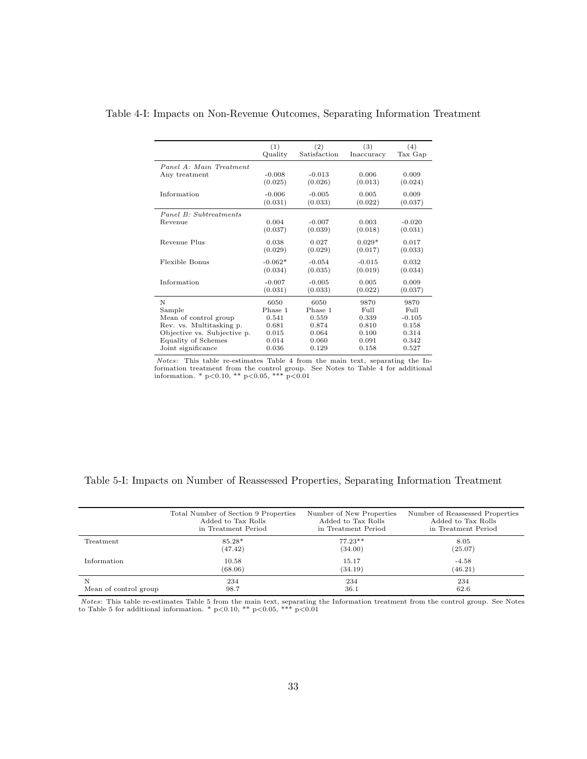|                             | (1)<br>Quality       | (2)<br>Satisfaction | (3)<br>Inaccuracy   | (4)<br>Tax Gap      |
|-----------------------------|----------------------|---------------------|---------------------|---------------------|
| Panel A: Main Treatment     |                      |                     |                     |                     |
| Any treatment               | $-0.008$<br>(0.025)  | $-0.013$<br>(0.026) | 0.006<br>(0.013)    | 0.009<br>(0.024)    |
| Information                 | $-0.006$<br>(0.031)  | $-0.005$<br>(0.033) | 0.005<br>(0.022)    | 0.009<br>(0.037)    |
| Panel B: Subtreatments      |                      |                     |                     |                     |
| Revenue                     | 0.004<br>(0.037)     | $-0.007$<br>(0.039) | 0.003<br>(0.018)    | $-0.020$<br>(0.031) |
| Revenue Plus                | 0.038<br>(0.029)     | 0.027<br>(0.029)    | $0.029*$<br>(0.017) | 0.017<br>(0.033)    |
| Flexible Bonus              | $-0.062*$<br>(0.034) | $-0.054$<br>(0.035) | $-0.015$<br>(0.019) | 0.032<br>(0.034)    |
| Information                 | $-0.007$<br>(0.031)  | $-0.005$<br>(0.033) | 0.005<br>(0.022)    | 0.009<br>(0.037)    |
| N                           | 6050                 | 6050                | 9870                | 9870                |
| Sample                      | Phase 1              | Phase 1             | Full                | Full                |
| Mean of control group       | 0.541                | 0.559               | 0.339               | $-0.105$            |
| Rev. vs. Multitasking p.    | 0.681                | 0.874               | 0.810               | 0.158               |
| Objective vs. Subjective p. | 0.015                | 0.064               | 0.100               | 0.314               |
| Equality of Schemes         | 0.014                | 0.060               | 0.091               | 0.342               |
| Joint significance          | 0.036                | 0.129               | 0.158               | 0.527               |

Table 4-I: Impacts on Non-Revenue Outcomes, Separating Information Treatment

Notes: This table re-estimates Table 4 from the main text, separating the Information treatment from the control group. See Notes to Table 4 for additional information. \*  $p<0.10$ , \*\*  $p<0.05$ , \*\*\*  $p<0.01$ 

|                       | Total Number of Section 9 Properties | Number of New Properties | Number of Reassessed Properties |
|-----------------------|--------------------------------------|--------------------------|---------------------------------|
|                       | Added to Tax Rolls                   | Added to Tax Rolls       | Added to Tax Rolls              |
|                       | in Treatment Period                  | in Treatment Period      | in Treatment Period             |
| Treatment             | $85.28*$                             | $77.23**$                | 8.05                            |
|                       | (47.42)                              | (34.00)                  | (25.07)                         |
| Information           | 10.58                                | 15.17                    | $-4.58$                         |
|                       | (68.06)                              | (34.19)                  | (46.21)                         |
| N                     | 234                                  | 234                      | 234                             |
| Mean of control group | 98.7                                 | 36.1                     | 62.6                            |

## Table 5-I: Impacts on Number of Reassessed Properties, Separating Information Treatment

*Notes*: This table re-estimates Table 5 from the main text, separating the Information treatment from the control group. See Notes to Table 5 for additional information. \*  $p<0.10$ , \*\*  $p<0.05$ , \*\*\*  $p<0.01$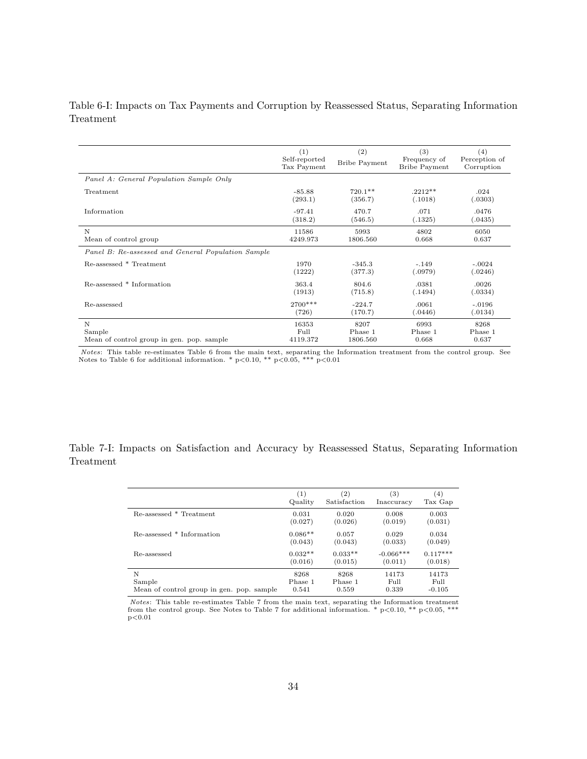## Table 6-I: Impacts on Tax Payments and Corruption by Reassessed Status, Separating Information Treatment

|                                                    | (1)<br>Self-reported<br>Tax Payment | (2)<br><b>Bribe Payment</b> | (3)<br>Frequency of<br><b>Bribe Payment</b> | (4)<br>Perception of<br>Corruption |
|----------------------------------------------------|-------------------------------------|-----------------------------|---------------------------------------------|------------------------------------|
| Panel A: General Population Sample Only            |                                     |                             |                                             |                                    |
| Treatment                                          | $-85.88$                            | $720.1**$                   | $.2212**$                                   | .024                               |
|                                                    | (293.1)                             | (356.7)                     | (.1018)                                     | (.0303)                            |
| Information                                        | $-97.41$                            | 470.7                       | .071                                        | .0476                              |
|                                                    | (318.2)                             | (546.5)                     | (.1325)                                     | (.0435)                            |
| N                                                  | 11586                               | 5993                        | 4802                                        | 6050                               |
| Mean of control group                              | 4249.973                            | 1806.560                    | 0.668                                       | 0.637                              |
| Panel B: Re-assessed and General Population Sample |                                     |                             |                                             |                                    |
| Re-assessed * Treatment                            | 1970                                | $-345.3$                    | $-.149$                                     | $-.0024$                           |
|                                                    | (1222)                              | (377.3)                     | (.0979)                                     | (.0246)                            |
| Re-assessed * Information                          | 363.4                               | 804.6                       | .0381                                       | .0026                              |
|                                                    | (1913)                              | (715.8)                     | (.1494)                                     | (.0334)                            |
| Re-assessed                                        | 2700***                             | $-224.7$                    | .0061                                       | $-.0196$                           |
|                                                    | (726)                               | (170.7)                     | (.0446)                                     | (.0134)                            |
| N                                                  | 16353                               | 8207                        | 6993                                        | 8268                               |
| Sample                                             | Full                                | Phase 1                     | Phase 1                                     | Phase 1                            |
| Mean of control group in gen. pop. sample          | 4119.372                            | 1806.560                    | 0.668                                       | 0.637                              |

*Notes*: This table re-estimates Table 6 from the main text, separating the Information treatment from the control group. See Notes to Table 6 for additional information. \*  $p<0.10$ , \*\*  $p<0.05$ , \*\*\*  $p<0.01$ 

Table 7-I: Impacts on Satisfaction and Accuracy by Reassessed Status, Separating Information Treatment

|                                           | $\left(1\right)$ | $\left( 2\right)$ | (3)         | $^{(4)}$   |
|-------------------------------------------|------------------|-------------------|-------------|------------|
|                                           | Quality          | Satisfaction      | Inaccuracy  | Tax Gap    |
| Re-assessed * Treatment                   | 0.031            | 0.020             | 0.008       | 0.003      |
|                                           | (0.027)          | (0.026)           | (0.019)     | (0.031)    |
| Re-assessed * Information                 | $0.086**$        | 0.057             | 0.029       | 0.034      |
|                                           | (0.043)          | (0.043)           | (0.033)     | (0.049)    |
| Re-assessed                               | $0.032**$        | $0.033**$         | $-0.066***$ | $0.117***$ |
|                                           | (0.016)          | (0.015)           | (0.011)     | (0.018)    |
| N                                         | 8268             | 8268              | 14173       | 14173      |
| Sample                                    | Phase 1          | Phase 1           | Full        | Full       |
| Mean of control group in gen. pop. sample | 0.541            | 0.559             | 0.339       | $-0.105$   |

*Notes*: This table re-estimates Table 7 from the main text, separating the Information treatment from the control group. See Notes to Table 7 for additional information. \*  $p<0.10$ , \*\*  $p<0.05$ , \*\*\*  $p<0.01$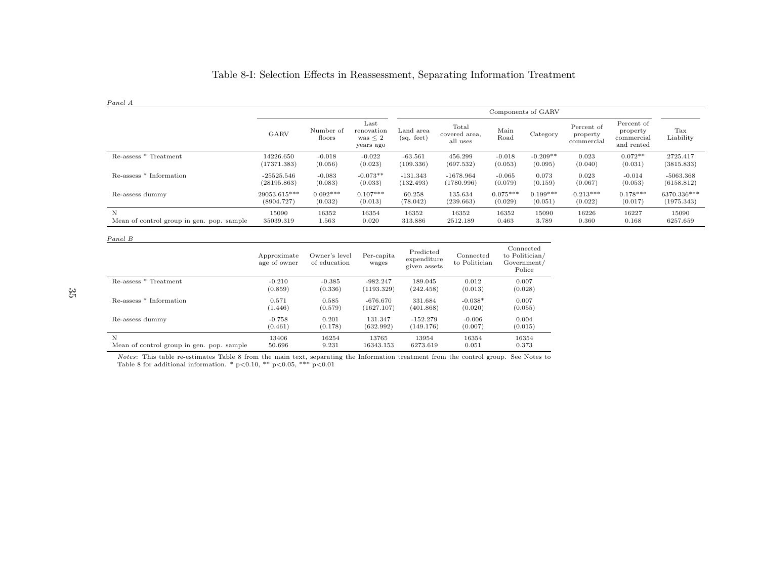## Table 8-I: Selection Effects in Reassessment, Separating Information Treatment

Panel A

|                                           |              |                     |                                                 | Components of GARV      |                                    |              |            |                                      |                                                    |                  |
|-------------------------------------------|--------------|---------------------|-------------------------------------------------|-------------------------|------------------------------------|--------------|------------|--------------------------------------|----------------------------------------------------|------------------|
|                                           | GARV         | Number of<br>floors | Last<br>renovation<br>was $\leq 2$<br>years ago | Land area<br>(sq. feet) | Total<br>covered area,<br>all uses | Main<br>Road | Category   | Percent of<br>property<br>commercial | Percent of<br>property<br>commercial<br>and rented | Tax<br>Liability |
| Re-assess * Treatment                     | 14226.650    | $-0.018$            | $-0.022$                                        | $-63.561$               | 456.299                            | $-0.018$     | $-0.209**$ | 0.023                                | $0.072**$                                          | 2725.417         |
|                                           | (17371.383)  | (0.056)             | (0.023)                                         | (109.336)               | (697.532)                          | (0.053)      | (0.095)    | (0.040)                              | (0.031)                                            | (3815.833)       |
| Re-assess * Information                   | $-25525.546$ | $-0.083$            | $-0.073**$                                      | $-131.343$              | $-1678.964$                        | $-0.065$     | 0.073      | 0.023                                | $-0.014$                                           | $-5063.368$      |
|                                           | (28195.863)  | (0.083)             | (0.033)                                         | (132.493)               | (1780.996)                         | (0.079)      | (0.159)    | (0.067)                              | (0.053)                                            | (6158.812)       |
| Re-assess dummy                           | 29053.615*** | $0.092***$          | $0.107***$                                      | 60.258                  | 135.634                            | $0.075***$   | $0.199***$ | $0.213***$                           | $0.178***$                                         | 6370.336***      |
|                                           | (8904.727)   | (0.032)             | (0.013)                                         | (78.042)                | (239.663)                          | (0.029)      | (0.051)    | (0.022)                              | (0.017)                                            | (1975.343)       |
| N                                         | 15090        | 16352               | 16354                                           | 16352                   | 16352                              | 16352        | 15090      | 16226                                | 16227                                              | 15090            |
| Mean of control group in gen. pop. sample | 35039.319    | $1.563\,$           | 0.020                                           | 313.886                 | 2512.189                           | 0.463        | 3.789      | 0.360                                | 0.168                                              | 6257.659         |

| Panel B                                   |                             |                               |                     |                                          |                            |                                                      |
|-------------------------------------------|-----------------------------|-------------------------------|---------------------|------------------------------------------|----------------------------|------------------------------------------------------|
|                                           | Approximate<br>age of owner | Owner's level<br>of education | Per-capita<br>wages | Predicted<br>expenditure<br>given assets | Connected<br>to Politician | Connected<br>to Politician/<br>Government/<br>Police |
| Re-assess * Treatment                     | $-0.210$                    | $-0.385$                      | $-982.247$          | 189.045                                  | 0.012                      | 0.007                                                |
|                                           | (0.859)                     | (0.336)                       | (1193.329)          | (242.458)                                | (0.013)                    | (0.028)                                              |
| Re-assess * Information                   | 0.571                       | 0.585                         | $-676.670$          | 331.684                                  | $-0.038*$                  | 0.007                                                |
|                                           | (1.446)                     | (0.579)                       | (1627.107)          | (401.868)                                | (0.020)                    | (0.055)                                              |
| Re-assess dummy                           | $-0.758$                    | 0.201                         | 131.347             | $-152.279$                               | $-0.006$                   | 0.004                                                |
|                                           | (0.461)                     | (0.178)                       | (632.992)           | (149.176)                                | (0.007)                    | (0.015)                                              |
| N                                         | 13406                       | 16254                         | 13765               | 13954                                    | 16354                      | 16354                                                |
| Mean of control group in gen. pop. sample | 50.696                      | 9.231                         | 16343.153           | 6273.619                                 | 0.051                      | 0.373                                                |

*Notes:* This table re-estimates Table 8 from the main text, separating the Information treatment from the control group. See Notes to Table 8 for additional information. \*  $p < 0.10$ , \*\*  $p < 0.05$ , \*\*\*  $p < 0.01$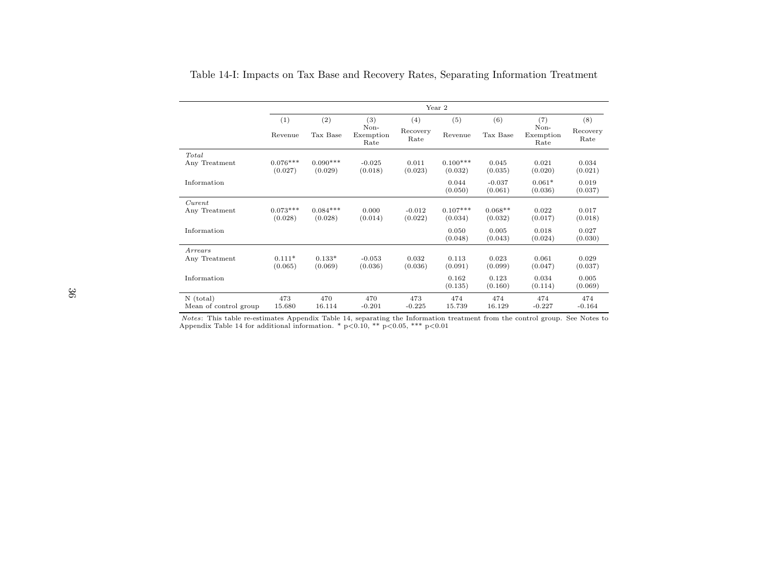|                                      |                       |                       |                           |                     | Year 2                |                      |                           |                  |  |
|--------------------------------------|-----------------------|-----------------------|---------------------------|---------------------|-----------------------|----------------------|---------------------------|------------------|--|
|                                      | (1)                   | (2)                   | (3)                       | (4)                 | (5)                   | (6)                  | (7)                       |                  |  |
|                                      | Revenue               | Tax Base              | Non-<br>Exemption<br>Rate | Recovery<br>Rate    | Revenue               | Tax Base             | Non-<br>Exemption<br>Rate | Recovery<br>Rate |  |
| Total<br>Any Treatment               | $0.076***$<br>(0.027) | $0.090***$<br>(0.029) | $-0.025$<br>(0.018)       | 0.011<br>(0.023)    | $0.100***$<br>(0.032) | 0.045<br>(0.035)     | 0.021<br>(0.020)          | 0.034<br>(0.021) |  |
| Information                          |                       |                       |                           |                     | 0.044<br>(0.050)      | $-0.037$<br>(0.061)  | $0.061*$<br>(0.036)       | 0.019<br>(0.037) |  |
| Current<br>Any Treatment             | $0.073***$<br>(0.028) | $0.084***$<br>(0.028) | 0.000<br>(0.014)          | $-0.012$<br>(0.022) | $0.107***$<br>(0.034) | $0.068**$<br>(0.032) | 0.022<br>(0.017)          | 0.017<br>(0.018) |  |
| Information                          |                       |                       |                           |                     | 0.050<br>(0.048)      | 0.005<br>(0.043)     | 0.018<br>(0.024)          | 0.027<br>(0.030) |  |
| Arrears<br>Any Treatment             | $0.111*$<br>(0.065)   | $0.133*$<br>(0.069)   | $-0.053$<br>(0.036)       | 0.032<br>(0.036)    | 0.113<br>(0.091)      | 0.023<br>(0.099)     | 0.061<br>(0.047)          | 0.029<br>(0.037) |  |
| Information                          |                       |                       |                           |                     | 0.162<br>(0.135)      | 0.123<br>(0.160)     | 0.034<br>(0.114)          | 0.005<br>(0.069) |  |
| $N$ (total)<br>Mean of control group | 473<br>15.680         | 470<br>16.114         | 470<br>$-0.201$           | 473<br>$-0.225$     | 474<br>15.739         | 474<br>16.129        | 474<br>$-0.227$           | 474<br>$-0.164$  |  |

Table 14-I: Impacts on Tax Base and Recovery Rates, Separating Information Treatment

*Notes*: This table re-estimates Appendix Table 14, separating the Information treatment from the control group. See Notes to Appendix Table 14 for additional information. \*  $p<0.10$ , \*\*  $p<0.05$ , \*\*\*  $p<0.01$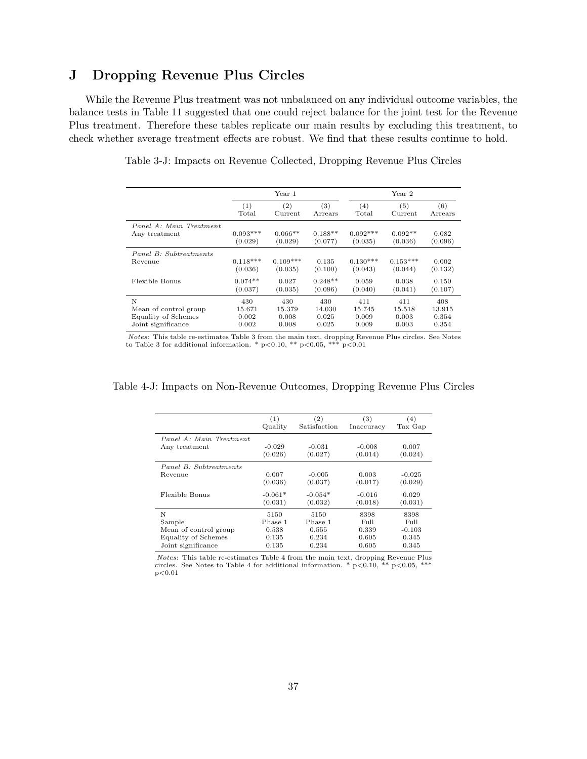## **J Dropping Revenue Plus Circles**

While the Revenue Plus treatment was not unbalanced on any individual outcome variables, the balance tests in Table 11 suggested that one could reject balance for the joint test for the Revenue Plus treatment. Therefore these tables replicate our main results by excluding this treatment, to check whether average treatment effects are robust. We find that these results continue to hold.

|                            |                     | Year 1     |           |            | Year 2     |         |  |  |
|----------------------------|---------------------|------------|-----------|------------|------------|---------|--|--|
|                            | (1)                 | (2)        | (3)       | (4)        | (5)        | (6)     |  |  |
|                            | $_{\mathrm{Total}}$ | Current    | Arrears   | Total      | Current    | Arrears |  |  |
| Panel A: Main Treatment    | $0.093***$          | $0.066**$  | $0.188**$ | $0.092***$ | $0.092**$  | 0.082   |  |  |
| Any treatment              | (0.029)             | (0.029)    | (0.077)   | (0.035)    | (0.036)    | (0.096) |  |  |
| Panel B: Subtreatments     | $0.118***$          | $0.109***$ | 0.135     | $0.130***$ | $0.153***$ | 0.002   |  |  |
| Revenue                    | (0.036)             | (0.035)    | (0.100)   | (0.043)    | (0.044)    | (0.132) |  |  |
| Flexible Bonus             | $0.074**$           | 0.027      | $0.248**$ | 0.059      | 0.038      | 0.150   |  |  |
|                            | (0.037)             | (0.035)    | (0.096)   | (0.040)    | (0.041)    | (0.107) |  |  |
| N                          | 430                 | 430        | 430       | 411        | 411        | 408     |  |  |
| Mean of control group      | 15.671              | 15.379     | 14.030    | 15.745     | 15.518     | 13.915  |  |  |
| <b>Equality of Schemes</b> | 0.002               | 0.008      | 0.025     | 0.009      | 0.003      | 0.354   |  |  |
| Joint significance         | 0.002               | 0.008      | 0.025     | 0.009      | 0.003      | 0.354   |  |  |

Table 3-J: Impacts on Revenue Collected, Dropping Revenue Plus Circles

Notes: This table re-estimates Table 3 from the main text, dropping Revenue Plus circles. See Notes to Table 3 for additional information. \*  $p<0.10$ , \*\*  $p<0.05$ , \*\*\*  $p<0.01$ 

|                         | (1)       | (2)          | (3)        | (4)      |
|-------------------------|-----------|--------------|------------|----------|
|                         | Quality   | Satisfaction | Inaccuracy | Tax Gap  |
| Panel A: Main Treatment | $-0.029$  | $-0.031$     | $-0.008$   | 0.007    |
| Any treatment           | (0.026)   | (0.027)      | (0.014)    | (0.024)  |
| Panel B: Subtreatments  | 0.007     | $-0.005$     | 0.003      | $-0.025$ |
| Revenue                 | (0.036)   | (0.037)      | (0.017)    | (0.029)  |
| Flexible Bonus          | $-0.061*$ | $-0.054*$    | $-0.016$   | 0.029    |
|                         | (0.031)   | (0.032)      | (0.018)    | (0.031)  |
| N                       | 5150      | 5150         | 8398       | 8398     |
| Sample                  | Phase 1   | Phase 1      | Full       | Full     |
| Mean of control group   | 0.538     | 0.555        | 0.339      | $-0.103$ |
| Equality of Schemes     | 0.135     | 0.234        | 0.605      | 0.345    |
| Joint significance      | 0.135     | 0.234        | 0.605      | 0.345    |

## Table 4-J: Impacts on Non-Revenue Outcomes, Dropping Revenue Plus Circles

*Notes*: This table re-estimates Table 4 from the main text, dropping Revenue Plus circles. See Notes to Table 4 for additional information. \*  $p < 0.10$ , \*\*  $p < 0.05$ , \*\*\*  $\rm p{<}0.01$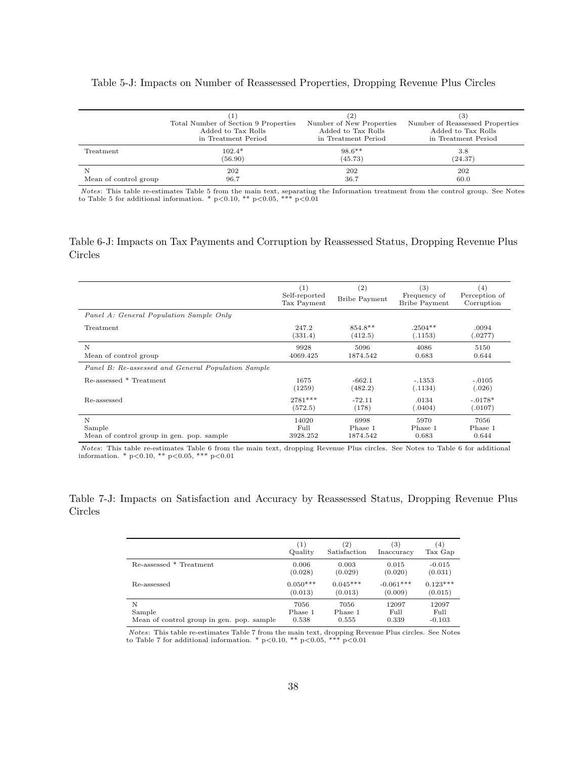## Table 5-J: Impacts on Number of Reassessed Properties, Dropping Revenue Plus Circles

|                       | Total Number of Section 9 Properties<br>Added to Tax Rolls<br>in Treatment Period | (2)<br>Number of New Properties<br>Added to Tax Rolls<br>in Treatment Period | (3)<br>Number of Reassessed Properties<br>Added to Tax Rolls<br>in Treatment Period |
|-----------------------|-----------------------------------------------------------------------------------|------------------------------------------------------------------------------|-------------------------------------------------------------------------------------|
| Treatment             | $102.4*$                                                                          | $98.6***$                                                                    | 3.8                                                                                 |
|                       | (56.90)                                                                           | (45.73)                                                                      | (24.37)                                                                             |
| Mean of control group | 202                                                                               | 202                                                                          | 202                                                                                 |
|                       | 96.7                                                                              | 36.7                                                                         | 60.0                                                                                |

*Notes*: This table re-estimates Table 5 from the main text, separating the Information treatment from the control group. See Notes to Table 5 for additional information. \*  $p<0.10$ , \*\*  $p<0.05$ , \*\*\*  $p<0.01$ 

## Table 6-J: Impacts on Tax Payments and Corruption by Reassessed Status, Dropping Revenue Plus Circles

|                                                    | (1)<br>Self-reported<br>Tax Payment | (2)<br><b>Bribe Payment</b> | (3)<br>Frequency of<br><b>Bribe Payment</b> | (4)<br>Perception of<br>Corruption |
|----------------------------------------------------|-------------------------------------|-----------------------------|---------------------------------------------|------------------------------------|
| Panel A: General Population Sample Only            |                                     |                             |                                             |                                    |
| Treatment                                          | 247.2<br>(331.4)                    | 854.8**<br>(412.5)          | $.2504**$<br>(.1153)                        | .0094<br>(.0277)                   |
| N                                                  | 9928                                | 5096                        | 4086                                        | 5150                               |
| Mean of control group                              | 4069.425                            | 1874.542                    | 0.683                                       | 0.644                              |
| Panel B: Re-assessed and General Population Sample |                                     |                             |                                             |                                    |
| Re-assessed * Treatment                            | 1675<br>(1259)                      | $-662.1$<br>(482.2)         | $-.1353$<br>(.1134)                         | $-.0105$<br>(.026)                 |
| Re-assessed                                        | 2781***<br>(572.5)                  | $-72.11$<br>(178)           | .0134<br>(.0404)                            | $-.0178*$<br>(.0107)               |
| N                                                  | 14020                               | 6998                        | 5970                                        | 7056                               |
| Sample                                             | Full                                | Phase 1                     | Phase 1                                     | Phase 1                            |
| Mean of control group in gen. pop. sample          | 3928.252                            | 1874.542                    | 0.683                                       | 0.644                              |

*Notes*: This table re-estimates Table 6 from the main text, dropping Revenue Plus circles. See Notes to Table 6 for additional information. \*  $p < 0.10$ , \*\*  $p < 0.05$ , \*\*\*  $p < 0.01$ 

## Table 7-J: Impacts on Satisfaction and Accuracy by Reassessed Status, Dropping Revenue Plus Circles

|                                           | (1)        | $\left( 2\right)$ | (3)         | (4)        |
|-------------------------------------------|------------|-------------------|-------------|------------|
|                                           | Quality    | Satisfaction      | Inaccuracy  | Tax Gap    |
| Re-assessed * Treatment                   | 0.006      | 0.003             | 0.015       | $-0.015$   |
|                                           | (0.028)    | (0.029)           | (0.020)     | (0.031)    |
| Re-assessed                               | $0.050***$ | $0.045***$        | $-0.061***$ | $0.123***$ |
|                                           | (0.013)    | (0.013)           | (0.009)     | (0.015)    |
| N                                         | 7056       | 7056              | 12097       | 12097      |
| Sample                                    | Phase 1    | Phase 1           | Full        | Full       |
| Mean of control group in gen. pop. sample | 0.538      | 0.555             | 0.339       | $-0.103$   |

Notes: This table re-estimates Table 7 from the main text, dropping Revenue Plus circles. See Notes to Table 7 for additional information. \*  $p<0.10$ , \*\*  $p<0.05$ , \*\*\*  $p<0.01$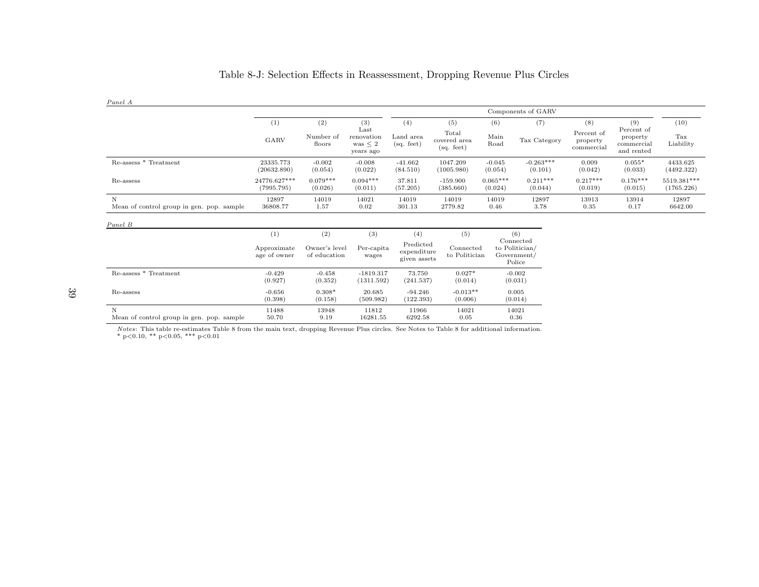| Panel A                                        |                             |                               |                                                   |                                          |                                            |                       |                                                      |                                             |                                                           |                           |
|------------------------------------------------|-----------------------------|-------------------------------|---------------------------------------------------|------------------------------------------|--------------------------------------------|-----------------------|------------------------------------------------------|---------------------------------------------|-----------------------------------------------------------|---------------------------|
|                                                |                             |                               |                                                   |                                          |                                            |                       | Components of GARV                                   |                                             |                                                           |                           |
|                                                | (1)<br>GARV                 | (2)<br>Number of<br>floors    | (3)<br>Last<br>renovation<br>was < 2<br>years ago | (4)<br>Land area<br>(sq. feet)           | (5)<br>Total<br>covered area<br>(sq. feet) | (6)<br>Main<br>Road   | (7)<br>Tax Category                                  | (8)<br>Percent of<br>property<br>commercial | (9)<br>Percent of<br>property<br>commercial<br>and rented | (10)<br>Tax<br>Liability  |
| Re-assess * Treatment                          | 23335.773<br>(20632.890)    | $-0.002$<br>(0.054)           | $-0.008$<br>(0.022)                               | $-41.662$<br>(84.510)                    | 1047.209<br>(1005.980)                     | $-0.045$<br>(0.054)   | $-0.263***$<br>(0.101)                               | 0.009<br>(0.042)                            | $0.055*$<br>(0.033)                                       | 4433.625<br>(4492.322)    |
| Re-assess                                      | 24776.627***<br>(7995.795)  | $0.079***$<br>(0.026)         | $0.094***$<br>(0.011)                             | 37.811<br>(57.205)                       | $-159.900$<br>(385.660)                    | $0.065***$<br>(0.024) | $0.211***$<br>(0.044)                                | $0.217***$<br>(0.019)                       | $0.176***$<br>(0.015)                                     | 5519.381***<br>(1765.226) |
| N<br>Mean of control group in gen. pop. sample | 12897<br>36808.77           | 14019<br>1.57                 | 14021<br>0.02                                     | 14019<br>301.13                          | 14019<br>2779.82                           | 14019<br>0.46         | 12897<br>3.78                                        | 13913<br>0.35                               | 13914<br>0.17                                             | 12897<br>6642.00          |
| Panel B                                        |                             |                               |                                                   |                                          |                                            |                       |                                                      |                                             |                                                           |                           |
|                                                | (1)                         | (2)                           | (3)                                               | (4)                                      | (5)                                        |                       | (6)                                                  |                                             |                                                           |                           |
|                                                | Approximate<br>age of owner | Owner's level<br>of education | Per-capita<br>wages                               | Predicted<br>expenditure<br>given assets | Connected<br>to Politician                 |                       | Connected<br>to Politician/<br>Government/<br>Police |                                             |                                                           |                           |
| Re-assess * Treatment                          | $-0.429$<br>(0.927)         | $-0.458$<br>(0.352)           | $-1819.317$<br>(1311.592)                         | 73.750<br>(241.537)                      | $0.027*$<br>(0.014)                        |                       | $-0.002$<br>(0.031)                                  |                                             |                                                           |                           |
| Re-assess                                      | $-0.656$<br>(0.398)         | $0.308*$<br>(0.158)           | 20.685<br>(509.982)                               | $-94.246$<br>(122.393)                   | $-0.013**$<br>(0.006)                      |                       | 0.005<br>(0.014)                                     |                                             |                                                           |                           |
| N<br>Mean of control group in gen. pop. sample | 11488<br>50.70              | 13948<br>9.19                 | 11812<br>16281.55                                 | 11966<br>6292.58                         | 14021<br>0.05                              |                       | 14021<br>0.36                                        |                                             |                                                           |                           |

## Table 8-J: Selection Effects in Reassessment, Dropping Revenue Plus Circles

Notes: This table re-estimates Table 8 from the main text, dropping Revenue Plus circles. See Notes to Table 8 for additional information.<br>\* p<0.10, \*\* p<0.05, \*\*\* p<0.01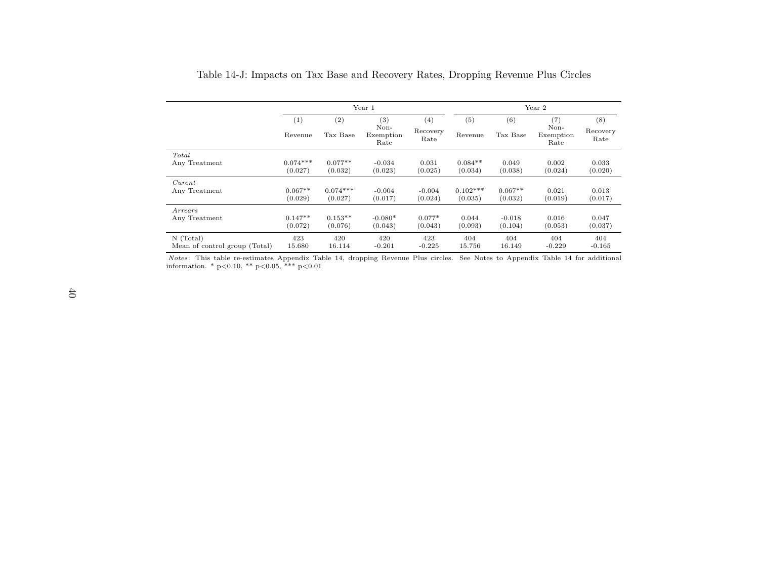|                               |                | Year 1          |                                  |                         |                | Year 2          |                                  |                         |  |
|-------------------------------|----------------|-----------------|----------------------------------|-------------------------|----------------|-----------------|----------------------------------|-------------------------|--|
|                               | (1)<br>Revenue | (2)<br>Tax Base | (3)<br>Non-<br>Exemption<br>Rate | (4)<br>Recovery<br>Rate | (5)<br>Revenue | (6)<br>Tax Base | (7)<br>Non-<br>Exemption<br>Rate | (8)<br>Recovery<br>Rate |  |
| Total                         | $0.074***$     | $0.077**$       | $-0.034$                         | 0.031                   | $0.084**$      | 0.049           | 0.002                            | 0.033                   |  |
| Any Treatment                 | (0.027)        | (0.032)         | (0.023)                          | (0.025)                 | (0.034)        | (0.038)         | (0.024)                          | (0.020)                 |  |
| Current                       | $0.067**$      | $0.074***$      | $-0.004$                         | $-0.004$                | $0.102***$     | $0.067**$       | 0.021                            | 0.013                   |  |
| Any Treatment                 | (0.029)        | (0.027)         | (0.017)                          | (0.024)                 | (0.035)        | (0.032)         | (0.019)                          | (0.017)                 |  |
| Arrears                       | $0.147**$      | $0.153**$       | $-0.080*$                        | $0.077*$                | 0.044          | $-0.018$        | 0.016                            | 0.047                   |  |
| Any Treatment                 | (0.072)        | (0.076)         | (0.043)                          | (0.043)                 | (0.093)        | (0.104)         | (0.053)                          | (0.037)                 |  |
| $N$ (Total)                   | 423            | 420             | 420                              | 423                     | 404            | 404             | 404                              | 404                     |  |
| Mean of control group (Total) | 15.680         | 16.114          | $-0.201$                         | $-0.225$                | 15.756         | 16.149          | $-0.229$                         | $-0.165$                |  |

*Notes*: This table re-estimates Appendix Table 14, dropping Revenue Plus circles. See Notes to Appendix Table 14 for additional information. \* p<0.10, \*\* p<0.05, \*\*\* p<0.01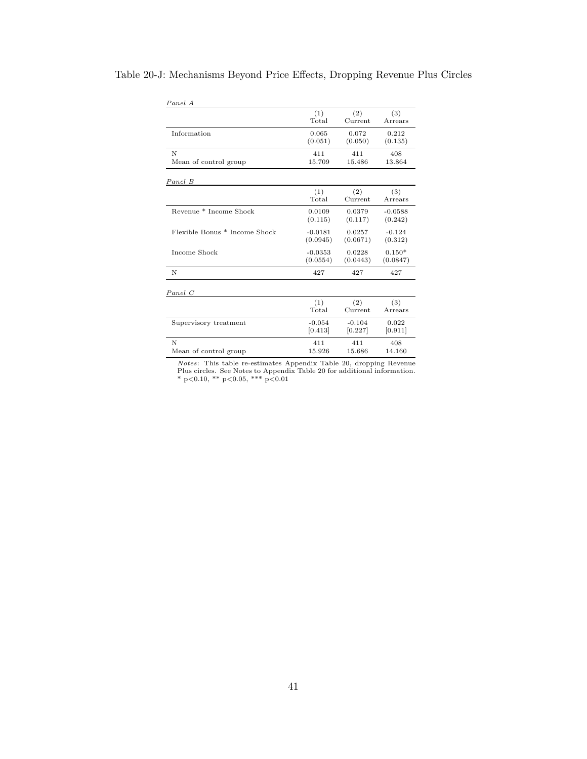| Panel A                       |           |          |           |
|-------------------------------|-----------|----------|-----------|
|                               | (1)       | (2)      | (3)       |
|                               | Total     | Current  | Arrears   |
| Information                   | 0.065     | 0.072    | 0.212     |
|                               | (0.051)   | (0.050)  | (0.135)   |
| N                             | 411       | 411      | 408       |
| Mean of control group         | 15.709    | 15.486   | 13.864    |
| Panel B                       |           |          |           |
|                               | (1)       | (2)      | (3)       |
|                               | Total     | Current  | Arrears   |
| Revenue * Income Shock        | 0.0109    | 0.0379   | $-0.0588$ |
|                               | (0.115)   | (0.117)  | (0.242)   |
| Flexible Bonus * Income Shock | $-0.0181$ | 0.0257   | $-0.124$  |
|                               | (0.0945)  | (0.0671) | (0.312)   |
| Income Shock                  | $-0.0353$ | 0.0228   | $0.150*$  |
|                               | (0.0554)  | (0.0443) | (0.0847)  |
| N                             | 427       | 427      | 427       |
| Panel C                       |           |          |           |
|                               | (1)       | (2)      | (3)       |
|                               | Total     | Current  | Arrears   |
| Supervisory treatment         | $-0.054$  | $-0.104$ | 0.022     |
|                               | [0.413]   | [0.227]  | [0.911]   |
| N                             | 411       | 411      | 408       |
| Mean of control group         | 15.926    | 15.686   | 14.160    |

## Table 20-J: Mechanisms Beyond Price Effects, Dropping Revenue Plus Circles

*Notes*: This table re-estimates Appendix Table 20, dropping Revenue Plus circles. See Notes to Appendix Table 20 for additional information. \*  $p<0.10$ , \*\*  $p<0.05$ , \*\*\*  $p<0.01$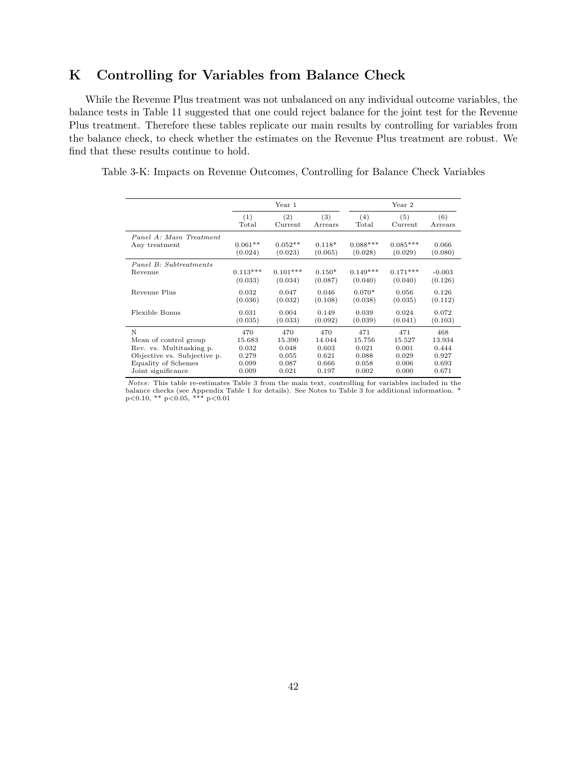# **K Controlling for Variables from Balance Check**

While the Revenue Plus treatment was not unbalanced on any individual outcome variables, the balance tests in Table 11 suggested that one could reject balance for the joint test for the Revenue Plus treatment. Therefore these tables replicate our main results by controlling for variables from the balance check, to check whether the estimates on the Revenue Plus treatment are robust. We find that these results continue to hold.

Table 3-K: Impacts on Revenue Outcomes, Controlling for Balance Check Variables

|                             |            | Year 1     |          |            | Year 2     |          |
|-----------------------------|------------|------------|----------|------------|------------|----------|
|                             | (1)        | (2)        | (3)      | (4)        | (5)        | (6)      |
|                             | Total      | Current    | Arrears  | Total      | Current    | Arrears  |
| Panel A: Main Treatment     | $0.061**$  | $0.052**$  | $0.118*$ | $0.088***$ | $0.085***$ | 0.066    |
| Any treatment               | (0.024)    | (0.023)    | (0.065)  | (0.028)    | (0.029)    | (0.080)  |
| Panel B: Subtreatments      | $0.113***$ | $0.101***$ | $0.150*$ | $0.149***$ | $0.171***$ | $-0.003$ |
| Revenue                     | (0.033)    | (0.034)    | (0.087)  | (0.040)    | (0.040)    | (0.126)  |
| Revenue Plus                | 0.032      | 0.047      | 0.046    | $0.070*$   | 0.056      | 0.126    |
|                             | (0.036)    | (0.032)    | (0.108)  | (0.038)    | (0.035)    | (0.112)  |
| Flexible Bonus              | 0.031      | 0.004      | 0.149    | 0.039      | 0.024      | 0.072    |
|                             | (0.035)    | (0.033)    | (0.092)  | (0.039)    | (0.041)    | (0.103)  |
| N                           | 470        | 470        | 470      | 471        | 471        | 468      |
| Mean of control group       | 15.683     | 15.390     | 14.044   | 15.756     | 15.527     | 13.934   |
| Rev. vs. Multitasking p.    | 0.032      | 0.048      | 0.603    | 0.021      | 0.001      | 0.444    |
| Objective vs. Subjective p. | 0.279      | 0.055      | 0.621    | 0.088      | 0.029      | 0.927    |
| Equality of Schemes         | 0.099      | 0.087      | 0.666    | 0.058      | 0.006      | 0.693    |
| Joint significance          | 0.009      | 0.021      | 0.197    | 0.002      | 0.000      | 0.671    |

Notes: This table re-estimates Table 3 from the main text, controlling for variables included in the balance checks (see Appendix Table 1 for details). See Notes to Table 3 for additional information. \* p<0.10, \*\* p<0.05, \*\*\* p<0.01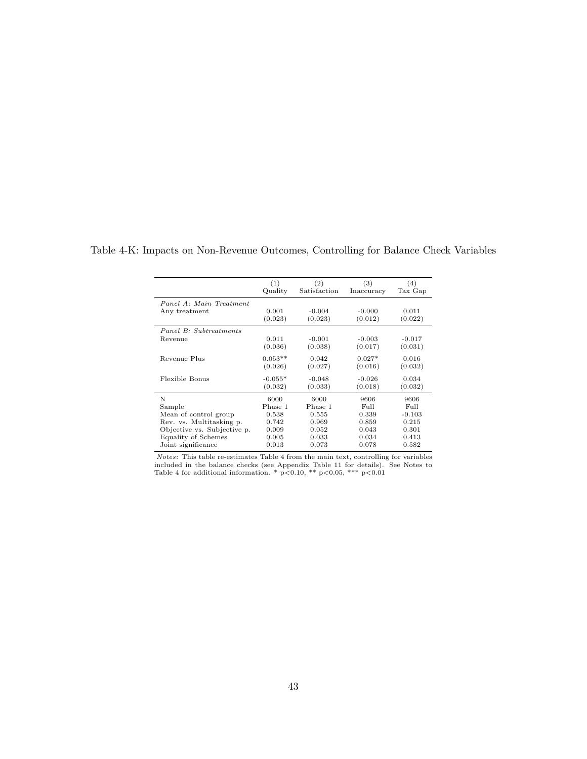|                             | (1)       | (2)          | (3)        | (4)      |
|-----------------------------|-----------|--------------|------------|----------|
|                             | Quality   | Satisfaction | Inaccuracy | Tax Gap  |
| Panel A: Main Treatment     | 0.001     | $-0.004$     | $-0.000$   | 0.011    |
| Any treatment               | (0.023)   | (0.023)      | (0.012)    | (0.022)  |
| Panel B: Subtreatments      | 0.011     | $-0.001$     | $-0.003$   | $-0.017$ |
| Revenue                     | (0.036)   | (0.038)      | (0.017)    | (0.031)  |
| Revenue Plus                | $0.053**$ | 0.042        | $0.027*$   | 0.016    |
|                             | (0.026)   | (0.027)      | (0.016)    | (0.032)  |
| Flexible Bonus              | $-0.055*$ | $-0.048$     | $-0.026$   | 0.034    |
|                             | (0.032)   | (0.033)      | (0.018)    | (0.032)  |
| N                           | 6000      | 6000         | 9606       | 9606     |
| Sample                      | Phase 1   | Phase 1      | Full       | Full     |
| Mean of control group       | 0.538     | 0.555        | 0.339      | $-0.103$ |
| Rev. vs. Multitasking p.    | 0.742     | 0.969        | 0.859      | 0.215    |
| Objective vs. Subjective p. | 0.009     | 0.052        | 0.043      | 0.301    |
| Equality of Schemes         | 0.005     | 0.033        | 0.034      | 0.413    |
| Joint significance          | 0.013     | 0.073        | 0.078      | 0.582    |

Table 4-K: Impacts on Non-Revenue Outcomes, Controlling for Balance Check Variables

*Notes*: This table re-estimates Table 4 from the main text, controlling for variables included in the balance checks (see Appendix Table 11 for details). See Notes to Table 4 for additional information. \*  $p<0.10$ , \*\*  $p$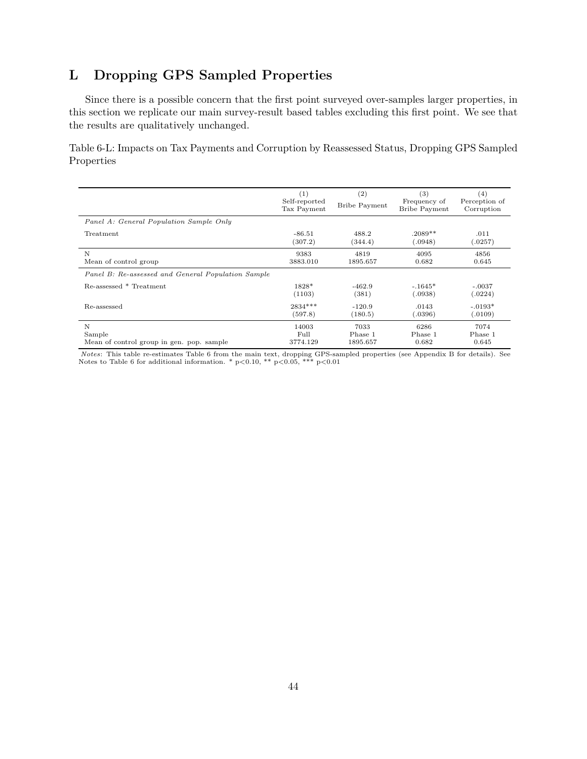# **L Dropping GPS Sampled Properties**

Since there is a possible concern that the first point surveyed over-samples larger properties, in this section we replicate our main survey-result based tables excluding this first point. We see that the results are qualitatively unchanged.

Table 6-L: Impacts on Tax Payments and Corruption by Reassessed Status, Dropping GPS Sampled Properties

|                                                    | (1)<br>Self-reported<br>Tax Payment | (2)<br><b>Bribe Payment</b> | (3)<br>Frequency of<br><b>Bribe Payment</b> | (4)<br>Perception of<br>Corruption |
|----------------------------------------------------|-------------------------------------|-----------------------------|---------------------------------------------|------------------------------------|
| Panel A: General Population Sample Only            |                                     |                             |                                             |                                    |
| Treatment                                          | $-86.51$                            | 488.2                       | $.2089**$                                   | .011                               |
|                                                    | (307.2)                             | (344.4)                     | 0.0948                                      | .0257)                             |
| N                                                  | 9383                                | 4819                        | 4095                                        | 4856                               |
| Mean of control group                              | 3883.010                            | 1895.657                    | 0.682                                       | 0.645                              |
| Panel B: Re-assessed and General Population Sample |                                     |                             |                                             |                                    |
| Re-assessed * Treatment                            | 1828*                               | $-462.9$                    | $-.1645*$                                   | $-.0037$                           |
|                                                    | (1103)                              | (381)                       | 0.0938)                                     | (.0224)                            |
| Re-assessed                                        | 2834 ***                            | $-120.9$                    | .0143                                       | $-.0193*$                          |
|                                                    | (597.8)                             | (180.5)                     | 0.396)                                      | (.0109)                            |
| N                                                  | 14003                               | 7033                        | 6286                                        | 7074                               |
| Sample                                             | Full                                | Phase 1                     | Phase 1                                     | Phase 1                            |
| Mean of control group in gen. pop. sample          | 3774.129                            | 1895.657                    | 0.682                                       | 0.645                              |

*Notes*: This table re-estimates Table 6 from the main text, dropping GPS-sampled properties (see Appendix B for details). See Notes to Table 6 for additional information. \*  $p<0.10$ , \*\*  $p<0.05$ , \*\*\*  $p<0.01$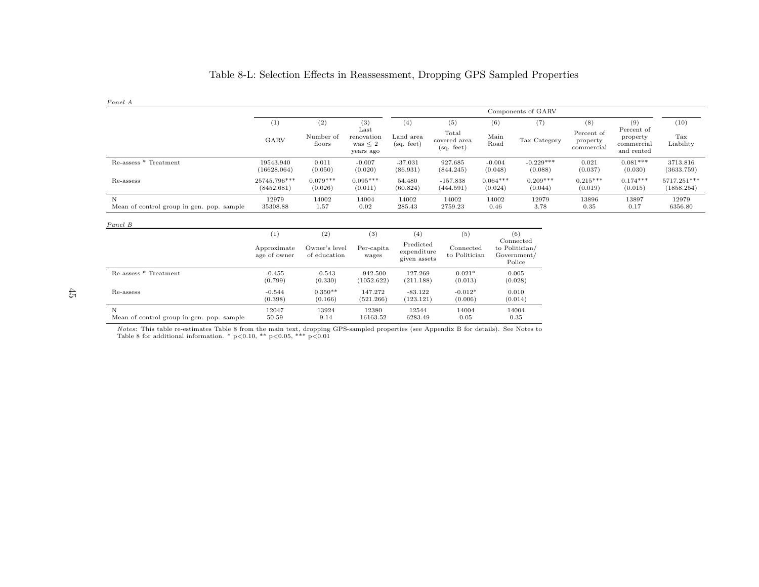| Panel A                                        |                             |                               |                                                 |                                          |                                     |                       |                                                      |                                      |                                                    |                           |
|------------------------------------------------|-----------------------------|-------------------------------|-------------------------------------------------|------------------------------------------|-------------------------------------|-----------------------|------------------------------------------------------|--------------------------------------|----------------------------------------------------|---------------------------|
|                                                |                             |                               |                                                 |                                          |                                     |                       | Components of GARV                                   |                                      |                                                    |                           |
|                                                | (1)                         | (2)                           | (3)                                             | (4)                                      | (5)                                 | (6)                   | (7)                                                  | (8)                                  | (9)                                                | (10)                      |
|                                                | GARV                        | Number of<br>floors           | Last<br>renovation<br>was $\leq 2$<br>years ago | Land area<br>(sq. feet)                  | Total<br>covered area<br>(sq. feet) | Main<br>Road          | Tax Category                                         | Percent of<br>property<br>commercial | Percent of<br>property<br>commercial<br>and rented | Tax<br>Liability          |
| Re-assess * Treatment                          | 19543.940<br>(16628.064)    | 0.011<br>(0.050)              | $-0.007$<br>(0.020)                             | $-37.031$<br>(86.931)                    | 927.685<br>(844.245)                | $-0.004$<br>(0.048)   | $-0.229***$<br>(0.088)                               | 0.021<br>(0.037)                     | $0.081***$<br>(0.030)                              | 3713.816<br>(3633.759)    |
| Re-assess                                      | 25745.796***<br>(8452.681)  | $0.079***$<br>(0.026)         | $0.095***$<br>(0.011)                           | 54.480<br>(60.824)                       | $-157.838$<br>(444.591)             | $0.064***$<br>(0.024) | $0.209***$<br>(0.044)                                | $0.215***$<br>(0.019)                | $0.174***$<br>(0.015)                              | 5717.251***<br>(1858.254) |
| N<br>Mean of control group in gen. pop. sample | 12979<br>35308.88           | 14002<br>1.57                 | 14004<br>0.02                                   | 14002<br>285.43                          | 14002<br>2759.23                    | 14002<br>0.46         | 12979<br>3.78                                        | 13896<br>0.35                        | 13897<br>0.17                                      | 12979<br>6356.80          |
| Panel B                                        |                             |                               |                                                 |                                          |                                     |                       |                                                      |                                      |                                                    |                           |
|                                                | (1)                         | (2)                           | (3)                                             | (4)                                      | (5)                                 |                       | (6)                                                  |                                      |                                                    |                           |
|                                                | Approximate<br>age of owner | Owner's level<br>of education | Per-capita<br>wages                             | Predicted<br>expenditure<br>given assets | Connected<br>to Politician          |                       | Connected<br>to Politician/<br>Government/<br>Police |                                      |                                                    |                           |
| Re-assess * Treatment                          | $-0.455$<br>(0.799)         | $-0.543$<br>(0.330)           | $-942.500$<br>(1052.622)                        | 127.269<br>(211.188)                     | $0.021*$<br>(0.013)                 |                       | 0.005<br>(0.028)                                     |                                      |                                                    |                           |
| Re-assess                                      | $-0.544$<br>(0.398)         | $0.350**$<br>(0.166)          | 147.272<br>(521.266)                            | $-83.122$<br>(123.121)                   | $-0.012*$<br>(0.006)                |                       | 0.010<br>(0.014)                                     |                                      |                                                    |                           |

 $0.35$ 

## Table 8-L: Selection Effects in Reassessment, Dropping GPS Sampled Properties

*Notes*: This table re-estimates Table 8 from the main text, dropping GPS-sampled properties (see Appendix B for details). See Notes to Table 8 for additional information. \*  $p<0.10$ , \*\*  $p<0.05$ , \*\*\*  $p<0.01$ 

N 12047 13924 12380 12544 14004 14004

Mean of control group in gen. pop. sample 50.59 9.14 16163.52 6283.49 0.05 0.35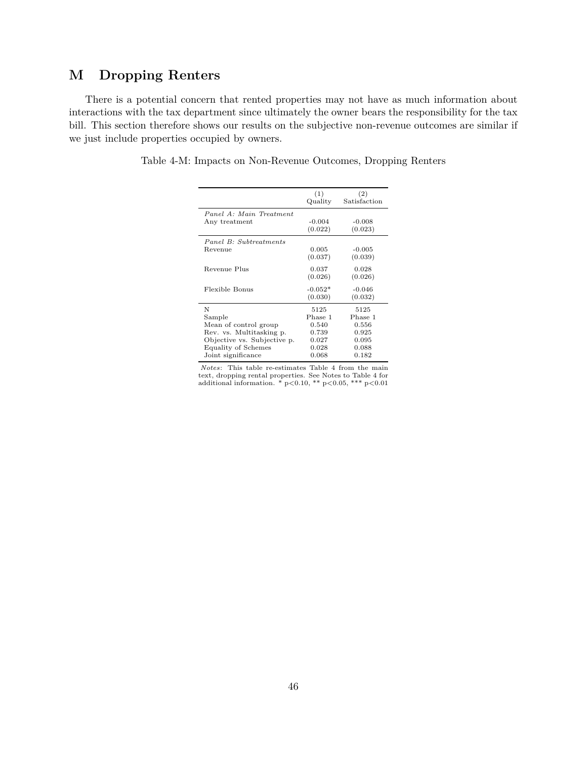# **M Dropping Renters**

There is a potential concern that rented properties may not have as much information about interactions with the tax department since ultimately the owner bears the responsibility for the tax bill. This section therefore shows our results on the subjective non-revenue outcomes are similar if we just include properties occupied by owners.

Table 4-M: Impacts on Non-Revenue Outcomes, Dropping Renters

|                             | (1)<br>Quality | (2)<br>Satisfaction |
|-----------------------------|----------------|---------------------|
| Panel A: Main Treatment     |                |                     |
| Any treatment               | $-0.004$       | $-0.008$            |
|                             | (0.022)        | (0.023)             |
| Panel B: Subtreatments      |                |                     |
| Revenue                     | 0.005          | $-0.005$            |
|                             | (0.037)        | (0.039)             |
| Revenue Plus                | 0.037          | 0.028               |
|                             | (0.026)        | (0.026)             |
| Flexible Bonus              | $-0.052*$      | $-0.046$            |
|                             | (0.030)        | (0.032)             |
| N                           | 5125           | 5125                |
| Sample                      | Phase 1        | Phase 1             |
| Mean of control group       | 0.540          | 0.556               |
| Rev. vs. Multitasking p.    | 0.739          | 0.925               |
| Objective vs. Subjective p. | 0.027          | 0.095               |
| Equality of Schemes         | 0.028          | 0.088               |
| Joint significance          | 0.068          | 0.182               |
|                             |                |                     |

*Notes*: This table re-estimates Table 4 from the main text, dropping rental properties. See Notes to Table 4 for additional information. \*  $p<0.10$ , \*\*  $p<0.05$ , \*\*\*  $p<0.01$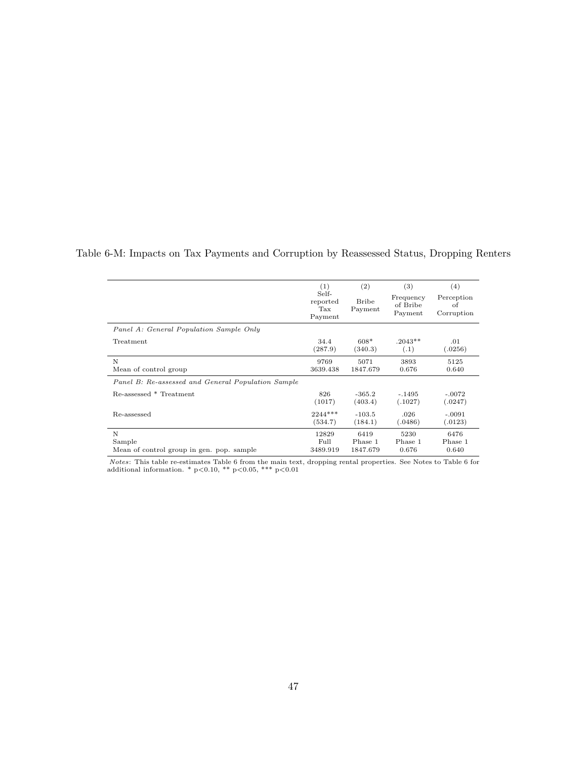|                                                    | (1)                                 | (2)                     | (3)                              | (4)                            |
|----------------------------------------------------|-------------------------------------|-------------------------|----------------------------------|--------------------------------|
|                                                    | Self-<br>reported<br>Tax<br>Payment | <b>Bribe</b><br>Payment | Frequency<br>of Bribe<br>Payment | Perception<br>of<br>Corruption |
| Panel A: General Population Sample Only            |                                     |                         |                                  |                                |
| Treatment                                          | 34.4                                | $608*$                  | $.2043**$                        | .01                            |
|                                                    | (287.9)                             | (340.3)                 | (.1)                             | (.0256)                        |
| N                                                  | 9769                                | 5071                    | 3893                             | 5125                           |
| Mean of control group                              | 3639.438                            | 1847.679                | 0.676                            | 0.640                          |
| Panel B: Re-assessed and General Population Sample |                                     |                         |                                  |                                |
| Re-assessed * Treatment                            | 826                                 | $-365.2$                | $-.1495$                         | $-.0072$                       |
|                                                    | (1017)                              | (403.4)                 | (.1027)                          | (.0247)                        |
| Re-assessed                                        | $2244***$                           | $-103.5$                | .026                             | $-.0091$                       |
|                                                    | (534.7)                             | (184.1)                 | (.0486)                          | (.0123)                        |
| N                                                  | 12829                               | 6419                    | 5230                             | 6476                           |
| Sample                                             | Full                                | Phase 1                 | Phase 1                          | Phase 1                        |
| Mean of control group in gen. pop. sample          | 3489.919                            | 1847.679                | 0.676                            | 0.640                          |

Table 6-M: Impacts on Tax Payments and Corruption by Reassessed Status, Dropping Renters

*Notes*: This table re-estimates Table 6 from the main text, dropping rental properties. See Notes to Table 6 for additional information. \*  $p<0.10$ , \*\*  $p<0.05$ , \*\*\*  $p<0.01$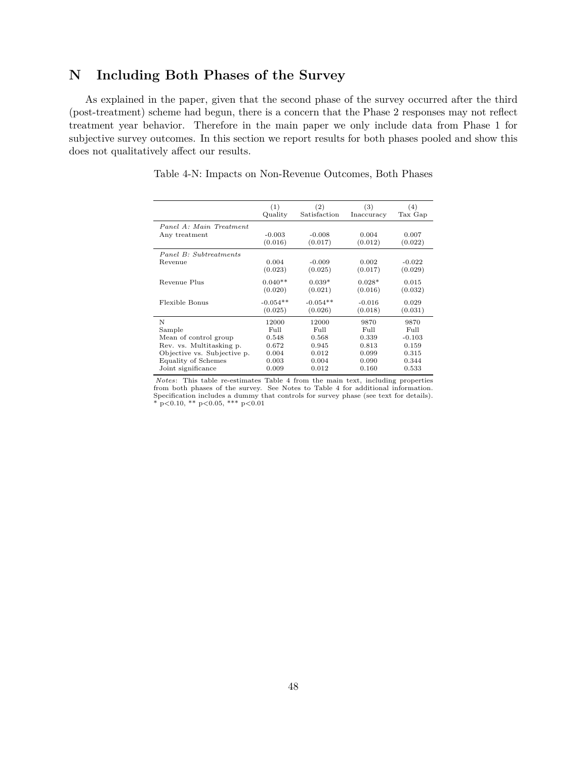# **N Including Both Phases of the Survey**

As explained in the paper, given that the second phase of the survey occurred after the third (post-treatment) scheme had begun, there is a concern that the Phase 2 responses may not reflect treatment year behavior. Therefore in the main paper we only include data from Phase 1 for subjective survey outcomes. In this section we report results for both phases pooled and show this does not qualitatively affect our results.

|                             | (1)<br>Quality      | (2)<br>Satisfaction | (3)<br>Inaccuracy | (4)<br>Tax Gap   |
|-----------------------------|---------------------|---------------------|-------------------|------------------|
| Panel A: Main Treatment     |                     |                     |                   |                  |
| Any treatment               | $-0.003$<br>(0.016) | $-0.008$<br>(0.017) | 0.004<br>(0.012)  | 0.007<br>(0.022) |
| Panel B: Subtreatments      |                     |                     |                   |                  |
| Revenue                     | 0.004               | $-0.009$            | 0.002             | $-0.022$         |
|                             | (0.023)             | (0.025)             | (0.017)           | (0.029)          |
| Revenue Plus                | $0.040**$           | $0.039*$            | $0.028*$          | 0.015            |
|                             | (0.020)             | (0.021)             | (0.016)           | (0.032)          |
| Flexible Bonus              | $-0.054**$          | $-0.054**$          | $-0.016$          | 0.029            |
|                             | (0.025)             | (0.026)             | (0.018)           | (0.031)          |
| N                           | 12000               | 12000               | 9870              | 9870             |
| Sample                      | Full                | $FU$ ll             | Full              | Full             |
| Mean of control group       | 0.548               | 0.568               | 0.339             | $-0.103$         |
| Rev. vs. Multitasking p.    | 0.672               | 0.945               | 0.813             | 0.159            |
| Objective vs. Subjective p. | 0.004               | 0.012               | 0.099             | 0.315            |
| Equality of Schemes         | 0.003               | 0.004               | 0.090             | 0.344            |
| Joint significance          | 0.009               | 0.012               | 0.160             | 0.533            |
|                             |                     |                     |                   |                  |

Table 4-N: Impacts on Non-Revenue Outcomes, Both Phases

Notes: This table re-estimates Table 4 from the main text, including properties from both phases of the survey. See Notes to Table 4 for additional information. Specification includes a dummy that controls for survey phase (see text for details).<br>\*  $p<0.10$ , \*\*  $p<0.05$ , \*\*\*  $p<0.01$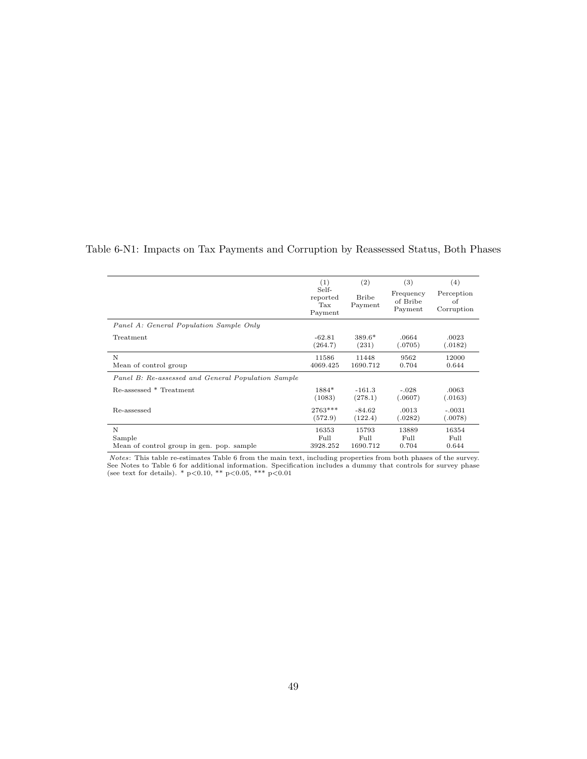| <b>.</b>                         | ÷<br>- | ◡                   | ×<br>. .                 |
|----------------------------------|--------|---------------------|--------------------------|
| 5e l<br>$\overline{\phantom{a}}$ |        | <b>L'hommon orr</b> | <i><u>Longontion</u></i> |

Table 6-N1: Impacts on Tax Payments and Corruption by Reassessed Status, Both Phases

|                                                    | ◡<br>reported<br>$\operatorname{Tax}$<br>Payment | Bribe<br>Payment | Frequency<br>of Bribe<br>Payment | Perception<br>of<br>Corruption |
|----------------------------------------------------|--------------------------------------------------|------------------|----------------------------------|--------------------------------|
| Panel A: General Population Sample Only            |                                                  |                  |                                  |                                |
| Treatment                                          | $-62.81$                                         | $389.6*$         | .0664                            | .0023                          |
|                                                    | (264.7)                                          | (231)            | (.0705)                          | (.0182)                        |
| N                                                  | 11586                                            | 11448            | 9562                             | 12000                          |
| Mean of control group                              | 4069.425                                         | 1690.712         | 0.704                            | 0.644                          |
| Panel B: Re-assessed and General Population Sample |                                                  |                  |                                  |                                |
| Re-assessed * Treatment                            | 1884*                                            | $-161.3$         | $-.028$                          | .0063                          |
|                                                    | (1083)                                           | (278.1)          | (.0607)                          | (.0163)                        |
| Re-assessed                                        | 2763***                                          | $-84.62$         | .0013                            | $-.0031$                       |
|                                                    | (572.9)                                          | (122.4)          | (.0282)                          | (.0078)                        |
| N                                                  | 16353                                            | 15793            | 13889                            | 16354                          |
| Sample                                             | Full                                             | Full             | Full                             | Full                           |
| Mean of control group in gen. pop. sample          | 3928.252                                         | 1690.712         | 0.704                            | 0.644                          |

*Notes*: This table re-estimates Table 6 from the main text, including properties from both phases of the survey.<br>See Notes to Table 6 for additional information. Specification includes a dummy that controls for survey ph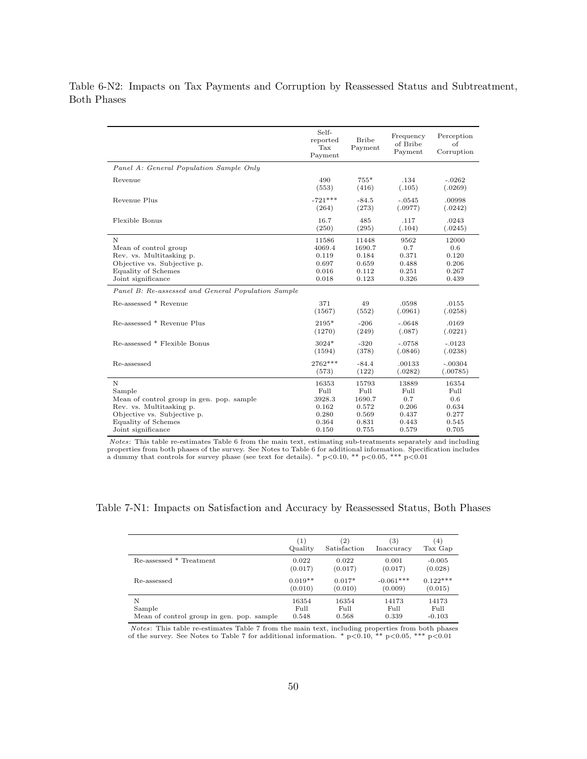Table 6-N2: Impacts on Tax Payments and Corruption by Reassessed Status and Subtreatment, Both Phases

|                                                    | Self-<br>reported<br>Tax<br>Payment | <b>Bribe</b><br>Payment | Frequency<br>of Bribe<br>Payment | Perception<br>Ωf<br>Corruption |
|----------------------------------------------------|-------------------------------------|-------------------------|----------------------------------|--------------------------------|
| Panel A: General Population Sample Only            |                                     |                         |                                  |                                |
| Revenue                                            | 490                                 | $755*$                  | .134                             | $-.0262$                       |
|                                                    | (553)                               | (416)                   | (.105)                           | (.0269)                        |
| Revenue Plus                                       | $-721***$                           | $-84.5$                 | $-.0545$                         | .00998                         |
|                                                    | (264)                               | (273)                   | (.0977)                          | (.0242)                        |
| Flexible Bonus                                     | 16.7                                | 485                     | .117                             | .0243                          |
|                                                    | (250)                               | (295)                   | (.104)                           | (.0245)                        |
| $\mathbf N$                                        | 11586                               | 11448                   | 9562                             | 12000                          |
| Mean of control group                              | 4069.4                              | 1690.7                  | 0.7                              | 0.6                            |
| Rev. vs. Multitasking p.                           | 0.119                               | 0.184                   | 0.371                            | 0.120                          |
| Objective vs. Subjective p.                        | 0.697                               | 0.659                   | 0.488                            | 0.206                          |
| <b>Equality of Schemes</b>                         | 0.016                               | 0.112                   | 0.251                            | 0.267                          |
| Joint significance                                 | 0.018                               | 0.123                   | 0.326                            | 0.439                          |
| Panel B: Re-assessed and General Population Sample |                                     |                         |                                  |                                |
| Re-assessed * Revenue                              | 371                                 | 49                      | .0598                            | .0155                          |
|                                                    | (1567)                              | (552)                   | (.0961)                          | (.0258)                        |
| Re-assessed * Revenue Plus                         | 2195*                               | $-206$                  | $-.0648$                         | .0169                          |
|                                                    | (1270)                              | (249)                   | (.087)                           | (.0221)                        |
| Re-assessed * Flexible Bonus                       | $3024*$                             | $-320$                  | $-.0758$                         | $-.0123$                       |
|                                                    | (1594)                              | (378)                   | (.0846)                          | (.0238)                        |
| Re-assessed                                        | 2762***                             | $-84.4$                 | .00133                           | $-.00304$                      |
|                                                    | (573)                               | (122)                   | (.0282)                          | (.00785)                       |
| N                                                  | 16353                               | 15793                   | 13889                            | 16354                          |
| Sample                                             | Full                                | Full                    | Full                             | Full                           |
| Mean of control group in gen. pop. sample          | 3928.3                              | 1690.7                  | 0.7                              | 0.6                            |
| Rev. vs. Multitasking p.                           | 0.162                               | 0.572                   | 0.206                            | 0.634                          |
| Objective vs. Subjective p.                        | 0.280                               | 0.569                   | 0.437                            | 0.277                          |
| Equality of Schemes                                | 0.364                               | 0.831                   | 0.443                            | 0.545                          |
| Joint significance                                 | 0.150                               | 0.755                   | 0.579                            | 0.705                          |

Notes: This table re-estimates Table 6 from the main text, estimating sub-treatments separately and including properties from both phases of the survey. See Notes to Table 6 for additional information. Specification includes<br>a dummy that controls for survey phase (see text for details). \* p<0.10, \*\* p<0.05, \*\*\* p<0.01

Table 7-N1: Impacts on Satisfaction and Accuracy by Reassessed Status, Both Phases

|                                           | $\left(1\right)$ | (2)          | (3)         | (4)        |
|-------------------------------------------|------------------|--------------|-------------|------------|
|                                           | Quality          | Satisfaction | Inaccuracy  | Tax Gap    |
| Re-assessed * Treatment                   | 0.022            | 0.022        | 0.001       | $-0.005$   |
|                                           | (0.017)          | (0.017)      | (0.017)     | (0.028)    |
| Re-assessed                               | $0.019**$        | $0.017*$     | $-0.061***$ | $0.122***$ |
|                                           | (0.010)          | (0.010)      | (0.009)     | (0.015)    |
| N                                         | 16354            | 16354        | 14173       | 14173      |
| Sample                                    | Full             | Full         | Full        | Full       |
| Mean of control group in gen. pop. sample | 0.548            | 0.568        | 0.339       | $-0.103$   |

*Notes*: This table re-estimates Table 7 from the main text, including properties from both phases of the survey. See Notes to Table 7 for additional information. \*  $p<0.10$ , \*\*  $p<0.05$ , \*\*\*  $p<0.01$